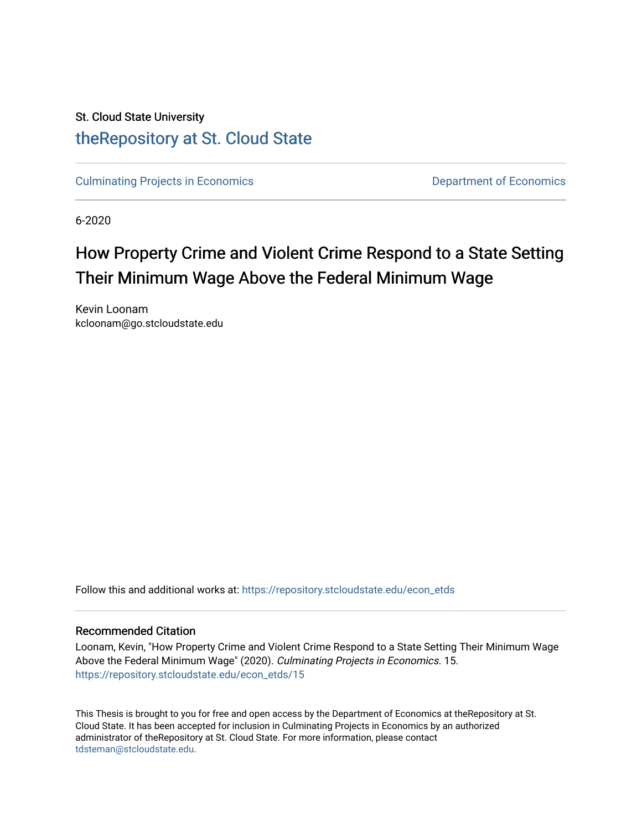# St. Cloud State University [theRepository at St. Cloud State](https://repository.stcloudstate.edu/)

[Culminating Projects in Economics](https://repository.stcloudstate.edu/econ_etds) **Department of Economics** Department of Economics

6-2020

# How Property Crime and Violent Crime Respond to a State Setting Their Minimum Wage Above the Federal Minimum Wage

Kevin Loonam kcloonam@go.stcloudstate.edu

Follow this and additional works at: [https://repository.stcloudstate.edu/econ\\_etds](https://repository.stcloudstate.edu/econ_etds?utm_source=repository.stcloudstate.edu%2Fecon_etds%2F15&utm_medium=PDF&utm_campaign=PDFCoverPages) 

#### Recommended Citation

Loonam, Kevin, "How Property Crime and Violent Crime Respond to a State Setting Their Minimum Wage Above the Federal Minimum Wage" (2020). Culminating Projects in Economics. 15. [https://repository.stcloudstate.edu/econ\\_etds/15](https://repository.stcloudstate.edu/econ_etds/15?utm_source=repository.stcloudstate.edu%2Fecon_etds%2F15&utm_medium=PDF&utm_campaign=PDFCoverPages) 

This Thesis is brought to you for free and open access by the Department of Economics at theRepository at St. Cloud State. It has been accepted for inclusion in Culminating Projects in Economics by an authorized administrator of theRepository at St. Cloud State. For more information, please contact [tdsteman@stcloudstate.edu](mailto:tdsteman@stcloudstate.edu).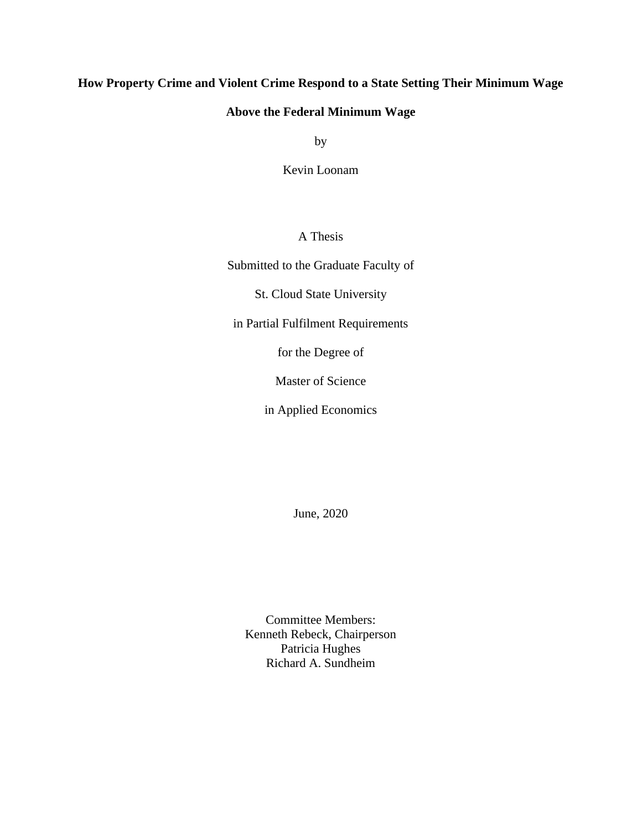## **How Property Crime and Violent Crime Respond to a State Setting Their Minimum Wage**

## **Above the Federal Minimum Wage**

by

Kevin Loonam

## A Thesis

Submitted to the Graduate Faculty of

St. Cloud State University

in Partial Fulfilment Requirements

for the Degree of

Master of Science

in Applied Economics

June, 2020

Committee Members: Kenneth Rebeck, Chairperson Patricia Hughes Richard A. Sundheim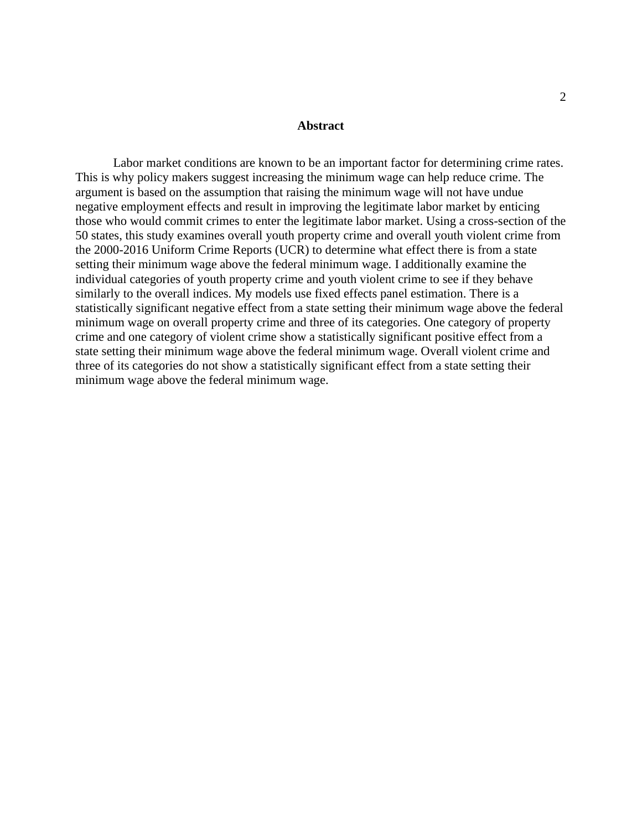#### **Abstract**

Labor market conditions are known to be an important factor for determining crime rates. This is why policy makers suggest increasing the minimum wage can help reduce crime. The argument is based on the assumption that raising the minimum wage will not have undue negative employment effects and result in improving the legitimate labor market by enticing those who would commit crimes to enter the legitimate labor market. Using a cross-section of the 50 states, this study examines overall youth property crime and overall youth violent crime from the 2000-2016 Uniform Crime Reports (UCR) to determine what effect there is from a state setting their minimum wage above the federal minimum wage. I additionally examine the individual categories of youth property crime and youth violent crime to see if they behave similarly to the overall indices. My models use fixed effects panel estimation. There is a statistically significant negative effect from a state setting their minimum wage above the federal minimum wage on overall property crime and three of its categories. One category of property crime and one category of violent crime show a statistically significant positive effect from a state setting their minimum wage above the federal minimum wage. Overall violent crime and three of its categories do not show a statistically significant effect from a state setting their minimum wage above the federal minimum wage.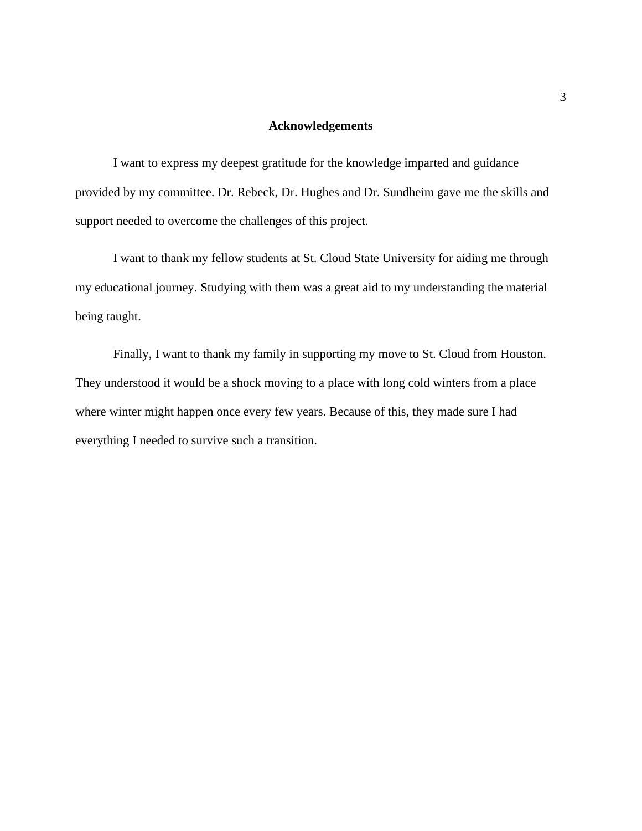#### **Acknowledgements**

I want to express my deepest gratitude for the knowledge imparted and guidance provided by my committee. Dr. Rebeck, Dr. Hughes and Dr. Sundheim gave me the skills and support needed to overcome the challenges of this project.

I want to thank my fellow students at St. Cloud State University for aiding me through my educational journey. Studying with them was a great aid to my understanding the material being taught.

Finally, I want to thank my family in supporting my move to St. Cloud from Houston. They understood it would be a shock moving to a place with long cold winters from a place where winter might happen once every few years. Because of this, they made sure I had everything I needed to survive such a transition.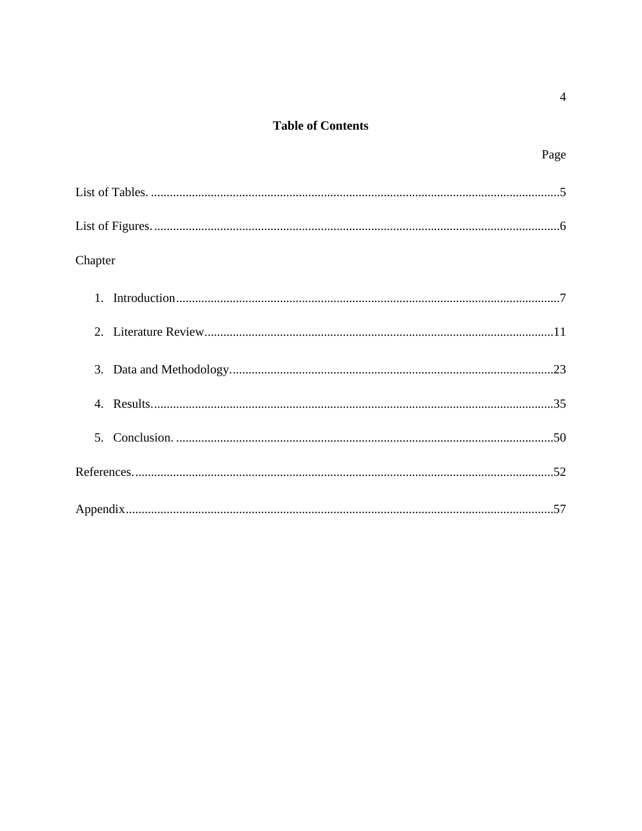# **Table of Contents**

| Chapter |
|---------|
|         |
|         |
|         |
|         |
| 5.      |
|         |
|         |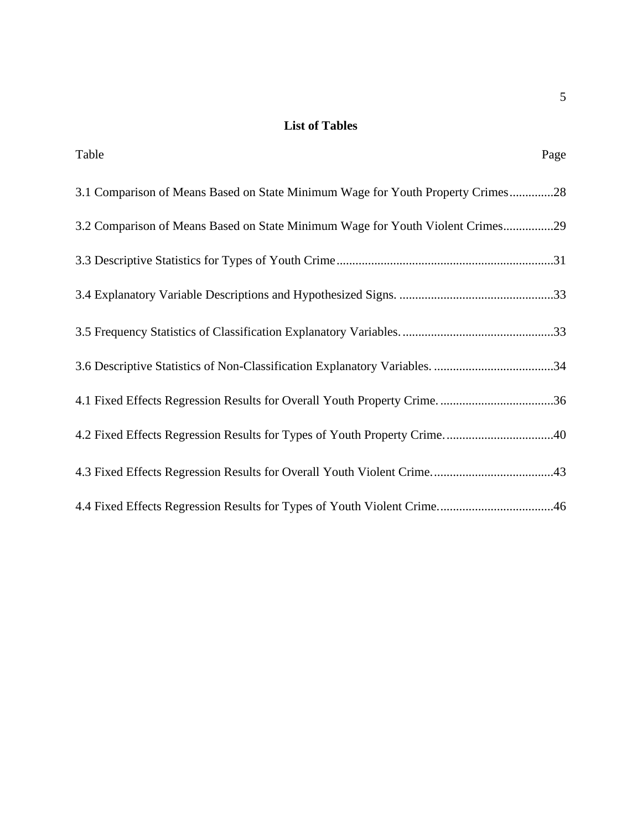# **List of Tables**

| Table                                                                           | Page |
|---------------------------------------------------------------------------------|------|
| 3.1 Comparison of Means Based on State Minimum Wage for Youth Property Crimes28 |      |
| 3.2 Comparison of Means Based on State Minimum Wage for Youth Violent Crimes29  |      |
|                                                                                 |      |
|                                                                                 |      |
|                                                                                 |      |
|                                                                                 |      |
|                                                                                 |      |
|                                                                                 |      |
|                                                                                 |      |
|                                                                                 |      |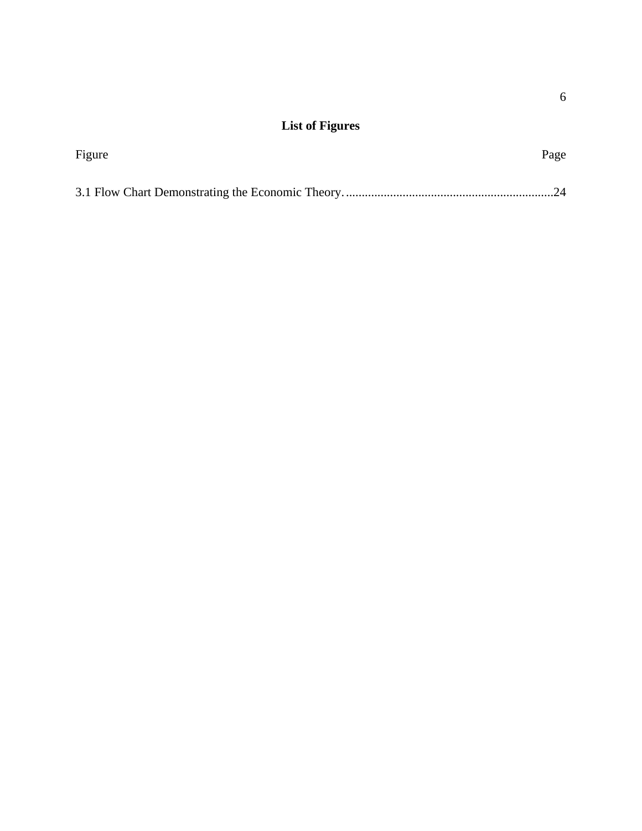# **List of Figures**

| Figure | Page |  |  |
|--------|------|--|--|
|        |      |  |  |
|        |      |  |  |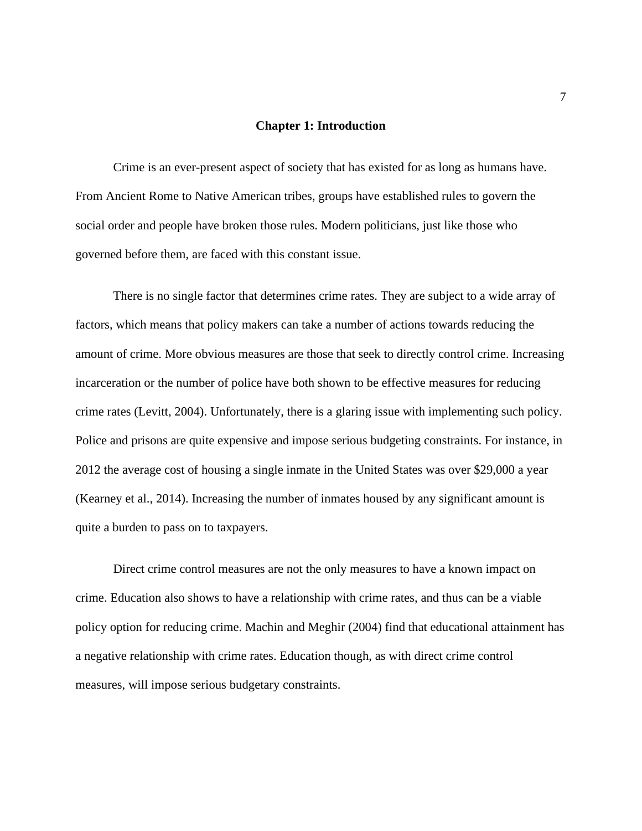#### **Chapter 1: Introduction**

Crime is an ever-present aspect of society that has existed for as long as humans have. From Ancient Rome to Native American tribes, groups have established rules to govern the social order and people have broken those rules. Modern politicians, just like those who governed before them, are faced with this constant issue.

There is no single factor that determines crime rates. They are subject to a wide array of factors, which means that policy makers can take a number of actions towards reducing the amount of crime. More obvious measures are those that seek to directly control crime. Increasing incarceration or the number of police have both shown to be effective measures for reducing crime rates (Levitt, 2004). Unfortunately, there is a glaring issue with implementing such policy. Police and prisons are quite expensive and impose serious budgeting constraints. For instance, in 2012 the average cost of housing a single inmate in the United States was over \$29,000 a year (Kearney et al., 2014). Increasing the number of inmates housed by any significant amount is quite a burden to pass on to taxpayers.

Direct crime control measures are not the only measures to have a known impact on crime. Education also shows to have a relationship with crime rates, and thus can be a viable policy option for reducing crime. Machin and Meghir (2004) find that educational attainment has a negative relationship with crime rates. Education though, as with direct crime control measures, will impose serious budgetary constraints.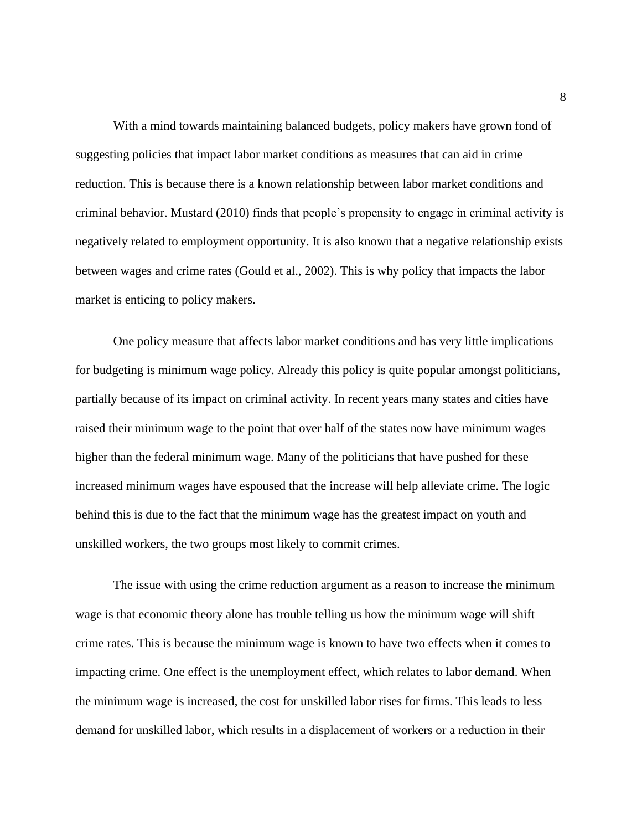With a mind towards maintaining balanced budgets, policy makers have grown fond of suggesting policies that impact labor market conditions as measures that can aid in crime reduction. This is because there is a known relationship between labor market conditions and criminal behavior. Mustard (2010) finds that people's propensity to engage in criminal activity is negatively related to employment opportunity. It is also known that a negative relationship exists between wages and crime rates (Gould et al., 2002). This is why policy that impacts the labor market is enticing to policy makers.

One policy measure that affects labor market conditions and has very little implications for budgeting is minimum wage policy. Already this policy is quite popular amongst politicians, partially because of its impact on criminal activity. In recent years many states and cities have raised their minimum wage to the point that over half of the states now have minimum wages higher than the federal minimum wage. Many of the politicians that have pushed for these increased minimum wages have espoused that the increase will help alleviate crime. The logic behind this is due to the fact that the minimum wage has the greatest impact on youth and unskilled workers, the two groups most likely to commit crimes.

The issue with using the crime reduction argument as a reason to increase the minimum wage is that economic theory alone has trouble telling us how the minimum wage will shift crime rates. This is because the minimum wage is known to have two effects when it comes to impacting crime. One effect is the unemployment effect, which relates to labor demand. When the minimum wage is increased, the cost for unskilled labor rises for firms. This leads to less demand for unskilled labor, which results in a displacement of workers or a reduction in their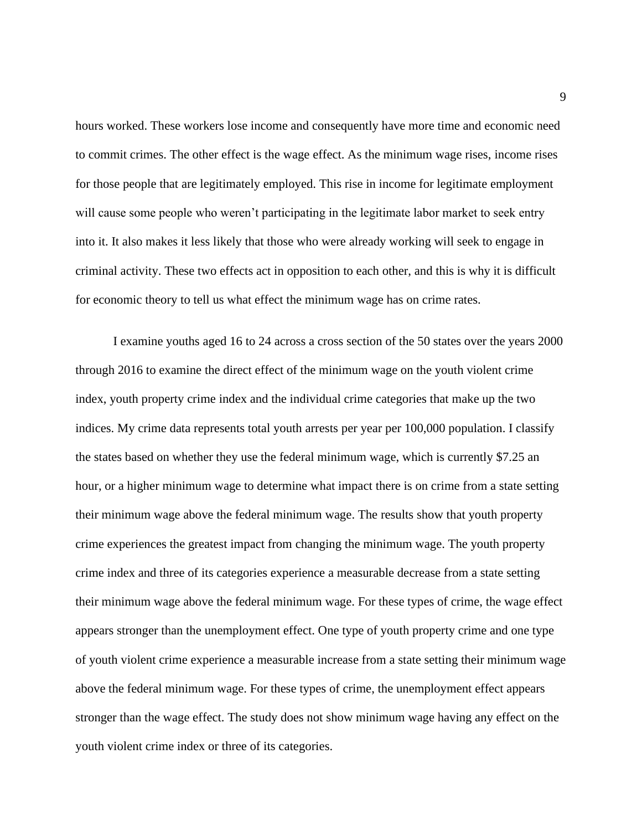hours worked. These workers lose income and consequently have more time and economic need to commit crimes. The other effect is the wage effect. As the minimum wage rises, income rises for those people that are legitimately employed. This rise in income for legitimate employment will cause some people who weren't participating in the legitimate labor market to seek entry into it. It also makes it less likely that those who were already working will seek to engage in criminal activity. These two effects act in opposition to each other, and this is why it is difficult for economic theory to tell us what effect the minimum wage has on crime rates.

I examine youths aged 16 to 24 across a cross section of the 50 states over the years 2000 through 2016 to examine the direct effect of the minimum wage on the youth violent crime index, youth property crime index and the individual crime categories that make up the two indices. My crime data represents total youth arrests per year per 100,000 population. I classify the states based on whether they use the federal minimum wage, which is currently \$7.25 an hour, or a higher minimum wage to determine what impact there is on crime from a state setting their minimum wage above the federal minimum wage. The results show that youth property crime experiences the greatest impact from changing the minimum wage. The youth property crime index and three of its categories experience a measurable decrease from a state setting their minimum wage above the federal minimum wage. For these types of crime, the wage effect appears stronger than the unemployment effect. One type of youth property crime and one type of youth violent crime experience a measurable increase from a state setting their minimum wage above the federal minimum wage. For these types of crime, the unemployment effect appears stronger than the wage effect. The study does not show minimum wage having any effect on the youth violent crime index or three of its categories.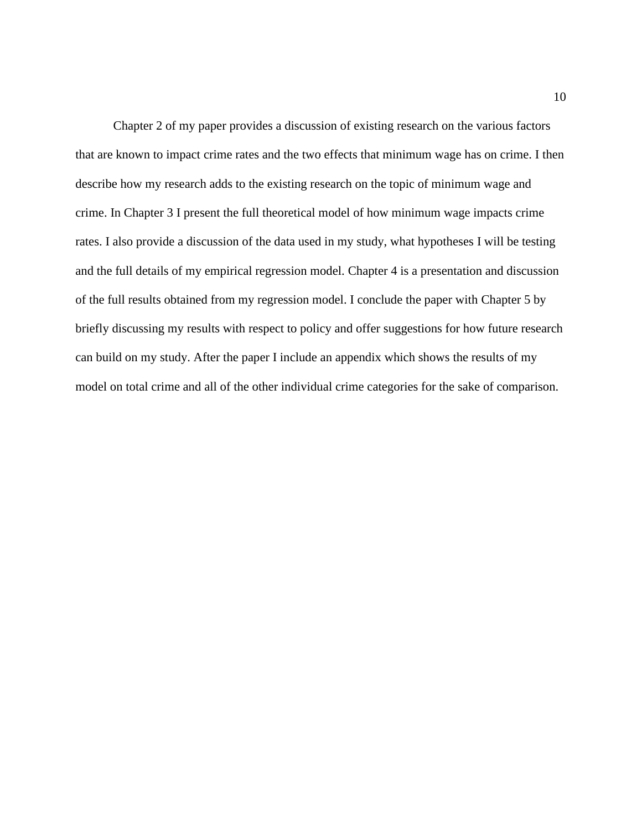Chapter 2 of my paper provides a discussion of existing research on the various factors that are known to impact crime rates and the two effects that minimum wage has on crime. I then describe how my research adds to the existing research on the topic of minimum wage and crime. In Chapter 3 I present the full theoretical model of how minimum wage impacts crime rates. I also provide a discussion of the data used in my study, what hypotheses I will be testing and the full details of my empirical regression model. Chapter 4 is a presentation and discussion of the full results obtained from my regression model. I conclude the paper with Chapter 5 by briefly discussing my results with respect to policy and offer suggestions for how future research can build on my study. After the paper I include an appendix which shows the results of my model on total crime and all of the other individual crime categories for the sake of comparison.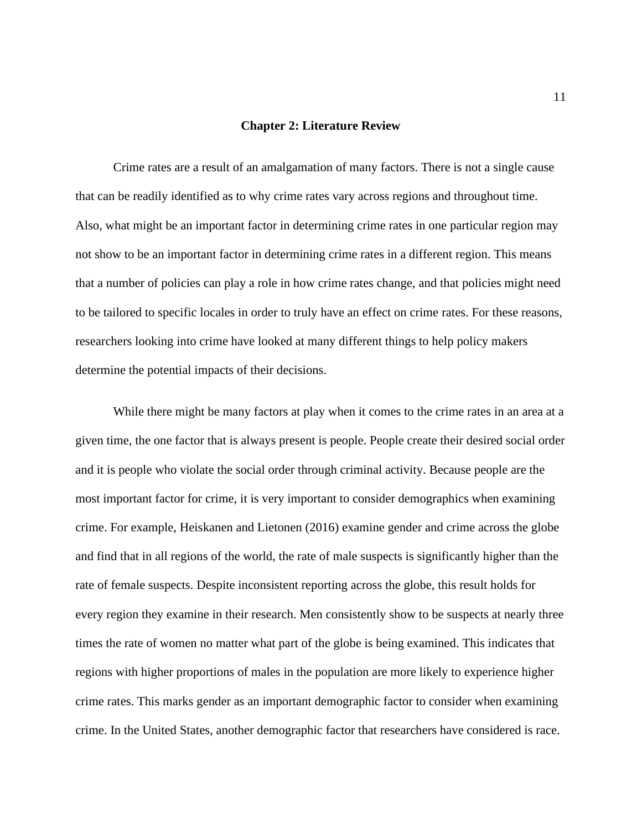#### **Chapter 2: Literature Review**

Crime rates are a result of an amalgamation of many factors. There is not a single cause that can be readily identified as to why crime rates vary across regions and throughout time. Also, what might be an important factor in determining crime rates in one particular region may not show to be an important factor in determining crime rates in a different region. This means that a number of policies can play a role in how crime rates change, and that policies might need to be tailored to specific locales in order to truly have an effect on crime rates. For these reasons, researchers looking into crime have looked at many different things to help policy makers determine the potential impacts of their decisions.

While there might be many factors at play when it comes to the crime rates in an area at a given time, the one factor that is always present is people. People create their desired social order and it is people who violate the social order through criminal activity. Because people are the most important factor for crime, it is very important to consider demographics when examining crime. For example, Heiskanen and Lietonen (2016) examine gender and crime across the globe and find that in all regions of the world, the rate of male suspects is significantly higher than the rate of female suspects. Despite inconsistent reporting across the globe, this result holds for every region they examine in their research. Men consistently show to be suspects at nearly three times the rate of women no matter what part of the globe is being examined. This indicates that regions with higher proportions of males in the population are more likely to experience higher crime rates. This marks gender as an important demographic factor to consider when examining crime. In the United States, another demographic factor that researchers have considered is race.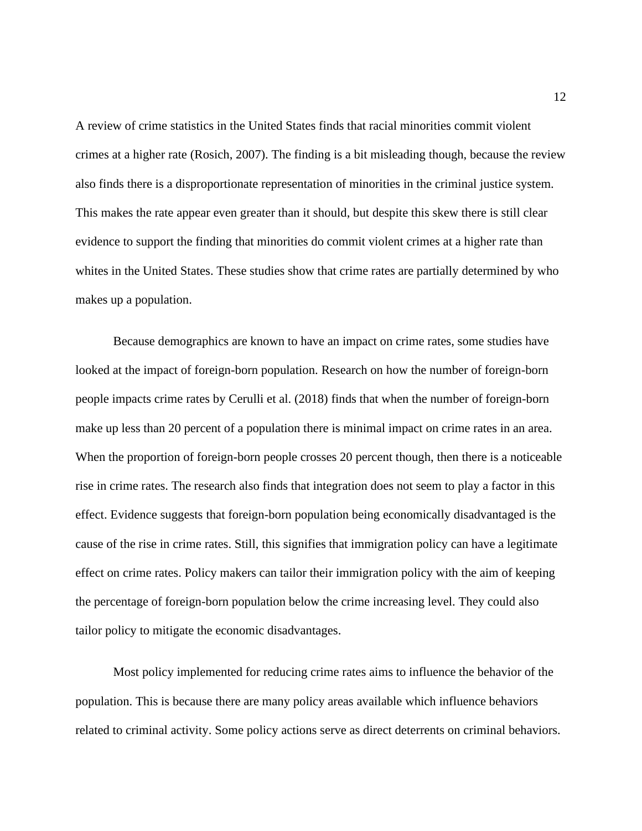A review of crime statistics in the United States finds that racial minorities commit violent crimes at a higher rate (Rosich, 2007). The finding is a bit misleading though, because the review also finds there is a disproportionate representation of minorities in the criminal justice system. This makes the rate appear even greater than it should, but despite this skew there is still clear evidence to support the finding that minorities do commit violent crimes at a higher rate than whites in the United States. These studies show that crime rates are partially determined by who makes up a population.

Because demographics are known to have an impact on crime rates, some studies have looked at the impact of foreign-born population. Research on how the number of foreign-born people impacts crime rates by Cerulli et al. (2018) finds that when the number of foreign-born make up less than 20 percent of a population there is minimal impact on crime rates in an area. When the proportion of foreign-born people crosses 20 percent though, then there is a noticeable rise in crime rates. The research also finds that integration does not seem to play a factor in this effect. Evidence suggests that foreign-born population being economically disadvantaged is the cause of the rise in crime rates. Still, this signifies that immigration policy can have a legitimate effect on crime rates. Policy makers can tailor their immigration policy with the aim of keeping the percentage of foreign-born population below the crime increasing level. They could also tailor policy to mitigate the economic disadvantages.

Most policy implemented for reducing crime rates aims to influence the behavior of the population. This is because there are many policy areas available which influence behaviors related to criminal activity. Some policy actions serve as direct deterrents on criminal behaviors.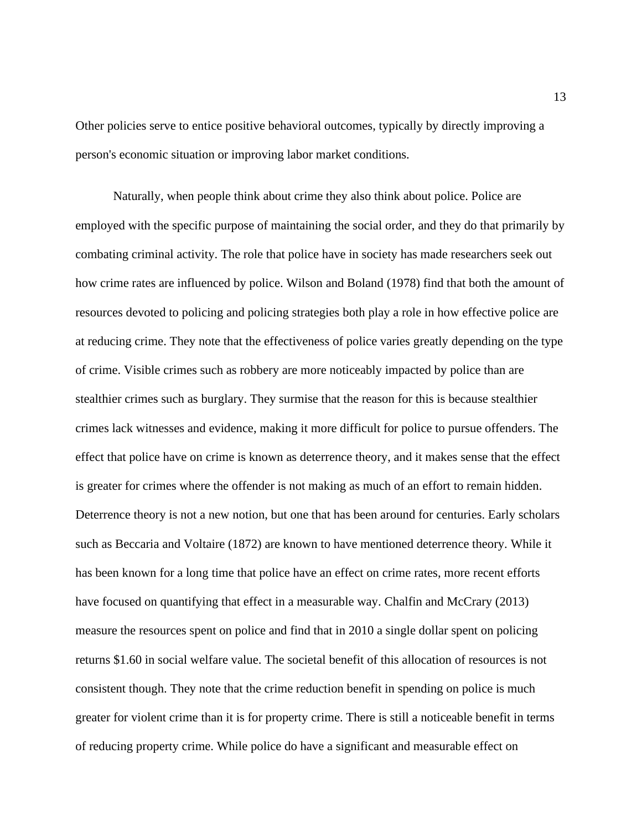Other policies serve to entice positive behavioral outcomes, typically by directly improving a person's economic situation or improving labor market conditions.

Naturally, when people think about crime they also think about police. Police are employed with the specific purpose of maintaining the social order, and they do that primarily by combating criminal activity. The role that police have in society has made researchers seek out how crime rates are influenced by police. Wilson and Boland (1978) find that both the amount of resources devoted to policing and policing strategies both play a role in how effective police are at reducing crime. They note that the effectiveness of police varies greatly depending on the type of crime. Visible crimes such as robbery are more noticeably impacted by police than are stealthier crimes such as burglary. They surmise that the reason for this is because stealthier crimes lack witnesses and evidence, making it more difficult for police to pursue offenders. The effect that police have on crime is known as deterrence theory, and it makes sense that the effect is greater for crimes where the offender is not making as much of an effort to remain hidden. Deterrence theory is not a new notion, but one that has been around for centuries. Early scholars such as Beccaria and Voltaire (1872) are known to have mentioned deterrence theory. While it has been known for a long time that police have an effect on crime rates, more recent efforts have focused on quantifying that effect in a measurable way. Chalfin and McCrary (2013) measure the resources spent on police and find that in 2010 a single dollar spent on policing returns \$1.60 in social welfare value. The societal benefit of this allocation of resources is not consistent though. They note that the crime reduction benefit in spending on police is much greater for violent crime than it is for property crime. There is still a noticeable benefit in terms of reducing property crime. While police do have a significant and measurable effect on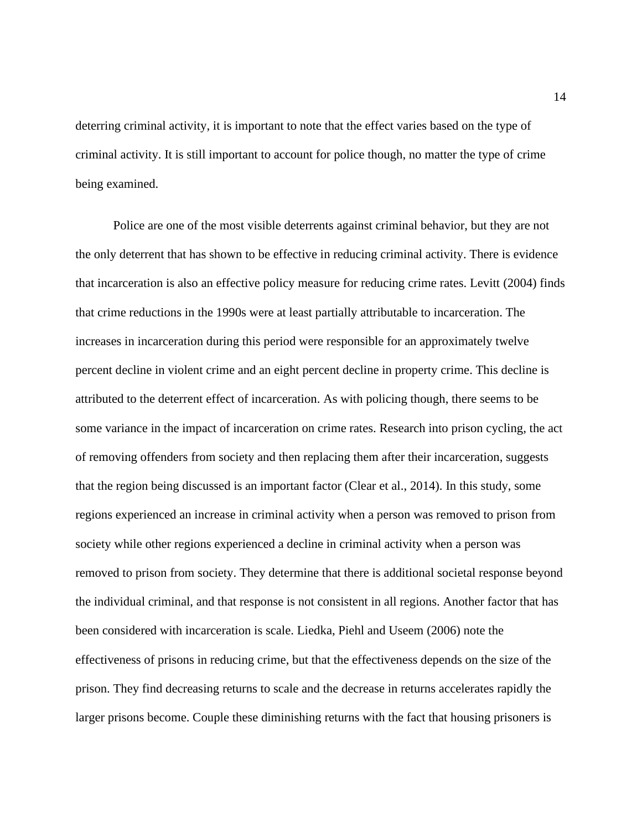deterring criminal activity, it is important to note that the effect varies based on the type of criminal activity. It is still important to account for police though, no matter the type of crime being examined.

Police are one of the most visible deterrents against criminal behavior, but they are not the only deterrent that has shown to be effective in reducing criminal activity. There is evidence that incarceration is also an effective policy measure for reducing crime rates. Levitt (2004) finds that crime reductions in the 1990s were at least partially attributable to incarceration. The increases in incarceration during this period were responsible for an approximately twelve percent decline in violent crime and an eight percent decline in property crime. This decline is attributed to the deterrent effect of incarceration. As with policing though, there seems to be some variance in the impact of incarceration on crime rates. Research into prison cycling, the act of removing offenders from society and then replacing them after their incarceration, suggests that the region being discussed is an important factor (Clear et al., 2014). In this study, some regions experienced an increase in criminal activity when a person was removed to prison from society while other regions experienced a decline in criminal activity when a person was removed to prison from society. They determine that there is additional societal response beyond the individual criminal, and that response is not consistent in all regions. Another factor that has been considered with incarceration is scale. Liedka, Piehl and Useem (2006) note the effectiveness of prisons in reducing crime, but that the effectiveness depends on the size of the prison. They find decreasing returns to scale and the decrease in returns accelerates rapidly the larger prisons become. Couple these diminishing returns with the fact that housing prisoners is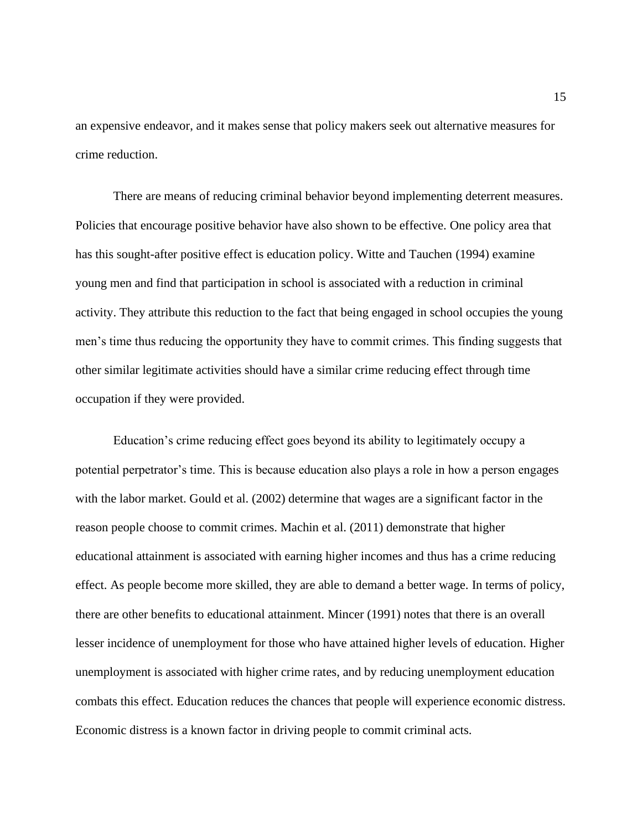an expensive endeavor, and it makes sense that policy makers seek out alternative measures for crime reduction.

There are means of reducing criminal behavior beyond implementing deterrent measures. Policies that encourage positive behavior have also shown to be effective. One policy area that has this sought-after positive effect is education policy. Witte and Tauchen (1994) examine young men and find that participation in school is associated with a reduction in criminal activity. They attribute this reduction to the fact that being engaged in school occupies the young men's time thus reducing the opportunity they have to commit crimes. This finding suggests that other similar legitimate activities should have a similar crime reducing effect through time occupation if they were provided.

Education's crime reducing effect goes beyond its ability to legitimately occupy a potential perpetrator's time. This is because education also plays a role in how a person engages with the labor market. Gould et al. (2002) determine that wages are a significant factor in the reason people choose to commit crimes. Machin et al. (2011) demonstrate that higher educational attainment is associated with earning higher incomes and thus has a crime reducing effect. As people become more skilled, they are able to demand a better wage. In terms of policy, there are other benefits to educational attainment. Mincer (1991) notes that there is an overall lesser incidence of unemployment for those who have attained higher levels of education. Higher unemployment is associated with higher crime rates, and by reducing unemployment education combats this effect. Education reduces the chances that people will experience economic distress. Economic distress is a known factor in driving people to commit criminal acts.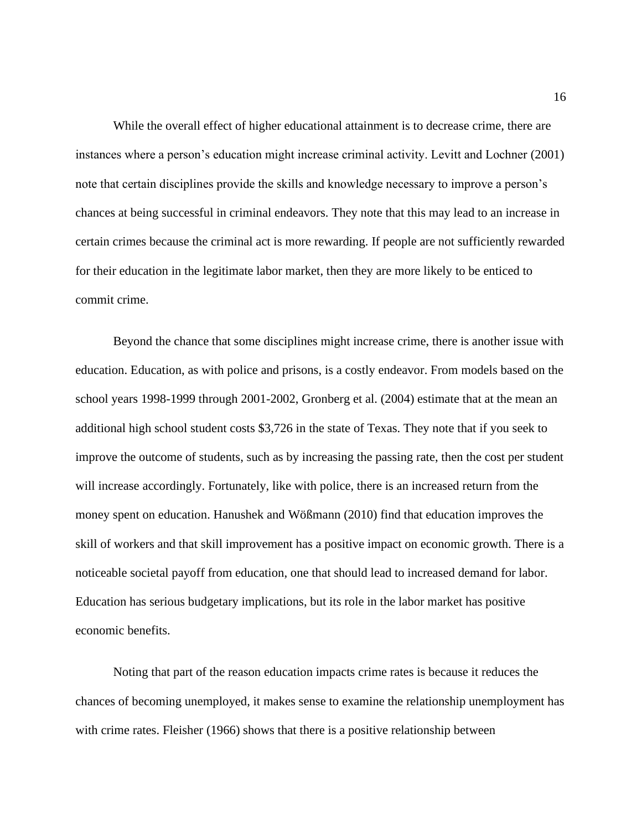While the overall effect of higher educational attainment is to decrease crime, there are instances where a person's education might increase criminal activity. Levitt and Lochner (2001) note that certain disciplines provide the skills and knowledge necessary to improve a person's chances at being successful in criminal endeavors. They note that this may lead to an increase in certain crimes because the criminal act is more rewarding. If people are not sufficiently rewarded for their education in the legitimate labor market, then they are more likely to be enticed to commit crime.

Beyond the chance that some disciplines might increase crime, there is another issue with education. Education, as with police and prisons, is a costly endeavor. From models based on the school years 1998-1999 through 2001-2002, Gronberg et al. (2004) estimate that at the mean an additional high school student costs \$3,726 in the state of Texas. They note that if you seek to improve the outcome of students, such as by increasing the passing rate, then the cost per student will increase accordingly. Fortunately, like with police, there is an increased return from the money spent on education. Hanushek and Wößmann (2010) find that education improves the skill of workers and that skill improvement has a positive impact on economic growth. There is a noticeable societal payoff from education, one that should lead to increased demand for labor. Education has serious budgetary implications, but its role in the labor market has positive economic benefits.

Noting that part of the reason education impacts crime rates is because it reduces the chances of becoming unemployed, it makes sense to examine the relationship unemployment has with crime rates. Fleisher (1966) shows that there is a positive relationship between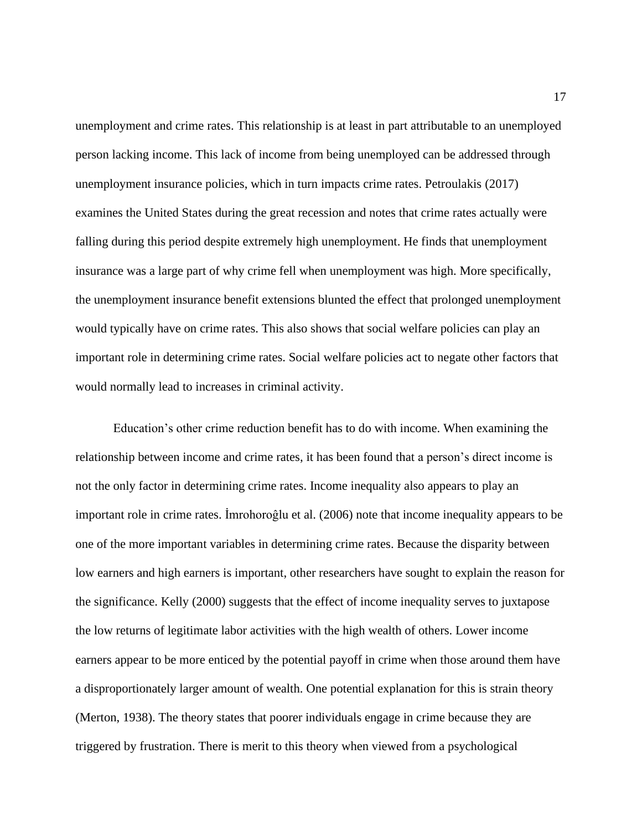unemployment and crime rates. This relationship is at least in part attributable to an unemployed person lacking income. This lack of income from being unemployed can be addressed through unemployment insurance policies, which in turn impacts crime rates. Petroulakis (2017) examines the United States during the great recession and notes that crime rates actually were falling during this period despite extremely high unemployment. He finds that unemployment insurance was a large part of why crime fell when unemployment was high. More specifically, the unemployment insurance benefit extensions blunted the effect that prolonged unemployment would typically have on crime rates. This also shows that social welfare policies can play an important role in determining crime rates. Social welfare policies act to negate other factors that would normally lead to increases in criminal activity.

Education's other crime reduction benefit has to do with income. When examining the relationship between income and crime rates, it has been found that a person's direct income is not the only factor in determining crime rates. Income inequality also appears to play an important role in crime rates. İmrohoroĝlu et al. (2006) note that income inequality appears to be one of the more important variables in determining crime rates. Because the disparity between low earners and high earners is important, other researchers have sought to explain the reason for the significance. Kelly (2000) suggests that the effect of income inequality serves to juxtapose the low returns of legitimate labor activities with the high wealth of others. Lower income earners appear to be more enticed by the potential payoff in crime when those around them have a disproportionately larger amount of wealth. One potential explanation for this is strain theory (Merton, 1938). The theory states that poorer individuals engage in crime because they are triggered by frustration. There is merit to this theory when viewed from a psychological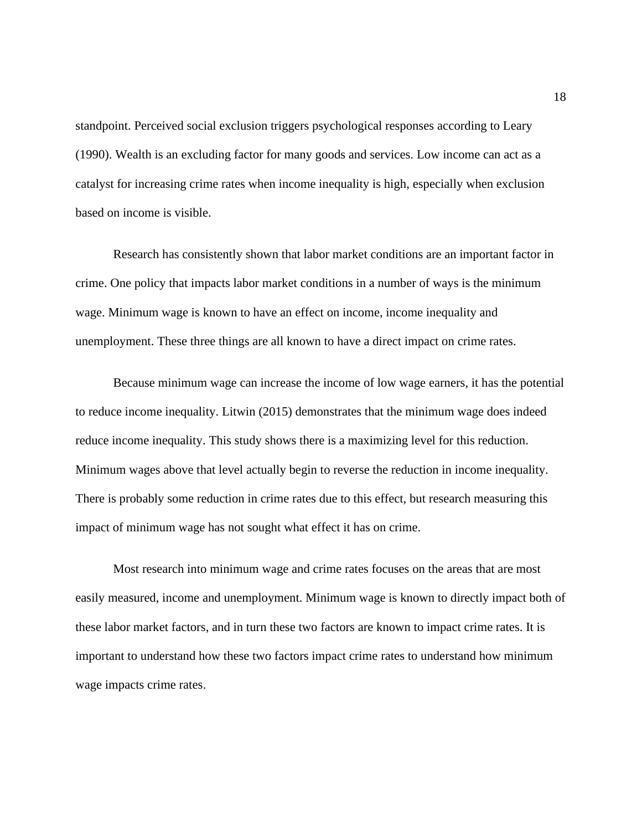standpoint. Perceived social exclusion triggers psychological responses according to Leary (1990). Wealth is an excluding factor for many goods and services. Low income can act as a catalyst for increasing crime rates when income inequality is high, especially when exclusion based on income is visible.

Research has consistently shown that labor market conditions are an important factor in crime. One policy that impacts labor market conditions in a number of ways is the minimum wage. Minimum wage is known to have an effect on income, income inequality and unemployment. These three things are all known to have a direct impact on crime rates.

Because minimum wage can increase the income of low wage earners, it has the potential to reduce income inequality. Litwin (2015) demonstrates that the minimum wage does indeed reduce income inequality. This study shows there is a maximizing level for this reduction. Minimum wages above that level actually begin to reverse the reduction in income inequality. There is probably some reduction in crime rates due to this effect, but research measuring this impact of minimum wage has not sought what effect it has on crime.

Most research into minimum wage and crime rates focuses on the areas that are most easily measured, income and unemployment. Minimum wage is known to directly impact both of these labor market factors, and in turn these two factors are known to impact crime rates. It is important to understand how these two factors impact crime rates to understand how minimum wage impacts crime rates.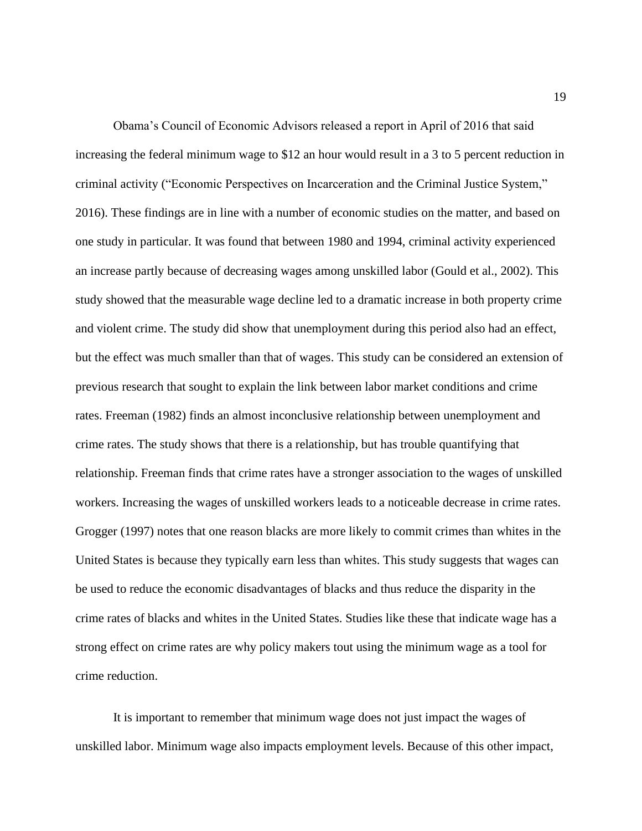Obama's Council of Economic Advisors released a report in April of 2016 that said increasing the federal minimum wage to \$12 an hour would result in a 3 to 5 percent reduction in criminal activity ("Economic Perspectives on Incarceration and the Criminal Justice System," 2016). These findings are in line with a number of economic studies on the matter, and based on one study in particular. It was found that between 1980 and 1994, criminal activity experienced an increase partly because of decreasing wages among unskilled labor (Gould et al., 2002). This study showed that the measurable wage decline led to a dramatic increase in both property crime and violent crime. The study did show that unemployment during this period also had an effect, but the effect was much smaller than that of wages. This study can be considered an extension of previous research that sought to explain the link between labor market conditions and crime rates. Freeman (1982) finds an almost inconclusive relationship between unemployment and crime rates. The study shows that there is a relationship, but has trouble quantifying that relationship. Freeman finds that crime rates have a stronger association to the wages of unskilled workers. Increasing the wages of unskilled workers leads to a noticeable decrease in crime rates. Grogger (1997) notes that one reason blacks are more likely to commit crimes than whites in the United States is because they typically earn less than whites. This study suggests that wages can be used to reduce the economic disadvantages of blacks and thus reduce the disparity in the crime rates of blacks and whites in the United States. Studies like these that indicate wage has a strong effect on crime rates are why policy makers tout using the minimum wage as a tool for crime reduction.

It is important to remember that minimum wage does not just impact the wages of unskilled labor. Minimum wage also impacts employment levels. Because of this other impact,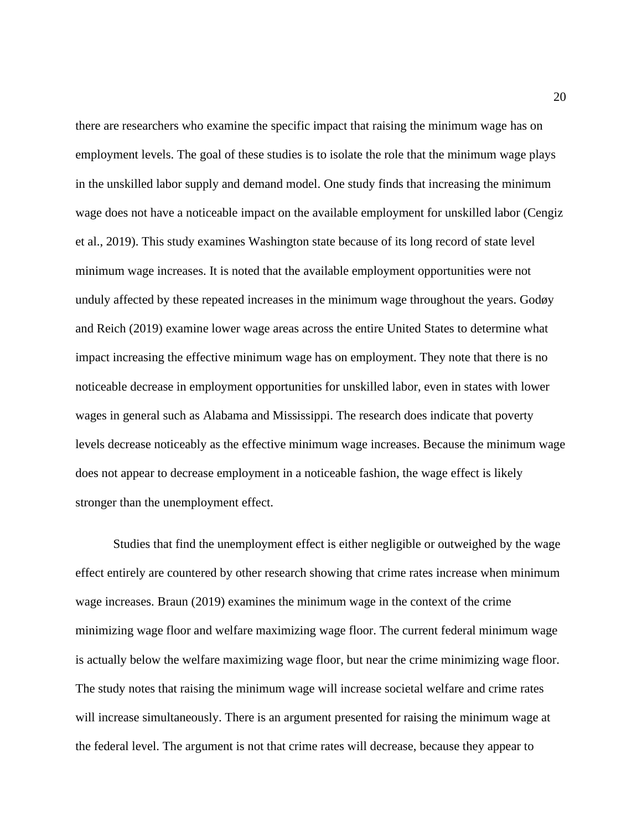there are researchers who examine the specific impact that raising the minimum wage has on employment levels. The goal of these studies is to isolate the role that the minimum wage plays in the unskilled labor supply and demand model. One study finds that increasing the minimum wage does not have a noticeable impact on the available employment for unskilled labor (Cengiz et al., 2019). This study examines Washington state because of its long record of state level minimum wage increases. It is noted that the available employment opportunities were not unduly affected by these repeated increases in the minimum wage throughout the years. Godøy and Reich (2019) examine lower wage areas across the entire United States to determine what impact increasing the effective minimum wage has on employment. They note that there is no noticeable decrease in employment opportunities for unskilled labor, even in states with lower wages in general such as Alabama and Mississippi. The research does indicate that poverty levels decrease noticeably as the effective minimum wage increases. Because the minimum wage does not appear to decrease employment in a noticeable fashion, the wage effect is likely stronger than the unemployment effect.

Studies that find the unemployment effect is either negligible or outweighed by the wage effect entirely are countered by other research showing that crime rates increase when minimum wage increases. Braun (2019) examines the minimum wage in the context of the crime minimizing wage floor and welfare maximizing wage floor. The current federal minimum wage is actually below the welfare maximizing wage floor, but near the crime minimizing wage floor. The study notes that raising the minimum wage will increase societal welfare and crime rates will increase simultaneously. There is an argument presented for raising the minimum wage at the federal level. The argument is not that crime rates will decrease, because they appear to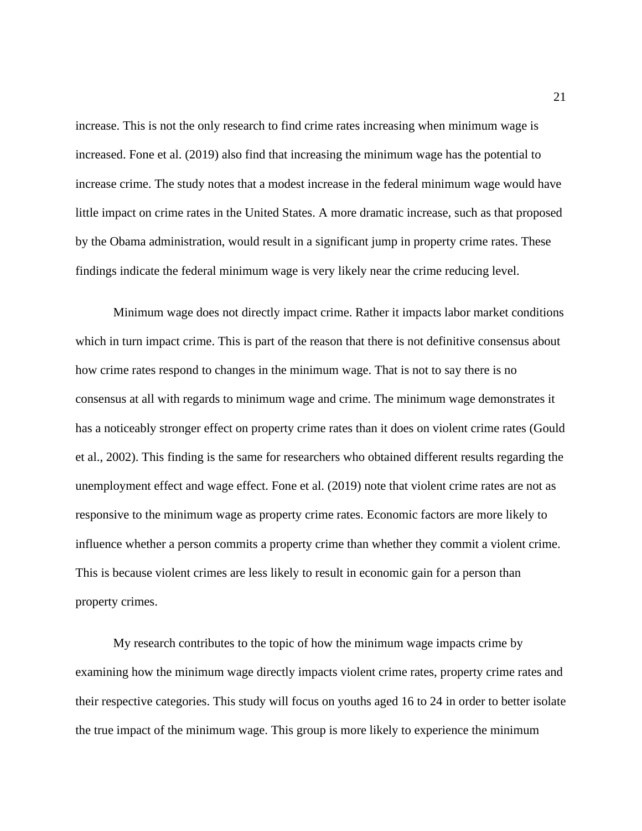increase. This is not the only research to find crime rates increasing when minimum wage is increased. Fone et al. (2019) also find that increasing the minimum wage has the potential to increase crime. The study notes that a modest increase in the federal minimum wage would have little impact on crime rates in the United States. A more dramatic increase, such as that proposed by the Obama administration, would result in a significant jump in property crime rates. These findings indicate the federal minimum wage is very likely near the crime reducing level.

Minimum wage does not directly impact crime. Rather it impacts labor market conditions which in turn impact crime. This is part of the reason that there is not definitive consensus about how crime rates respond to changes in the minimum wage. That is not to say there is no consensus at all with regards to minimum wage and crime. The minimum wage demonstrates it has a noticeably stronger effect on property crime rates than it does on violent crime rates (Gould et al., 2002). This finding is the same for researchers who obtained different results regarding the unemployment effect and wage effect. Fone et al. (2019) note that violent crime rates are not as responsive to the minimum wage as property crime rates. Economic factors are more likely to influence whether a person commits a property crime than whether they commit a violent crime. This is because violent crimes are less likely to result in economic gain for a person than property crimes.

My research contributes to the topic of how the minimum wage impacts crime by examining how the minimum wage directly impacts violent crime rates, property crime rates and their respective categories. This study will focus on youths aged 16 to 24 in order to better isolate the true impact of the minimum wage. This group is more likely to experience the minimum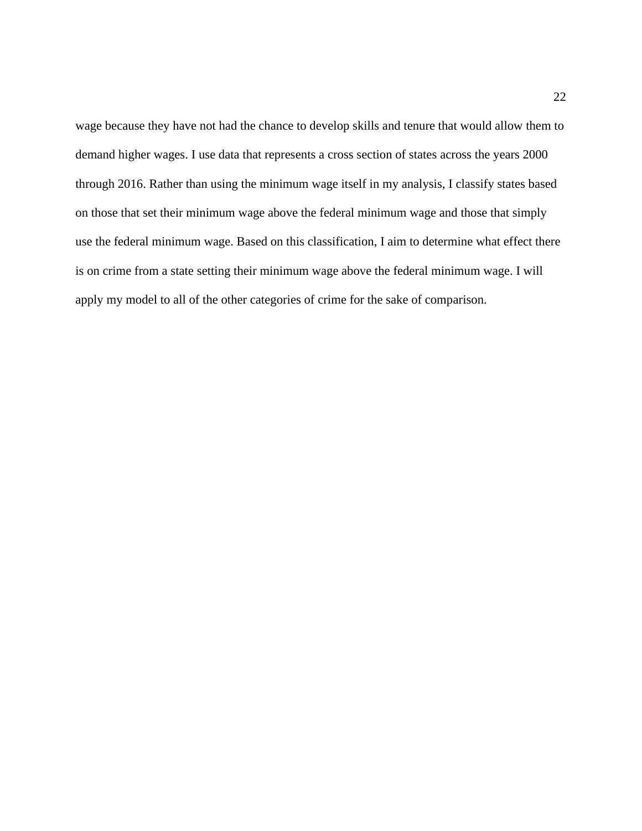wage because they have not had the chance to develop skills and tenure that would allow them to demand higher wages. I use data that represents a cross section of states across the years 2000 through 2016. Rather than using the minimum wage itself in my analysis, I classify states based on those that set their minimum wage above the federal minimum wage and those that simply use the federal minimum wage. Based on this classification, I aim to determine what effect there is on crime from a state setting their minimum wage above the federal minimum wage. I will apply my model to all of the other categories of crime for the sake of comparison.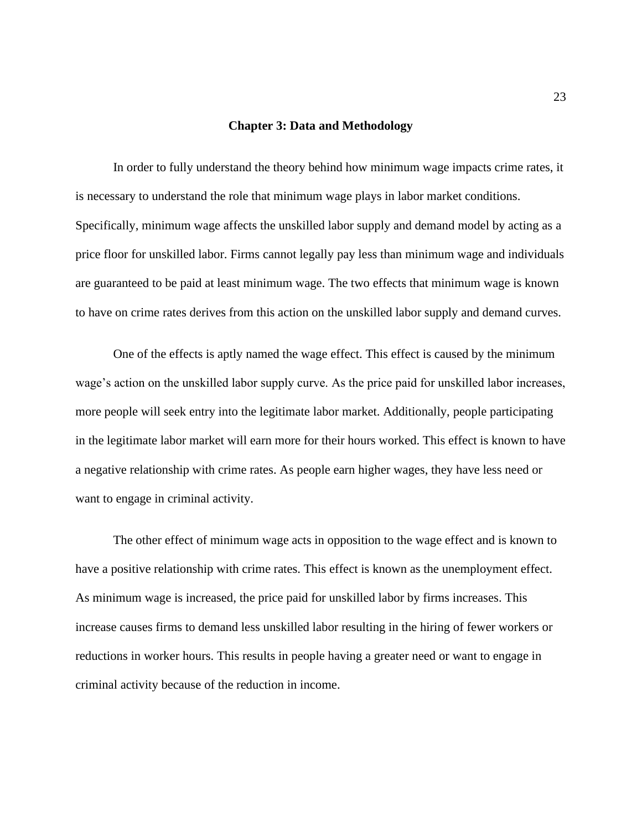#### **Chapter 3: Data and Methodology**

In order to fully understand the theory behind how minimum wage impacts crime rates, it is necessary to understand the role that minimum wage plays in labor market conditions. Specifically, minimum wage affects the unskilled labor supply and demand model by acting as a price floor for unskilled labor. Firms cannot legally pay less than minimum wage and individuals are guaranteed to be paid at least minimum wage. The two effects that minimum wage is known to have on crime rates derives from this action on the unskilled labor supply and demand curves.

One of the effects is aptly named the wage effect. This effect is caused by the minimum wage's action on the unskilled labor supply curve. As the price paid for unskilled labor increases, more people will seek entry into the legitimate labor market. Additionally, people participating in the legitimate labor market will earn more for their hours worked. This effect is known to have a negative relationship with crime rates. As people earn higher wages, they have less need or want to engage in criminal activity.

The other effect of minimum wage acts in opposition to the wage effect and is known to have a positive relationship with crime rates. This effect is known as the unemployment effect. As minimum wage is increased, the price paid for unskilled labor by firms increases. This increase causes firms to demand less unskilled labor resulting in the hiring of fewer workers or reductions in worker hours. This results in people having a greater need or want to engage in criminal activity because of the reduction in income.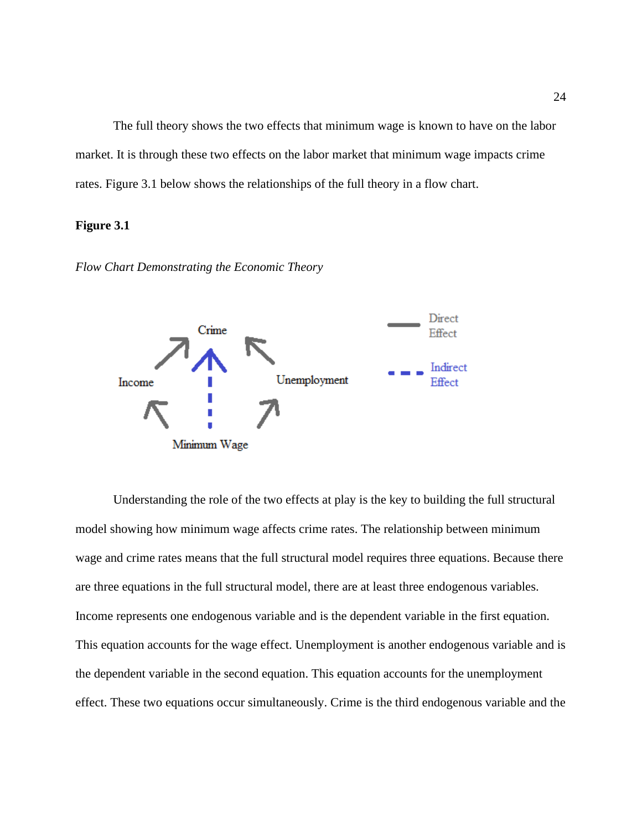The full theory shows the two effects that minimum wage is known to have on the labor market. It is through these two effects on the labor market that minimum wage impacts crime rates. Figure 3.1 below shows the relationships of the full theory in a flow chart.

### **Figure 3.1**





Understanding the role of the two effects at play is the key to building the full structural model showing how minimum wage affects crime rates. The relationship between minimum wage and crime rates means that the full structural model requires three equations. Because there are three equations in the full structural model, there are at least three endogenous variables. Income represents one endogenous variable and is the dependent variable in the first equation. This equation accounts for the wage effect. Unemployment is another endogenous variable and is the dependent variable in the second equation. This equation accounts for the unemployment effect. These two equations occur simultaneously. Crime is the third endogenous variable and the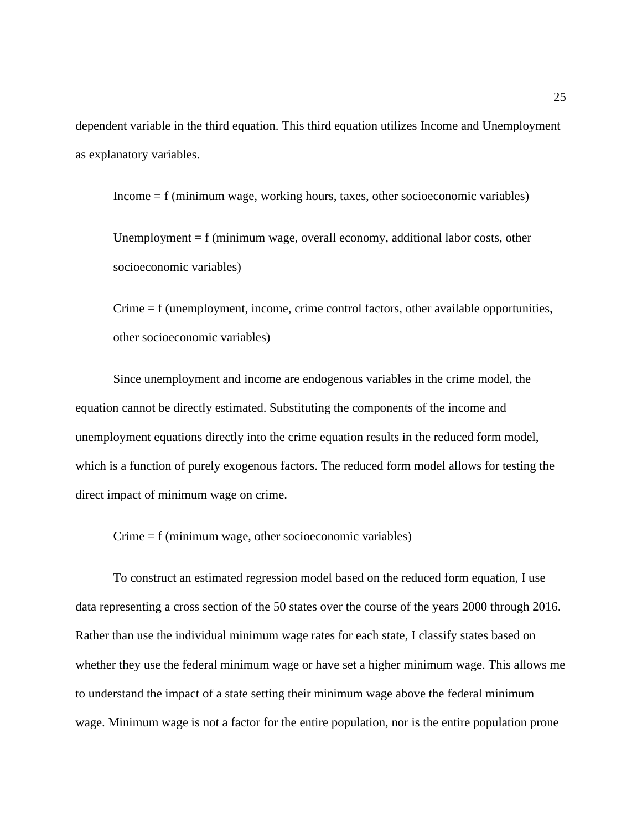dependent variable in the third equation. This third equation utilizes Income and Unemployment as explanatory variables.

Income = f (minimum wage, working hours, taxes, other socioeconomic variables)

Unemployment  $= f$  (minimum wage, overall economy, additional labor costs, other socioeconomic variables)

Crime = f (unemployment, income, crime control factors, other available opportunities, other socioeconomic variables)

Since unemployment and income are endogenous variables in the crime model, the equation cannot be directly estimated. Substituting the components of the income and unemployment equations directly into the crime equation results in the reduced form model, which is a function of purely exogenous factors. The reduced form model allows for testing the direct impact of minimum wage on crime.

Crime = f (minimum wage, other socioeconomic variables)

To construct an estimated regression model based on the reduced form equation, I use data representing a cross section of the 50 states over the course of the years 2000 through 2016. Rather than use the individual minimum wage rates for each state, I classify states based on whether they use the federal minimum wage or have set a higher minimum wage. This allows me to understand the impact of a state setting their minimum wage above the federal minimum wage. Minimum wage is not a factor for the entire population, nor is the entire population prone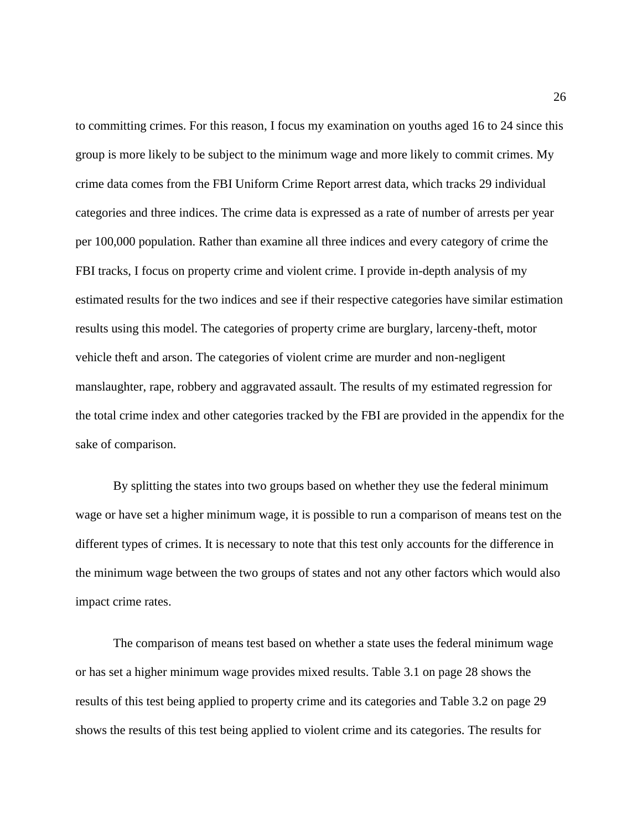to committing crimes. For this reason, I focus my examination on youths aged 16 to 24 since this group is more likely to be subject to the minimum wage and more likely to commit crimes. My crime data comes from the FBI Uniform Crime Report arrest data, which tracks 29 individual categories and three indices. The crime data is expressed as a rate of number of arrests per year per 100,000 population. Rather than examine all three indices and every category of crime the FBI tracks, I focus on property crime and violent crime. I provide in-depth analysis of my estimated results for the two indices and see if their respective categories have similar estimation results using this model. The categories of property crime are burglary, larceny-theft, motor vehicle theft and arson. The categories of violent crime are murder and non-negligent manslaughter, rape, robbery and aggravated assault. The results of my estimated regression for the total crime index and other categories tracked by the FBI are provided in the appendix for the sake of comparison.

By splitting the states into two groups based on whether they use the federal minimum wage or have set a higher minimum wage, it is possible to run a comparison of means test on the different types of crimes. It is necessary to note that this test only accounts for the difference in the minimum wage between the two groups of states and not any other factors which would also impact crime rates.

The comparison of means test based on whether a state uses the federal minimum wage or has set a higher minimum wage provides mixed results. Table 3.1 on page 28 shows the results of this test being applied to property crime and its categories and Table 3.2 on page 29 shows the results of this test being applied to violent crime and its categories. The results for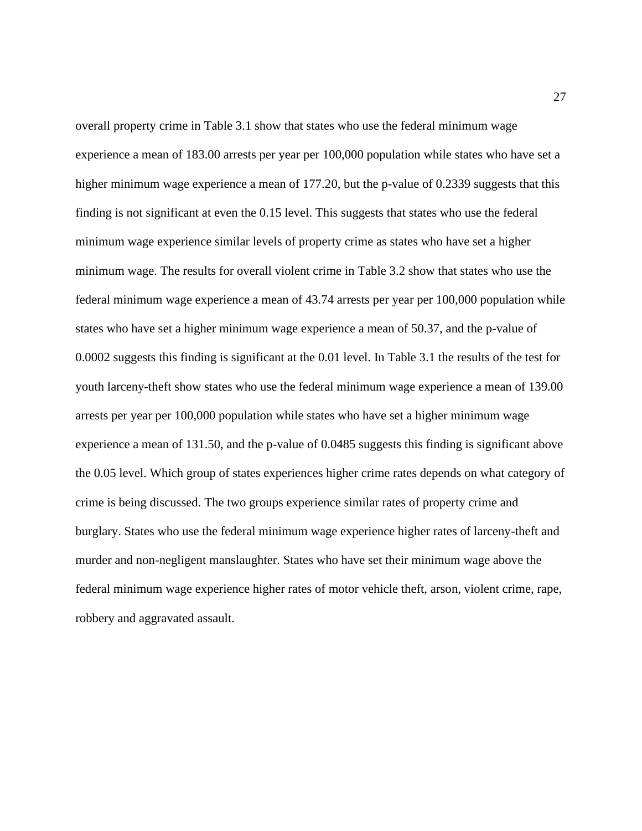overall property crime in Table 3.1 show that states who use the federal minimum wage experience a mean of 183.00 arrests per year per 100,000 population while states who have set a higher minimum wage experience a mean of 177.20, but the p-value of 0.2339 suggests that this finding is not significant at even the 0.15 level. This suggests that states who use the federal minimum wage experience similar levels of property crime as states who have set a higher minimum wage. The results for overall violent crime in Table 3.2 show that states who use the federal minimum wage experience a mean of 43.74 arrests per year per 100,000 population while states who have set a higher minimum wage experience a mean of 50.37, and the p-value of 0.0002 suggests this finding is significant at the 0.01 level. In Table 3.1 the results of the test for youth larceny-theft show states who use the federal minimum wage experience a mean of 139.00 arrests per year per 100,000 population while states who have set a higher minimum wage experience a mean of 131.50, and the p-value of 0.0485 suggests this finding is significant above the 0.05 level. Which group of states experiences higher crime rates depends on what category of crime is being discussed. The two groups experience similar rates of property crime and burglary. States who use the federal minimum wage experience higher rates of larceny-theft and murder and non-negligent manslaughter. States who have set their minimum wage above the federal minimum wage experience higher rates of motor vehicle theft, arson, violent crime, rape, robbery and aggravated assault.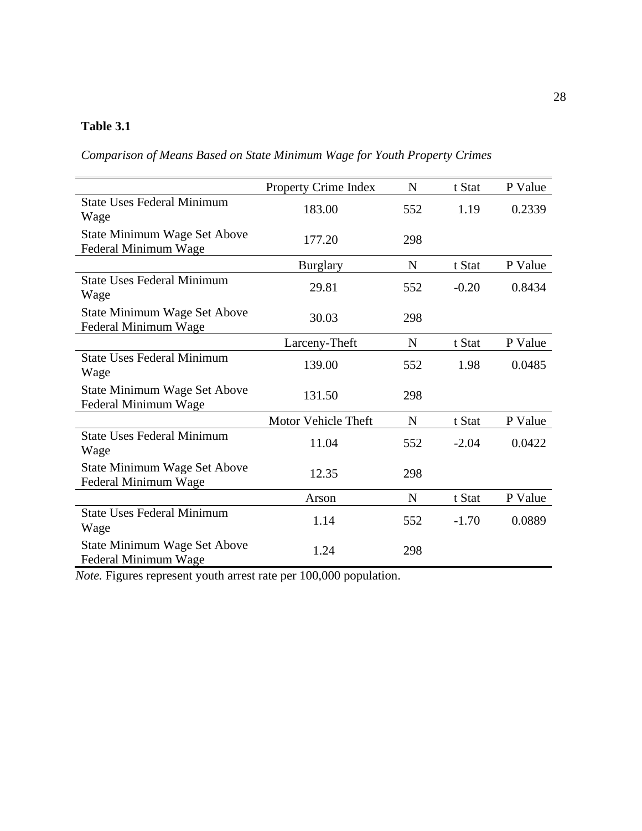# **Table 3.1**

*Comparison of Means Based on State Minimum Wage for Youth Property Crimes*

|                                                      | <b>Property Crime Index</b> | N           | t Stat  | P Value |
|------------------------------------------------------|-----------------------------|-------------|---------|---------|
| <b>State Uses Federal Minimum</b><br>Wage            | 183.00                      | 552         | 1.19    | 0.2339  |
| State Minimum Wage Set Above<br>Federal Minimum Wage | 177.20                      | 298         |         |         |
|                                                      | <b>Burglary</b>             | $\mathbf N$ | t Stat  | P Value |
| <b>State Uses Federal Minimum</b><br>Wage            | 29.81                       | 552         | $-0.20$ | 0.8434  |
| State Minimum Wage Set Above<br>Federal Minimum Wage | 30.03                       | 298         |         |         |
|                                                      | Larceny-Theft               | N           | t Stat  | P Value |
| <b>State Uses Federal Minimum</b><br>Wage            | 139.00                      | 552         | 1.98    | 0.0485  |
| State Minimum Wage Set Above<br>Federal Minimum Wage | 131.50                      | 298         |         |         |
|                                                      | Motor Vehicle Theft         | $\mathbf N$ | t Stat  | P Value |
| <b>State Uses Federal Minimum</b><br>Wage            | 11.04                       | 552         | $-2.04$ | 0.0422  |
| State Minimum Wage Set Above<br>Federal Minimum Wage | 12.35                       | 298         |         |         |
|                                                      | Arson                       | N           | t Stat  | P Value |
| <b>State Uses Federal Minimum</b><br>Wage            | 1.14                        | 552         | $-1.70$ | 0.0889  |
| State Minimum Wage Set Above<br>Federal Minimum Wage | 1.24                        | 298         |         |         |

*Note.* Figures represent youth arrest rate per 100,000 population.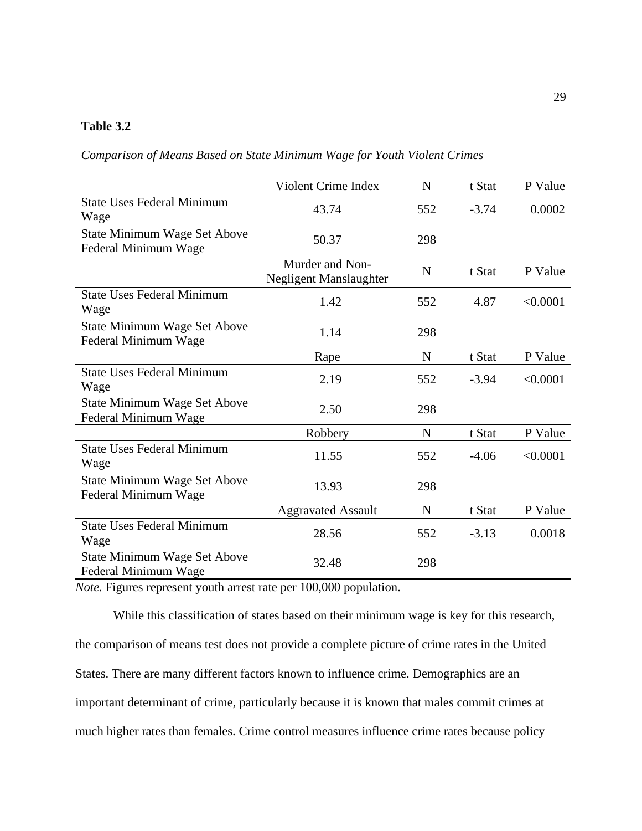### **Table 3.2**

*Comparison of Means Based on State Minimum Wage for Youth Violent Crimes*

|                                                      | <b>Violent Crime Index</b>                | N           | t Stat  | P Value  |
|------------------------------------------------------|-------------------------------------------|-------------|---------|----------|
| <b>State Uses Federal Minimum</b><br>Wage            | 43.74                                     | 552         | $-3.74$ | 0.0002   |
| State Minimum Wage Set Above<br>Federal Minimum Wage | 50.37                                     | 298         |         |          |
|                                                      | Murder and Non-<br>Negligent Manslaughter | N           | t Stat  | P Value  |
| <b>State Uses Federal Minimum</b><br>Wage            | 1.42                                      | 552         | 4.87    | < 0.0001 |
| State Minimum Wage Set Above<br>Federal Minimum Wage | 1.14                                      | 298         |         |          |
|                                                      | Rape                                      | N           | t Stat  | P Value  |
| <b>State Uses Federal Minimum</b><br>Wage            | 2.19                                      | 552         | $-3.94$ | < 0.0001 |
| State Minimum Wage Set Above<br>Federal Minimum Wage | 2.50                                      | 298         |         |          |
|                                                      | Robbery                                   | $\mathbf N$ | t Stat  | P Value  |
| <b>State Uses Federal Minimum</b><br>Wage            | 11.55                                     | 552         | $-4.06$ | < 0.0001 |
| State Minimum Wage Set Above<br>Federal Minimum Wage | 13.93                                     | 298         |         |          |
|                                                      | <b>Aggravated Assault</b>                 | $\mathbf N$ | t Stat  | P Value  |
| <b>State Uses Federal Minimum</b><br>Wage            | 28.56                                     | 552         | $-3.13$ | 0.0018   |
| State Minimum Wage Set Above<br>Federal Minimum Wage | 32.48                                     | 298         |         |          |

*Note.* Figures represent youth arrest rate per 100,000 population.

While this classification of states based on their minimum wage is key for this research, the comparison of means test does not provide a complete picture of crime rates in the United States. There are many different factors known to influence crime. Demographics are an important determinant of crime, particularly because it is known that males commit crimes at much higher rates than females. Crime control measures influence crime rates because policy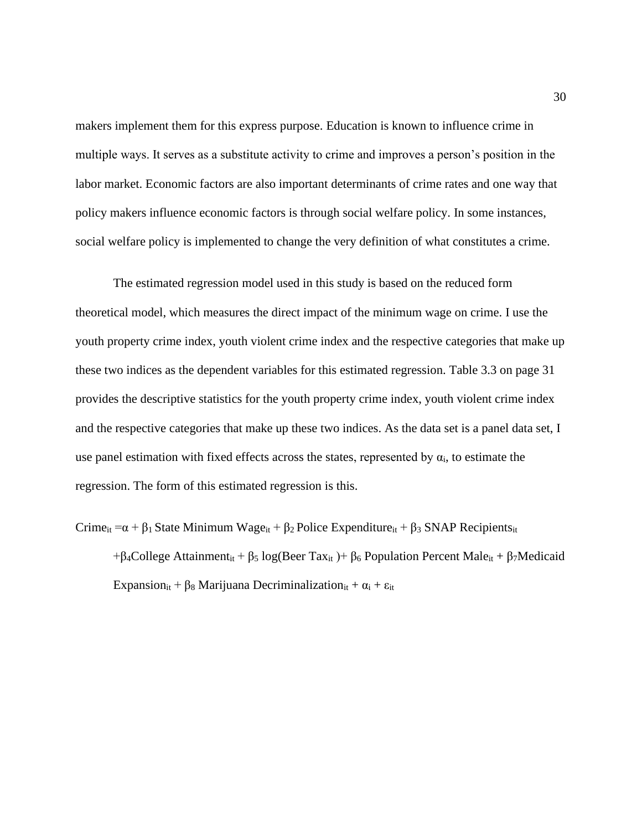makers implement them for this express purpose. Education is known to influence crime in multiple ways. It serves as a substitute activity to crime and improves a person's position in the labor market. Economic factors are also important determinants of crime rates and one way that policy makers influence economic factors is through social welfare policy. In some instances, social welfare policy is implemented to change the very definition of what constitutes a crime.

The estimated regression model used in this study is based on the reduced form theoretical model, which measures the direct impact of the minimum wage on crime. I use the youth property crime index, youth violent crime index and the respective categories that make up these two indices as the dependent variables for this estimated regression. Table 3.3 on page 31 provides the descriptive statistics for the youth property crime index, youth violent crime index and the respective categories that make up these two indices. As the data set is a panel data set, I use panel estimation with fixed effects across the states, represented by  $\alpha_i$ , to estimate the regression. The form of this estimated regression is this.

Crime<sub>it</sub> =  $\alpha + \beta_1$  State Minimum Wage<sub>it</sub> +  $\beta_2$  Police Expenditure<sub>it</sub> +  $\beta_3$  SNAP Recipients<sub>it</sub> +β4College Attainment<sub>it</sub> + β<sub>5</sub> log(Beer Tax<sub>it</sub>) + β<sub>6</sub> Population Percent Male<sub>it</sub> + β<sub>7</sub>Medicaid Expansion<sub>it</sub> +  $\beta_8$  Marijuana Decriminalization<sub>it</sub> +  $\alpha_i$  +  $\varepsilon_{it}$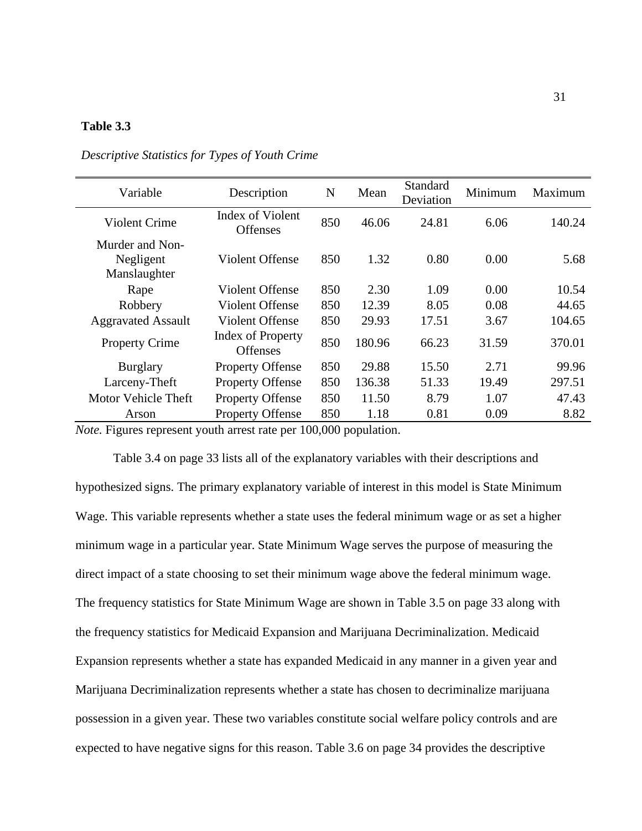### **Table 3.3**

| Variable                                     | Description                                 | N   | Mean   | Standard<br>Deviation | Minimum | Maximum |
|----------------------------------------------|---------------------------------------------|-----|--------|-----------------------|---------|---------|
| Violent Crime                                | Index of Violent<br><b>Offenses</b>         | 850 | 46.06  | 24.81                 | 6.06    | 140.24  |
| Murder and Non-<br>Negligent<br>Manslaughter | Violent Offense                             | 850 | 1.32   | 0.80                  | 0.00    | 5.68    |
| Rape                                         | Violent Offense                             | 850 | 2.30   | 1.09                  | 0.00    | 10.54   |
| Robbery                                      | Violent Offense                             | 850 | 12.39  | 8.05                  | 0.08    | 44.65   |
| <b>Aggravated Assault</b>                    | <b>Violent Offense</b>                      | 850 | 29.93  | 17.51                 | 3.67    | 104.65  |
| <b>Property Crime</b>                        | <b>Index of Property</b><br><b>Offenses</b> | 850 | 180.96 | 66.23                 | 31.59   | 370.01  |
| <b>Burglary</b>                              | <b>Property Offense</b>                     | 850 | 29.88  | 15.50                 | 2.71    | 99.96   |
| Larceny-Theft                                | <b>Property Offense</b>                     | 850 | 136.38 | 51.33                 | 19.49   | 297.51  |
| Motor Vehicle Theft                          | <b>Property Offense</b>                     | 850 | 11.50  | 8.79                  | 1.07    | 47.43   |
| Arson                                        | <b>Property Offense</b>                     | 850 | 1.18   | 0.81                  | 0.09    | 8.82    |

*Descriptive Statistics for Types of Youth Crime*

*Note.* Figures represent youth arrest rate per 100,000 population.

Table 3.4 on page 33 lists all of the explanatory variables with their descriptions and hypothesized signs. The primary explanatory variable of interest in this model is State Minimum Wage. This variable represents whether a state uses the federal minimum wage or as set a higher minimum wage in a particular year. State Minimum Wage serves the purpose of measuring the direct impact of a state choosing to set their minimum wage above the federal minimum wage. The frequency statistics for State Minimum Wage are shown in Table 3.5 on page 33 along with the frequency statistics for Medicaid Expansion and Marijuana Decriminalization. Medicaid Expansion represents whether a state has expanded Medicaid in any manner in a given year and Marijuana Decriminalization represents whether a state has chosen to decriminalize marijuana possession in a given year. These two variables constitute social welfare policy controls and are expected to have negative signs for this reason. Table 3.6 on page 34 provides the descriptive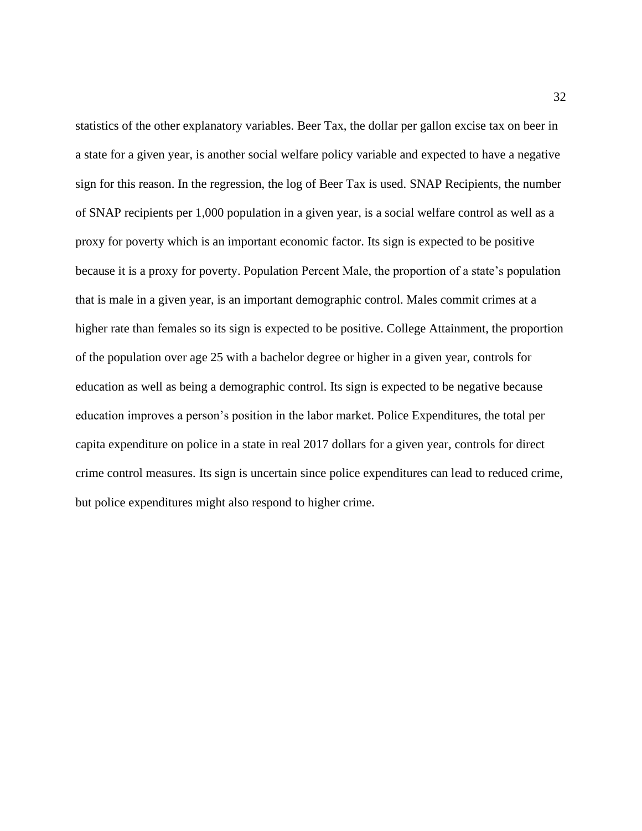statistics of the other explanatory variables. Beer Tax, the dollar per gallon excise tax on beer in a state for a given year, is another social welfare policy variable and expected to have a negative sign for this reason. In the regression, the log of Beer Tax is used. SNAP Recipients, the number of SNAP recipients per 1,000 population in a given year, is a social welfare control as well as a proxy for poverty which is an important economic factor. Its sign is expected to be positive because it is a proxy for poverty. Population Percent Male, the proportion of a state's population that is male in a given year, is an important demographic control. Males commit crimes at a higher rate than females so its sign is expected to be positive. College Attainment, the proportion of the population over age 25 with a bachelor degree or higher in a given year, controls for education as well as being a demographic control. Its sign is expected to be negative because education improves a person's position in the labor market. Police Expenditures, the total per capita expenditure on police in a state in real 2017 dollars for a given year, controls for direct crime control measures. Its sign is uncertain since police expenditures can lead to reduced crime, but police expenditures might also respond to higher crime.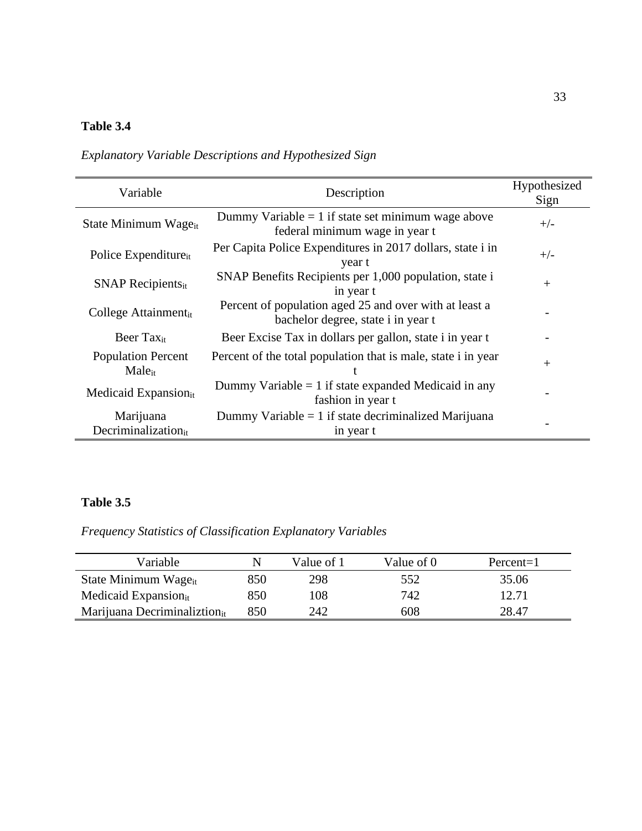# **Table 3.4**

*Explanatory Variable Descriptions and Hypothesized Sign*

| Variable                                        | Description                                                                                  | Hypothesized<br>Sign |
|-------------------------------------------------|----------------------------------------------------------------------------------------------|----------------------|
| State Minimum Wage <sub>it</sub>                | Dummy Variable = 1 if state set minimum wage above<br>federal minimum wage in year t         | $+/-$                |
| Police Expenditure <sub>it</sub>                | Per Capita Police Expenditures in 2017 dollars, state i in<br>year t                         | $+/-$                |
| $SNAP$ Recipients <sub>it</sub>                 | SNAP Benefits Recipients per 1,000 population, state i<br>in year t                          | $^{+}$               |
| College Attainmentit                            | Percent of population aged 25 and over with at least a<br>bachelor degree, state i in year t |                      |
| Beer Tax <sub>it</sub>                          | Beer Excise Tax in dollars per gallon, state i in year t                                     |                      |
| <b>Population Percent</b><br>Male <sub>it</sub> | Percent of the total population that is male, state i in year                                | $^{+}$               |
| Medicaid Expansion <sub>it</sub>                | Dummy Variable $= 1$ if state expanded Medicaid in any<br>fashion in year t                  |                      |
| Marijuana<br>Decriminalization $_{it}$          | Dummy Variable $= 1$ if state decriminalized Marijuana<br>in year t                          |                      |

## **Table 3.5**

*Frequency Statistics of Classification Explanatory Variables* 

| Variable                         |     | Value of 1 | Value of 0 | Percent=1 |
|----------------------------------|-----|------------|------------|-----------|
| State Minimum Wage <sub>it</sub> | 850 | 298        | 552        | 35.06     |
| Medicaid Expansion <sub>it</sub> | 850 | 108        | 742        | 12.71     |
| Marijuana Decriminaliztionit     | 850 | 242        | 608        | 28.47     |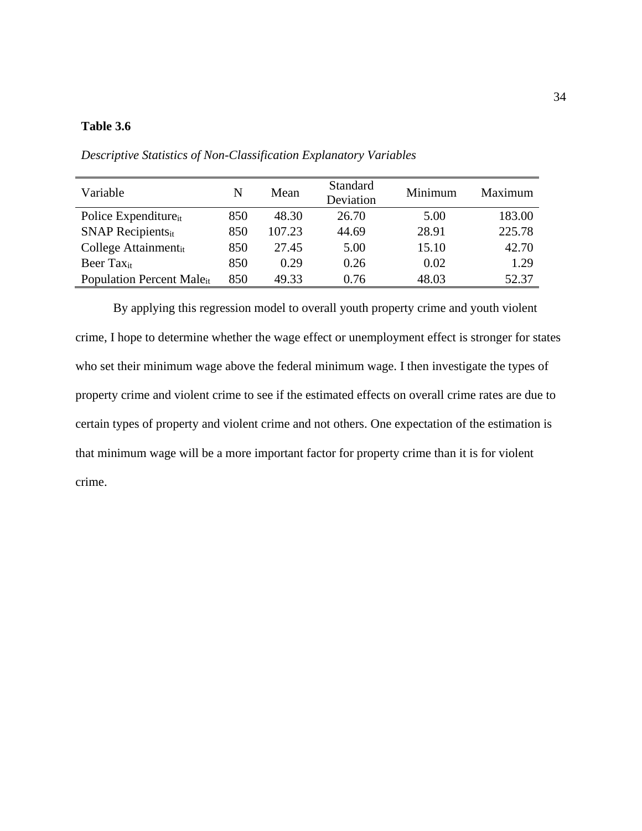### **Table 3.6**

| Variable                              | N   | Mean   | <b>Standard</b><br>Deviation | Minimum | Maximum |
|---------------------------------------|-----|--------|------------------------------|---------|---------|
| Police Expenditure <sub>it</sub>      | 850 | 48.30  | 26.70                        | 5.00    | 183.00  |
| $SNAP$ Recipients <sub>it</sub>       | 850 | 107.23 | 44.69                        | 28.91   | 225.78  |
| College Attainment <sub>it</sub>      | 850 | 27.45  | 5.00                         | 15.10   | 42.70   |
| Beer $\text{Tax}_{it}$                | 850 | 0.29   | 0.26                         | 0.02    | 1.29    |
| Population Percent Male <sub>it</sub> | 850 | 49.33  | 0.76                         | 48.03   | 52.37   |

*Descriptive Statistics of Non-Classification Explanatory Variables*

By applying this regression model to overall youth property crime and youth violent crime, I hope to determine whether the wage effect or unemployment effect is stronger for states who set their minimum wage above the federal minimum wage. I then investigate the types of property crime and violent crime to see if the estimated effects on overall crime rates are due to certain types of property and violent crime and not others. One expectation of the estimation is that minimum wage will be a more important factor for property crime than it is for violent crime.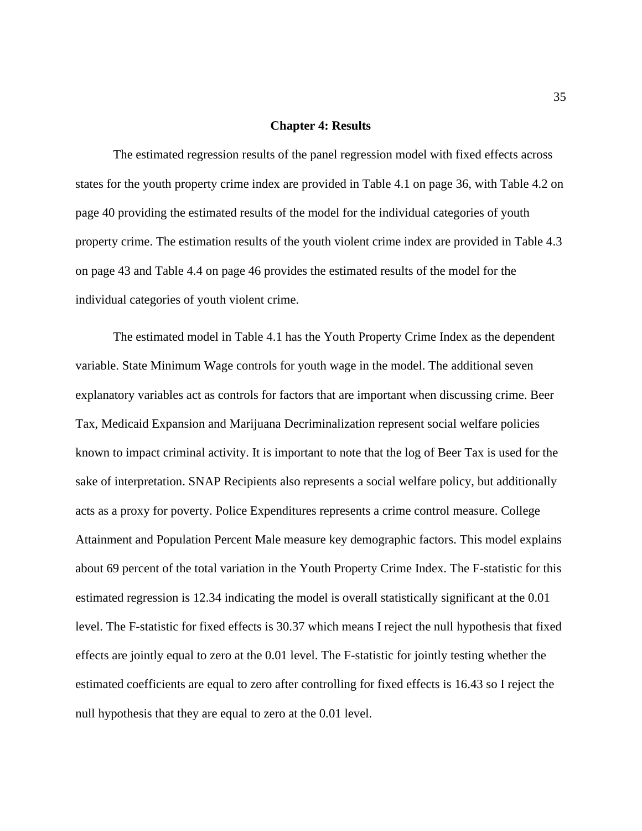#### **Chapter 4: Results**

The estimated regression results of the panel regression model with fixed effects across states for the youth property crime index are provided in Table 4.1 on page 36, with Table 4.2 on page 40 providing the estimated results of the model for the individual categories of youth property crime. The estimation results of the youth violent crime index are provided in Table 4.3 on page 43 and Table 4.4 on page 46 provides the estimated results of the model for the individual categories of youth violent crime.

The estimated model in Table 4.1 has the Youth Property Crime Index as the dependent variable. State Minimum Wage controls for youth wage in the model. The additional seven explanatory variables act as controls for factors that are important when discussing crime. Beer Tax, Medicaid Expansion and Marijuana Decriminalization represent social welfare policies known to impact criminal activity. It is important to note that the log of Beer Tax is used for the sake of interpretation. SNAP Recipients also represents a social welfare policy, but additionally acts as a proxy for poverty. Police Expenditures represents a crime control measure. College Attainment and Population Percent Male measure key demographic factors. This model explains about 69 percent of the total variation in the Youth Property Crime Index. The F-statistic for this estimated regression is 12.34 indicating the model is overall statistically significant at the 0.01 level. The F-statistic for fixed effects is 30.37 which means I reject the null hypothesis that fixed effects are jointly equal to zero at the 0.01 level. The F-statistic for jointly testing whether the estimated coefficients are equal to zero after controlling for fixed effects is 16.43 so I reject the null hypothesis that they are equal to zero at the 0.01 level.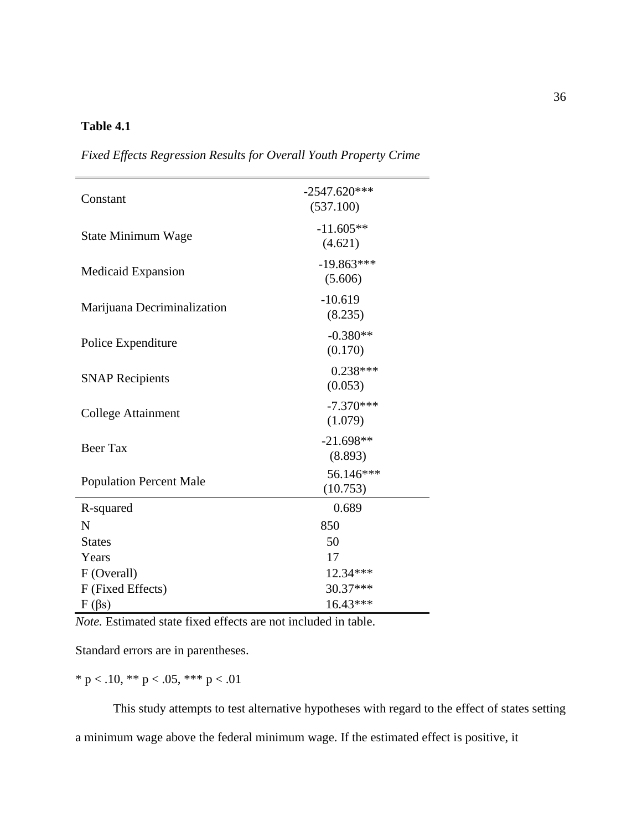#### **Table 4.1**

| Constant                       | $-2547.620***$<br>(537.100) |
|--------------------------------|-----------------------------|
| State Minimum Wage             | $-11.605**$<br>(4.621)      |
| Medicaid Expansion             | $-19.863***$<br>(5.606)     |
| Marijuana Decriminalization    | $-10.619$<br>(8.235)        |
| Police Expenditure             | $-0.380**$<br>(0.170)       |
| <b>SNAP Recipients</b>         | $0.238***$<br>(0.053)       |
| <b>College Attainment</b>      | $-7.370***$<br>(1.079)      |
| <b>Beer Tax</b>                | $-21.698**$<br>(8.893)      |
| <b>Population Percent Male</b> | 56.146***<br>(10.753)       |
| R-squared                      | 0.689                       |
| N                              | 850                         |
| <b>States</b>                  | 50                          |
| Years                          | 17                          |
| F (Overall)                    | 12.34***                    |
| F (Fixed Effects)              | 30.37***                    |
| $F(\beta s)$                   | 16.43***                    |

*Fixed Effects Regression Results for Overall Youth Property Crime*

*Note.* Estimated state fixed effects are not included in table.

Standard errors are in parentheses.

\* p < .10, \*\* p < .05, \*\*\* p < .01

This study attempts to test alternative hypotheses with regard to the effect of states setting a minimum wage above the federal minimum wage. If the estimated effect is positive, it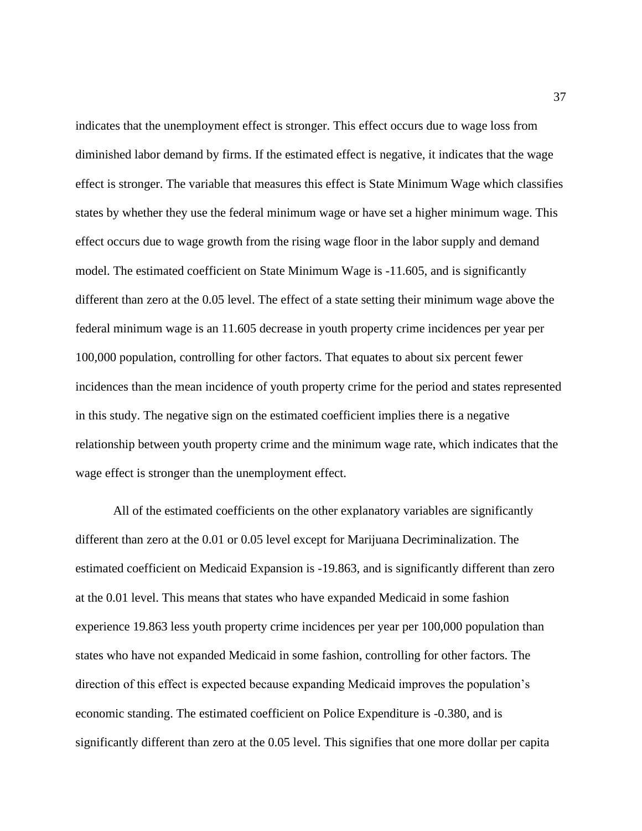indicates that the unemployment effect is stronger. This effect occurs due to wage loss from diminished labor demand by firms. If the estimated effect is negative, it indicates that the wage effect is stronger. The variable that measures this effect is State Minimum Wage which classifies states by whether they use the federal minimum wage or have set a higher minimum wage. This effect occurs due to wage growth from the rising wage floor in the labor supply and demand model. The estimated coefficient on State Minimum Wage is -11.605, and is significantly different than zero at the 0.05 level. The effect of a state setting their minimum wage above the federal minimum wage is an 11.605 decrease in youth property crime incidences per year per 100,000 population, controlling for other factors. That equates to about six percent fewer incidences than the mean incidence of youth property crime for the period and states represented in this study. The negative sign on the estimated coefficient implies there is a negative relationship between youth property crime and the minimum wage rate, which indicates that the wage effect is stronger than the unemployment effect.

All of the estimated coefficients on the other explanatory variables are significantly different than zero at the 0.01 or 0.05 level except for Marijuana Decriminalization. The estimated coefficient on Medicaid Expansion is -19.863, and is significantly different than zero at the 0.01 level. This means that states who have expanded Medicaid in some fashion experience 19.863 less youth property crime incidences per year per 100,000 population than states who have not expanded Medicaid in some fashion, controlling for other factors. The direction of this effect is expected because expanding Medicaid improves the population's economic standing. The estimated coefficient on Police Expenditure is -0.380, and is significantly different than zero at the 0.05 level. This signifies that one more dollar per capita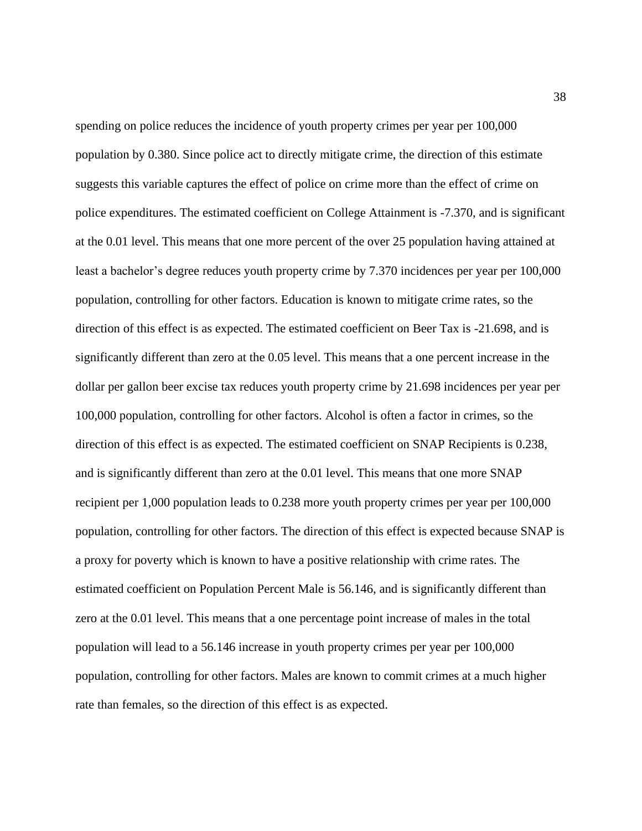spending on police reduces the incidence of youth property crimes per year per 100,000 population by 0.380. Since police act to directly mitigate crime, the direction of this estimate suggests this variable captures the effect of police on crime more than the effect of crime on police expenditures. The estimated coefficient on College Attainment is -7.370, and is significant at the 0.01 level. This means that one more percent of the over 25 population having attained at least a bachelor's degree reduces youth property crime by 7.370 incidences per year per 100,000 population, controlling for other factors. Education is known to mitigate crime rates, so the direction of this effect is as expected. The estimated coefficient on Beer Tax is -21.698, and is significantly different than zero at the 0.05 level. This means that a one percent increase in the dollar per gallon beer excise tax reduces youth property crime by 21.698 incidences per year per 100,000 population, controlling for other factors. Alcohol is often a factor in crimes, so the direction of this effect is as expected. The estimated coefficient on SNAP Recipients is 0.238, and is significantly different than zero at the 0.01 level. This means that one more SNAP recipient per 1,000 population leads to 0.238 more youth property crimes per year per 100,000 population, controlling for other factors. The direction of this effect is expected because SNAP is a proxy for poverty which is known to have a positive relationship with crime rates. The estimated coefficient on Population Percent Male is 56.146, and is significantly different than zero at the 0.01 level. This means that a one percentage point increase of males in the total population will lead to a 56.146 increase in youth property crimes per year per 100,000 population, controlling for other factors. Males are known to commit crimes at a much higher rate than females, so the direction of this effect is as expected.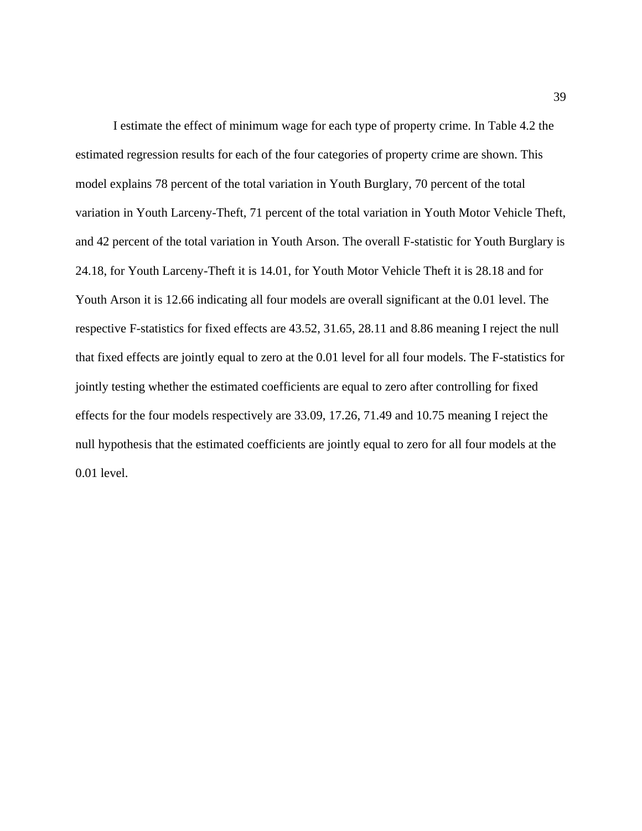I estimate the effect of minimum wage for each type of property crime. In Table 4.2 the estimated regression results for each of the four categories of property crime are shown. This model explains 78 percent of the total variation in Youth Burglary, 70 percent of the total variation in Youth Larceny-Theft, 71 percent of the total variation in Youth Motor Vehicle Theft, and 42 percent of the total variation in Youth Arson. The overall F-statistic for Youth Burglary is 24.18, for Youth Larceny-Theft it is 14.01, for Youth Motor Vehicle Theft it is 28.18 and for Youth Arson it is 12.66 indicating all four models are overall significant at the 0.01 level. The respective F-statistics for fixed effects are 43.52, 31.65, 28.11 and 8.86 meaning I reject the null that fixed effects are jointly equal to zero at the 0.01 level for all four models. The F-statistics for jointly testing whether the estimated coefficients are equal to zero after controlling for fixed effects for the four models respectively are 33.09, 17.26, 71.49 and 10.75 meaning I reject the null hypothesis that the estimated coefficients are jointly equal to zero for all four models at the 0.01 level.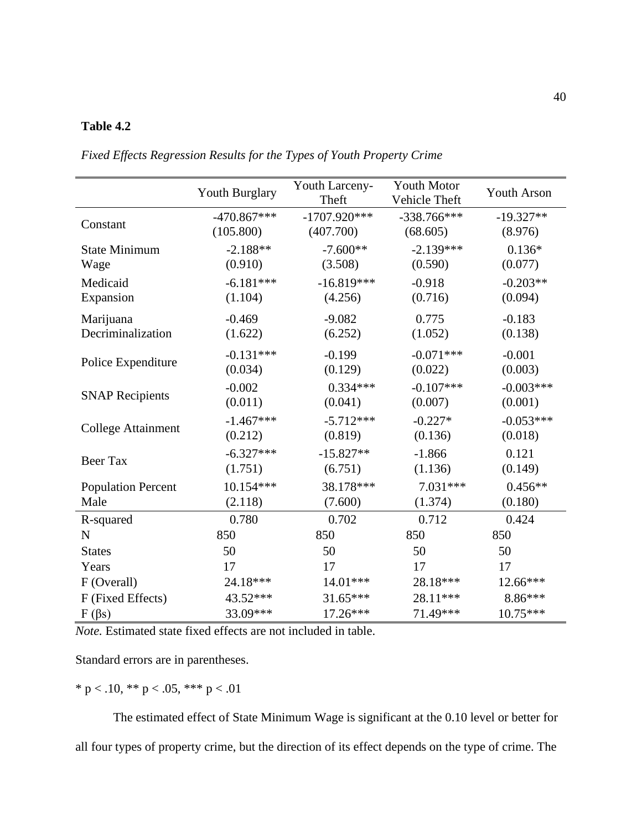#### **Table 4.2**

|                           | Youth Burglary | Youth Larceny-<br>Theft | <b>Youth Motor</b><br>Vehicle Theft | <b>Youth Arson</b> |
|---------------------------|----------------|-------------------------|-------------------------------------|--------------------|
| Constant                  | $-470.867***$  | $-1707.920***$          | $-338.766***$                       | $-19.327**$        |
|                           | (105.800)      | (407.700)               | (68.605)                            | (8.976)            |
| <b>State Minimum</b>      | $-2.188**$     | $-7.600**$              | $-2.139***$                         | $0.136*$           |
| Wage                      | (0.910)        | (3.508)                 | (0.590)                             | (0.077)            |
| Medicaid                  | $-6.181***$    | $-16.819***$            | $-0.918$                            | $-0.203**$         |
| Expansion                 | (1.104)        | (4.256)                 | (0.716)                             | (0.094)            |
| Marijuana                 | $-0.469$       | $-9.082$                | 0.775                               | $-0.183$           |
| Decriminalization         | (1.622)        | (6.252)                 | (1.052)                             | (0.138)            |
| Police Expenditure        | $-0.131***$    | $-0.199$                | $-0.071***$                         | $-0.001$           |
|                           | (0.034)        | (0.129)                 | (0.022)                             | (0.003)            |
| <b>SNAP Recipients</b>    | $-0.002$       | $0.334***$              | $-0.107***$                         | $-0.003***$        |
|                           | (0.011)        | (0.041)                 | (0.007)                             | (0.001)            |
| College Attainment        | $-1.467***$    | $-5.712***$             | $-0.227*$                           | $-0.053***$        |
|                           | (0.212)        | (0.819)                 | (0.136)                             | (0.018)            |
| <b>Beer Tax</b>           | $-6.327***$    | $-15.827**$             | $-1.866$                            | 0.121              |
|                           | (1.751)        | (6.751)                 | (1.136)                             | (0.149)            |
| <b>Population Percent</b> | 10.154***      | 38.178***               | $7.031***$                          | $0.456**$          |
| Male                      | (2.118)        | (7.600)                 | (1.374)                             | (0.180)            |
| R-squared                 | 0.780          | 0.702                   | 0.712                               | 0.424              |
| $\mathbf N$               | 850            | 850                     | 850                                 | 850                |
| <b>States</b>             | 50             | 50                      | 50                                  | 50                 |
| Years                     | 17             | 17                      | 17                                  | 17                 |
| F (Overall)               | 24.18***       | 14.01***                | 28.18***                            | 12.66***           |
| F (Fixed Effects)         | 43.52***       | 31.65***                | 28.11***                            | 8.86***            |
| $F(\beta s)$              | 33.09***       | 17.26***                | 71.49***                            | $10.75***$         |

*Fixed Effects Regression Results for the Types of Youth Property Crime*

*Note.* Estimated state fixed effects are not included in table.

Standard errors are in parentheses.

\* p < .10, \*\* p < .05, \*\*\* p < .01

The estimated effect of State Minimum Wage is significant at the 0.10 level or better for all four types of property crime, but the direction of its effect depends on the type of crime. The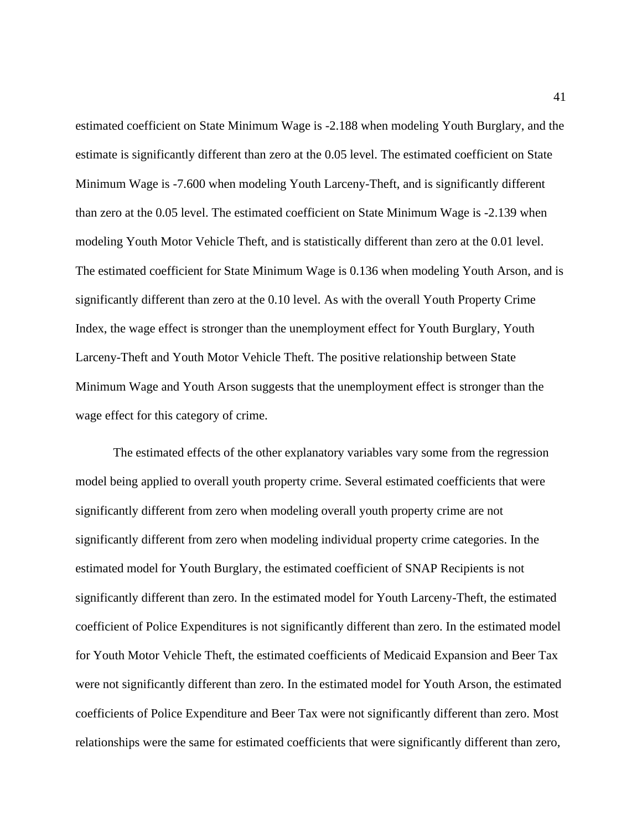estimated coefficient on State Minimum Wage is -2.188 when modeling Youth Burglary, and the estimate is significantly different than zero at the 0.05 level. The estimated coefficient on State Minimum Wage is -7.600 when modeling Youth Larceny-Theft, and is significantly different than zero at the 0.05 level. The estimated coefficient on State Minimum Wage is -2.139 when modeling Youth Motor Vehicle Theft, and is statistically different than zero at the 0.01 level. The estimated coefficient for State Minimum Wage is 0.136 when modeling Youth Arson, and is significantly different than zero at the 0.10 level. As with the overall Youth Property Crime Index, the wage effect is stronger than the unemployment effect for Youth Burglary, Youth Larceny-Theft and Youth Motor Vehicle Theft. The positive relationship between State Minimum Wage and Youth Arson suggests that the unemployment effect is stronger than the wage effect for this category of crime.

The estimated effects of the other explanatory variables vary some from the regression model being applied to overall youth property crime. Several estimated coefficients that were significantly different from zero when modeling overall youth property crime are not significantly different from zero when modeling individual property crime categories. In the estimated model for Youth Burglary, the estimated coefficient of SNAP Recipients is not significantly different than zero. In the estimated model for Youth Larceny-Theft, the estimated coefficient of Police Expenditures is not significantly different than zero. In the estimated model for Youth Motor Vehicle Theft, the estimated coefficients of Medicaid Expansion and Beer Tax were not significantly different than zero. In the estimated model for Youth Arson, the estimated coefficients of Police Expenditure and Beer Tax were not significantly different than zero. Most relationships were the same for estimated coefficients that were significantly different than zero,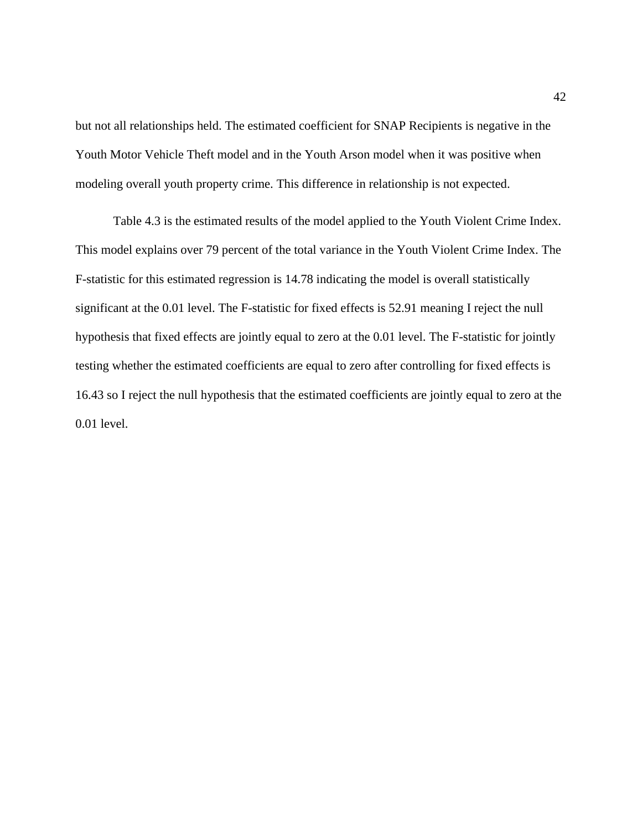but not all relationships held. The estimated coefficient for SNAP Recipients is negative in the Youth Motor Vehicle Theft model and in the Youth Arson model when it was positive when modeling overall youth property crime. This difference in relationship is not expected.

Table 4.3 is the estimated results of the model applied to the Youth Violent Crime Index. This model explains over 79 percent of the total variance in the Youth Violent Crime Index. The F-statistic for this estimated regression is 14.78 indicating the model is overall statistically significant at the 0.01 level. The F-statistic for fixed effects is 52.91 meaning I reject the null hypothesis that fixed effects are jointly equal to zero at the 0.01 level. The F-statistic for jointly testing whether the estimated coefficients are equal to zero after controlling for fixed effects is 16.43 so I reject the null hypothesis that the estimated coefficients are jointly equal to zero at the 0.01 level.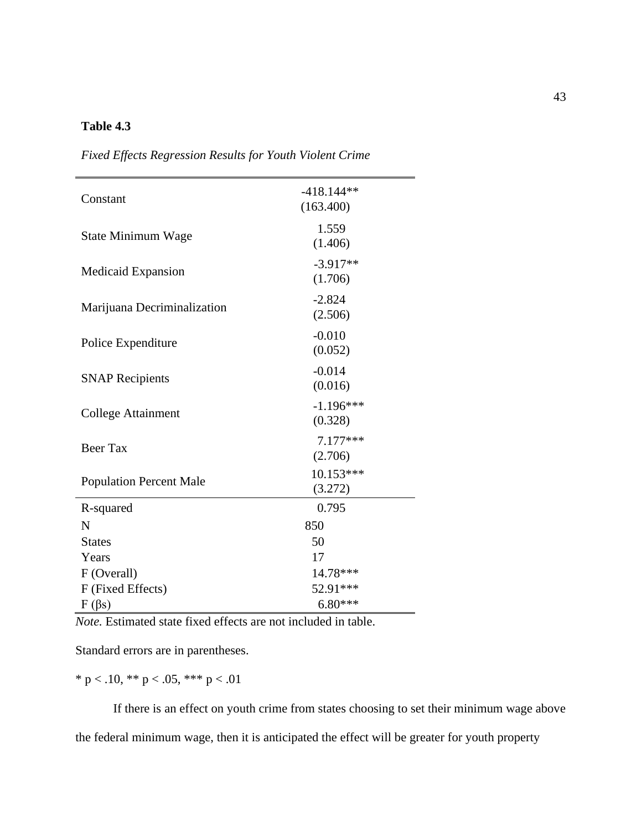#### **Table 4.3**

| Constant                       | $-418.144**$<br>(163.400) |
|--------------------------------|---------------------------|
| <b>State Minimum Wage</b>      | 1.559<br>(1.406)          |
| Medicaid Expansion             | $-3.917**$<br>(1.706)     |
| Marijuana Decriminalization    | $-2.824$<br>(2.506)       |
| Police Expenditure             | $-0.010$<br>(0.052)       |
| <b>SNAP Recipients</b>         | $-0.014$<br>(0.016)       |
| <b>College Attainment</b>      | $-1.196***$<br>(0.328)    |
| <b>Beer Tax</b>                | 7.177***<br>(2.706)       |
| <b>Population Percent Male</b> | 10.153***<br>(3.272)      |
| R-squared                      | 0.795                     |
| N                              | 850                       |
| <b>States</b>                  | 50                        |
| Years                          | 17                        |
| F (Overall)                    | 14.78***                  |
| F (Fixed Effects)              | 52.91***                  |
| $F(\beta s)$                   | $6.80***$                 |

*Fixed Effects Regression Results for Youth Violent Crime*

*Note.* Estimated state fixed effects are not included in table.

Standard errors are in parentheses.

 $^*$  p < .10,  $^{**}$  p < .05,  $^{***}$  p < .01

If there is an effect on youth crime from states choosing to set their minimum wage above the federal minimum wage, then it is anticipated the effect will be greater for youth property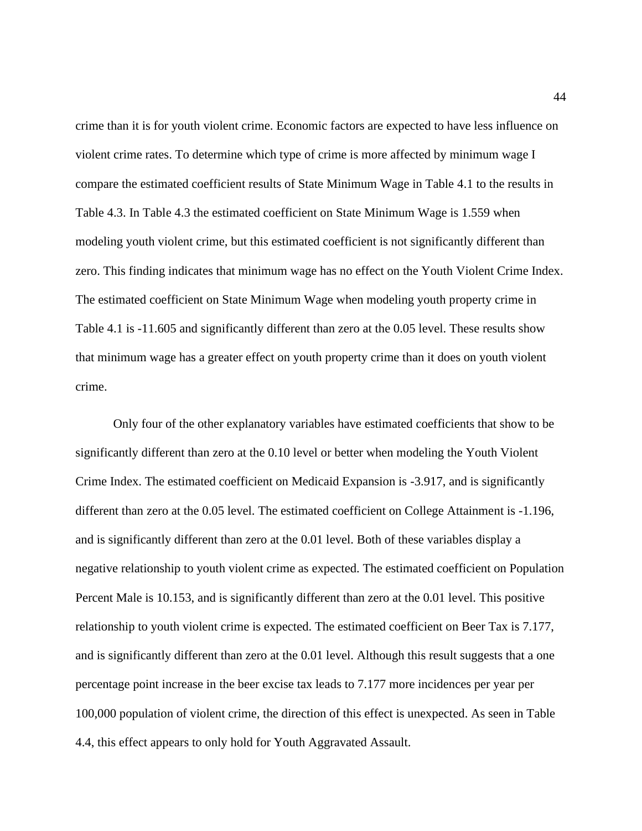crime than it is for youth violent crime. Economic factors are expected to have less influence on violent crime rates. To determine which type of crime is more affected by minimum wage I compare the estimated coefficient results of State Minimum Wage in Table 4.1 to the results in Table 4.3. In Table 4.3 the estimated coefficient on State Minimum Wage is 1.559 when modeling youth violent crime, but this estimated coefficient is not significantly different than zero. This finding indicates that minimum wage has no effect on the Youth Violent Crime Index. The estimated coefficient on State Minimum Wage when modeling youth property crime in Table 4.1 is -11.605 and significantly different than zero at the 0.05 level. These results show that minimum wage has a greater effect on youth property crime than it does on youth violent crime.

Only four of the other explanatory variables have estimated coefficients that show to be significantly different than zero at the 0.10 level or better when modeling the Youth Violent Crime Index. The estimated coefficient on Medicaid Expansion is -3.917, and is significantly different than zero at the 0.05 level. The estimated coefficient on College Attainment is -1.196, and is significantly different than zero at the 0.01 level. Both of these variables display a negative relationship to youth violent crime as expected. The estimated coefficient on Population Percent Male is 10.153, and is significantly different than zero at the 0.01 level. This positive relationship to youth violent crime is expected. The estimated coefficient on Beer Tax is 7.177, and is significantly different than zero at the 0.01 level. Although this result suggests that a one percentage point increase in the beer excise tax leads to 7.177 more incidences per year per 100,000 population of violent crime, the direction of this effect is unexpected. As seen in Table 4.4, this effect appears to only hold for Youth Aggravated Assault.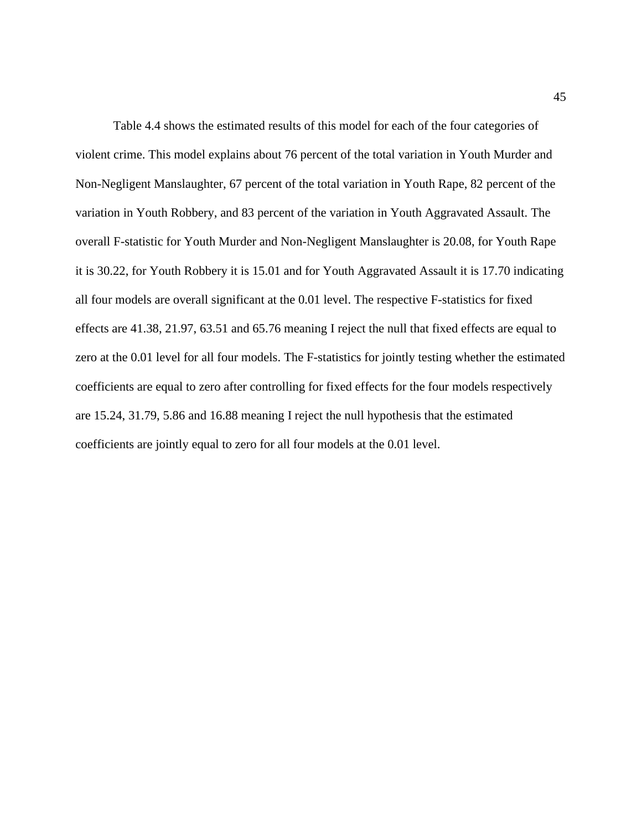Table 4.4 shows the estimated results of this model for each of the four categories of violent crime. This model explains about 76 percent of the total variation in Youth Murder and Non-Negligent Manslaughter, 67 percent of the total variation in Youth Rape, 82 percent of the variation in Youth Robbery, and 83 percent of the variation in Youth Aggravated Assault. The overall F-statistic for Youth Murder and Non-Negligent Manslaughter is 20.08, for Youth Rape it is 30.22, for Youth Robbery it is 15.01 and for Youth Aggravated Assault it is 17.70 indicating all four models are overall significant at the 0.01 level. The respective F-statistics for fixed effects are 41.38, 21.97, 63.51 and 65.76 meaning I reject the null that fixed effects are equal to zero at the 0.01 level for all four models. The F-statistics for jointly testing whether the estimated coefficients are equal to zero after controlling for fixed effects for the four models respectively are 15.24, 31.79, 5.86 and 16.88 meaning I reject the null hypothesis that the estimated coefficients are jointly equal to zero for all four models at the 0.01 level.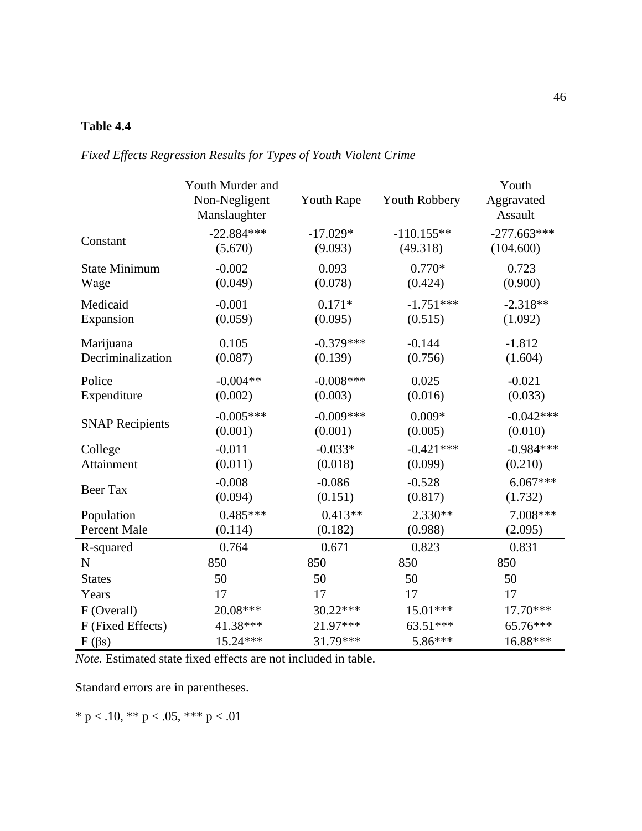#### **Table 4.4**

|                        | Youth Murder and<br>Non-Negligent<br>Manslaughter | <b>Youth Rape</b> | Youth Robbery | Youth<br>Aggravated<br>Assault |
|------------------------|---------------------------------------------------|-------------------|---------------|--------------------------------|
| Constant               | $-22.884***$                                      | $-17.029*$        | $-110.155**$  | $-277.663***$                  |
|                        | (5.670)                                           | (9.093)           | (49.318)      | (104.600)                      |
| <b>State Minimum</b>   | $-0.002$                                          | 0.093             | $0.770*$      | 0.723                          |
| Wage                   | (0.049)                                           | (0.078)           | (0.424)       | (0.900)                        |
| Medicaid               | $-0.001$                                          | $0.171*$          | $-1.751***$   | $-2.318**$                     |
| Expansion              | (0.059)                                           | (0.095)           | (0.515)       | (1.092)                        |
| Marijuana              | 0.105                                             | $-0.379***$       | $-0.144$      | $-1.812$                       |
| Decriminalization      | (0.087)                                           | (0.139)           | (0.756)       | (1.604)                        |
| Police                 | $-0.004**$                                        | $-0.008***$       | 0.025         | $-0.021$                       |
| Expenditure            | (0.002)                                           | (0.003)           | (0.016)       | (0.033)                        |
| <b>SNAP Recipients</b> | $-0.005***$                                       | $-0.009***$       | $0.009*$      | $-0.042***$                    |
|                        | (0.001)                                           | (0.001)           | (0.005)       | (0.010)                        |
| College                | $-0.011$                                          | $-0.033*$         | $-0.421***$   | $-0.984***$                    |
| Attainment             | (0.011)                                           | (0.018)           | (0.099)       | (0.210)                        |
| <b>Beer Tax</b>        | $-0.008$                                          | $-0.086$          | $-0.528$      | $6.067***$                     |
|                        | (0.094)                                           | (0.151)           | (0.817)       | (1.732)                        |
| Population             | $0.485***$                                        | $0.413**$         | $2.330**$     | 7.008***                       |
| <b>Percent Male</b>    | (0.114)                                           | (0.182)           | (0.988)       | (2.095)                        |
| R-squared              | 0.764                                             | 0.671             | 0.823         | 0.831                          |
| $\mathbf N$            | 850                                               | 850               | 850           | 850                            |
| <b>States</b>          | 50                                                | 50                | 50            | 50                             |
| Years                  | 17                                                | 17                | 17            | 17                             |
| F (Overall)            | 20.08***                                          | 30.22***          | 15.01***      | 17.70***                       |
| F (Fixed Effects)      | 41.38***                                          | 21.97***          | 63.51***      | 65.76***                       |
| $F(\beta s)$           | 15.24***                                          | 31.79***          | 5.86***       | 16.88***                       |

*Fixed Effects Regression Results for Types of Youth Violent Crime*

*Note.* Estimated state fixed effects are not included in table.

Standard errors are in parentheses.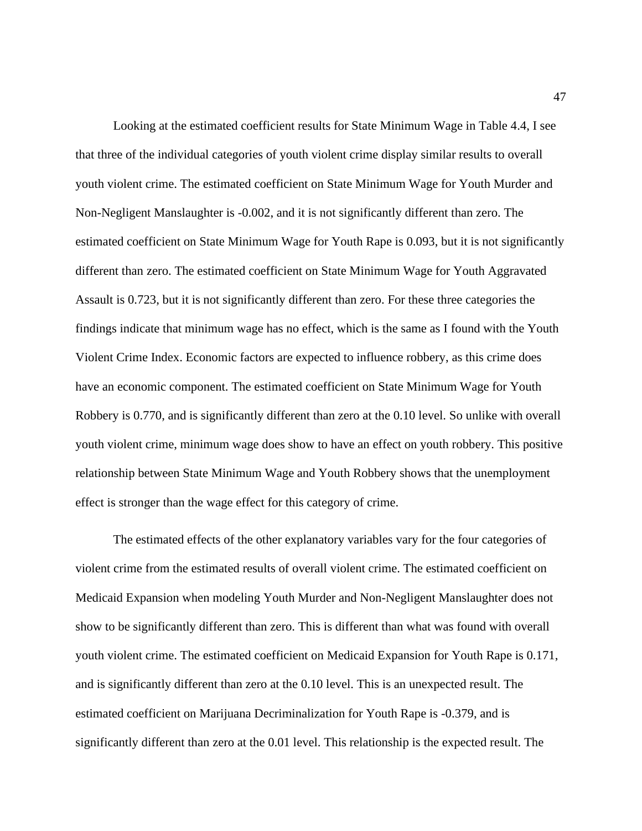Looking at the estimated coefficient results for State Minimum Wage in Table 4.4, I see that three of the individual categories of youth violent crime display similar results to overall youth violent crime. The estimated coefficient on State Minimum Wage for Youth Murder and Non-Negligent Manslaughter is -0.002, and it is not significantly different than zero. The estimated coefficient on State Minimum Wage for Youth Rape is 0.093, but it is not significantly different than zero. The estimated coefficient on State Minimum Wage for Youth Aggravated Assault is 0.723, but it is not significantly different than zero. For these three categories the findings indicate that minimum wage has no effect, which is the same as I found with the Youth Violent Crime Index. Economic factors are expected to influence robbery, as this crime does have an economic component. The estimated coefficient on State Minimum Wage for Youth Robbery is 0.770, and is significantly different than zero at the 0.10 level. So unlike with overall youth violent crime, minimum wage does show to have an effect on youth robbery. This positive relationship between State Minimum Wage and Youth Robbery shows that the unemployment effect is stronger than the wage effect for this category of crime.

The estimated effects of the other explanatory variables vary for the four categories of violent crime from the estimated results of overall violent crime. The estimated coefficient on Medicaid Expansion when modeling Youth Murder and Non-Negligent Manslaughter does not show to be significantly different than zero. This is different than what was found with overall youth violent crime. The estimated coefficient on Medicaid Expansion for Youth Rape is 0.171, and is significantly different than zero at the 0.10 level. This is an unexpected result. The estimated coefficient on Marijuana Decriminalization for Youth Rape is -0.379, and is significantly different than zero at the 0.01 level. This relationship is the expected result. The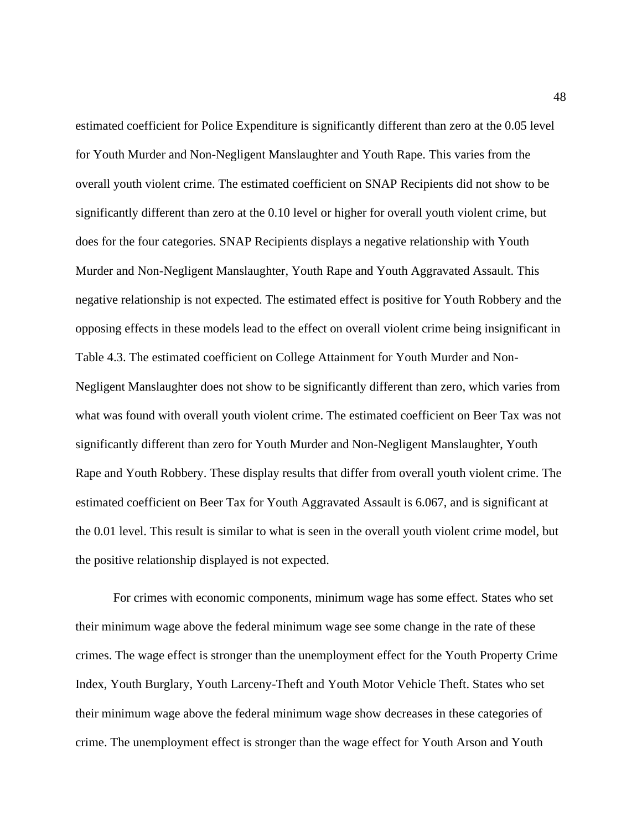estimated coefficient for Police Expenditure is significantly different than zero at the 0.05 level for Youth Murder and Non-Negligent Manslaughter and Youth Rape. This varies from the overall youth violent crime. The estimated coefficient on SNAP Recipients did not show to be significantly different than zero at the 0.10 level or higher for overall youth violent crime, but does for the four categories. SNAP Recipients displays a negative relationship with Youth Murder and Non-Negligent Manslaughter, Youth Rape and Youth Aggravated Assault. This negative relationship is not expected. The estimated effect is positive for Youth Robbery and the opposing effects in these models lead to the effect on overall violent crime being insignificant in Table 4.3. The estimated coefficient on College Attainment for Youth Murder and Non-Negligent Manslaughter does not show to be significantly different than zero, which varies from what was found with overall youth violent crime. The estimated coefficient on Beer Tax was not significantly different than zero for Youth Murder and Non-Negligent Manslaughter, Youth Rape and Youth Robbery. These display results that differ from overall youth violent crime. The estimated coefficient on Beer Tax for Youth Aggravated Assault is 6.067, and is significant at the 0.01 level. This result is similar to what is seen in the overall youth violent crime model, but the positive relationship displayed is not expected.

For crimes with economic components, minimum wage has some effect. States who set their minimum wage above the federal minimum wage see some change in the rate of these crimes. The wage effect is stronger than the unemployment effect for the Youth Property Crime Index, Youth Burglary, Youth Larceny-Theft and Youth Motor Vehicle Theft. States who set their minimum wage above the federal minimum wage show decreases in these categories of crime. The unemployment effect is stronger than the wage effect for Youth Arson and Youth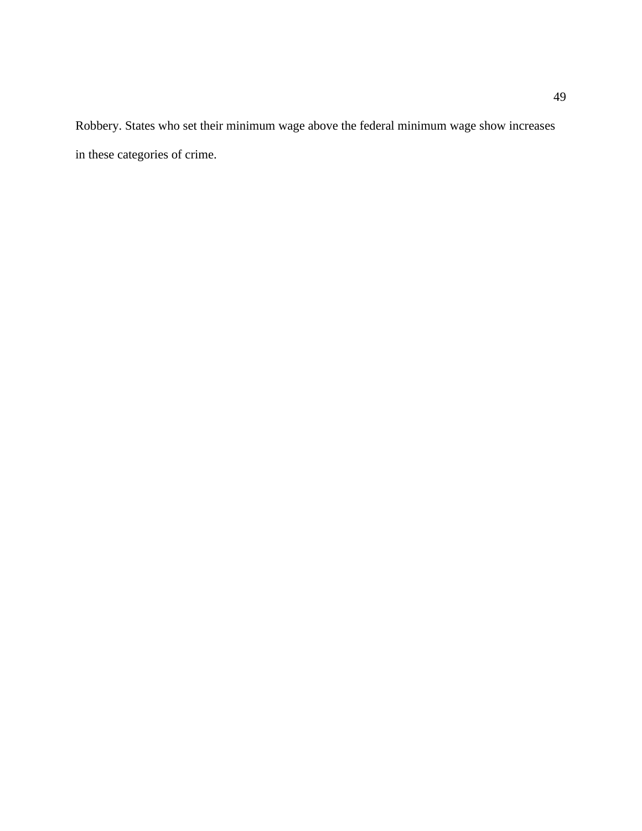Robbery. States who set their minimum wage above the federal minimum wage show increases in these categories of crime.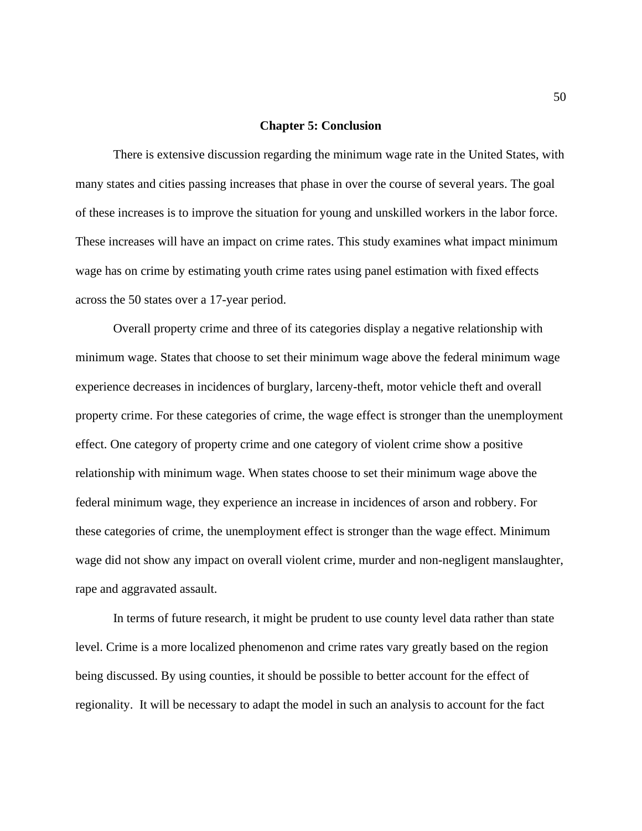#### **Chapter 5: Conclusion**

There is extensive discussion regarding the minimum wage rate in the United States, with many states and cities passing increases that phase in over the course of several years. The goal of these increases is to improve the situation for young and unskilled workers in the labor force. These increases will have an impact on crime rates. This study examines what impact minimum wage has on crime by estimating youth crime rates using panel estimation with fixed effects across the 50 states over a 17-year period.

Overall property crime and three of its categories display a negative relationship with minimum wage. States that choose to set their minimum wage above the federal minimum wage experience decreases in incidences of burglary, larceny-theft, motor vehicle theft and overall property crime. For these categories of crime, the wage effect is stronger than the unemployment effect. One category of property crime and one category of violent crime show a positive relationship with minimum wage. When states choose to set their minimum wage above the federal minimum wage, they experience an increase in incidences of arson and robbery. For these categories of crime, the unemployment effect is stronger than the wage effect. Minimum wage did not show any impact on overall violent crime, murder and non-negligent manslaughter, rape and aggravated assault.

In terms of future research, it might be prudent to use county level data rather than state level. Crime is a more localized phenomenon and crime rates vary greatly based on the region being discussed. By using counties, it should be possible to better account for the effect of regionality. It will be necessary to adapt the model in such an analysis to account for the fact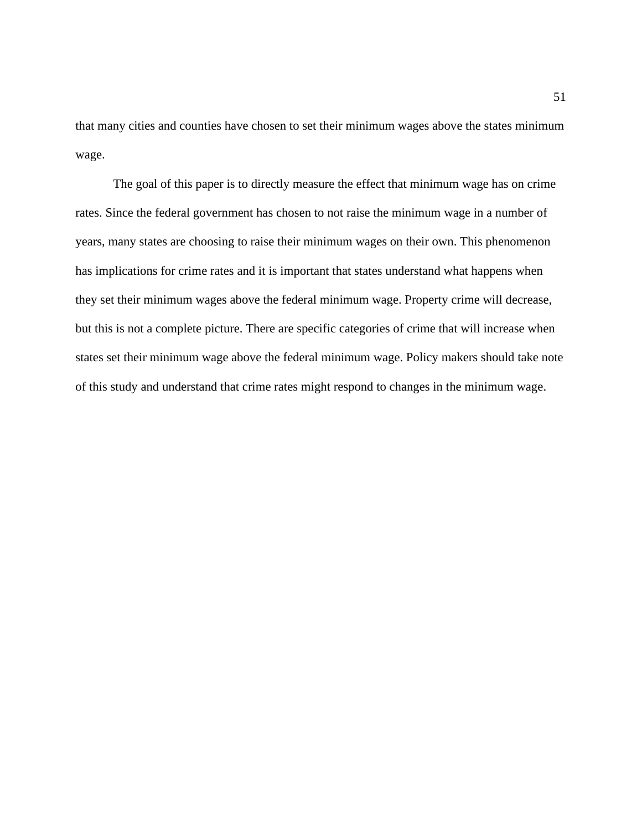that many cities and counties have chosen to set their minimum wages above the states minimum wage.

The goal of this paper is to directly measure the effect that minimum wage has on crime rates. Since the federal government has chosen to not raise the minimum wage in a number of years, many states are choosing to raise their minimum wages on their own. This phenomenon has implications for crime rates and it is important that states understand what happens when they set their minimum wages above the federal minimum wage. Property crime will decrease, but this is not a complete picture. There are specific categories of crime that will increase when states set their minimum wage above the federal minimum wage. Policy makers should take note of this study and understand that crime rates might respond to changes in the minimum wage.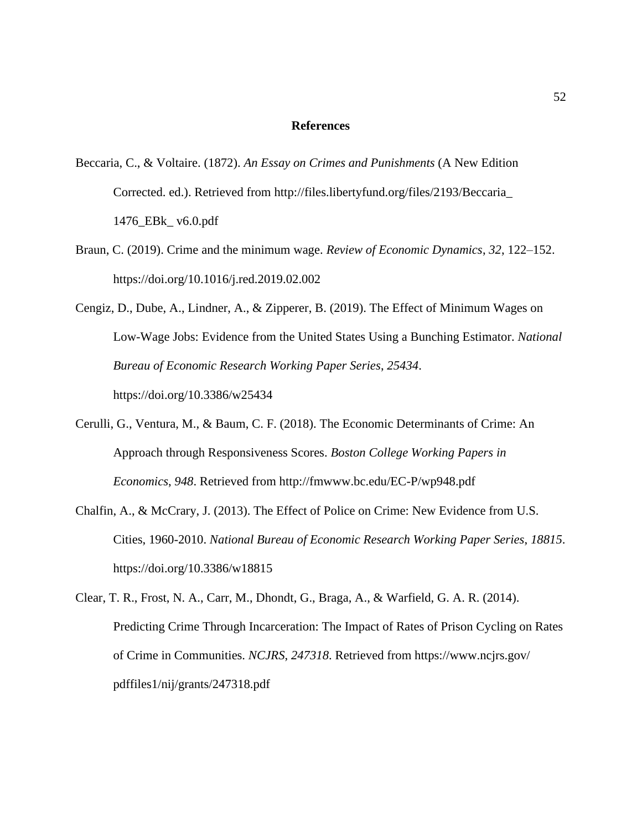#### **References**

- Beccaria, C., & Voltaire. (1872). *An Essay on Crimes and Punishments* (A New Edition Corrected. ed.). Retrieved from http://files.libertyfund.org/files/2193/Beccaria\_ 1476\_EBk\_ v6.0.pdf
- Braun, C. (2019). Crime and the minimum wage. *Review of Economic Dynamics*, *32*, 122–152. https://doi.org/10.1016/j.red.2019.02.002
- Cengiz, D., Dube, A., Lindner, A., & Zipperer, B. (2019). The Effect of Minimum Wages on Low-Wage Jobs: Evidence from the United States Using a Bunching Estimator. *National Bureau of Economic Research Working Paper Series*, *25434*. https://doi.org/10.3386/w25434
- Cerulli, G., Ventura, M., & Baum, C. F. (2018). The Economic Determinants of Crime: An Approach through Responsiveness Scores. *Boston College Working Papers in Economics*, *948*. Retrieved from http://fmwww.bc.edu/EC-P/wp948.pdf
- Chalfin, A., & McCrary, J. (2013). The Effect of Police on Crime: New Evidence from U.S. Cities, 1960-2010. *National Bureau of Economic Research Working Paper Series*, *18815*. https://doi.org/10.3386/w18815
- Clear, T. R., Frost, N. A., Carr, M., Dhondt, G., Braga, A., & Warfield, G. A. R. (2014). Predicting Crime Through Incarceration: The Impact of Rates of Prison Cycling on Rates of Crime in Communities. *NCJRS*, *247318*. Retrieved from https://www.ncjrs.gov/ pdffiles1/nij/grants/247318.pdf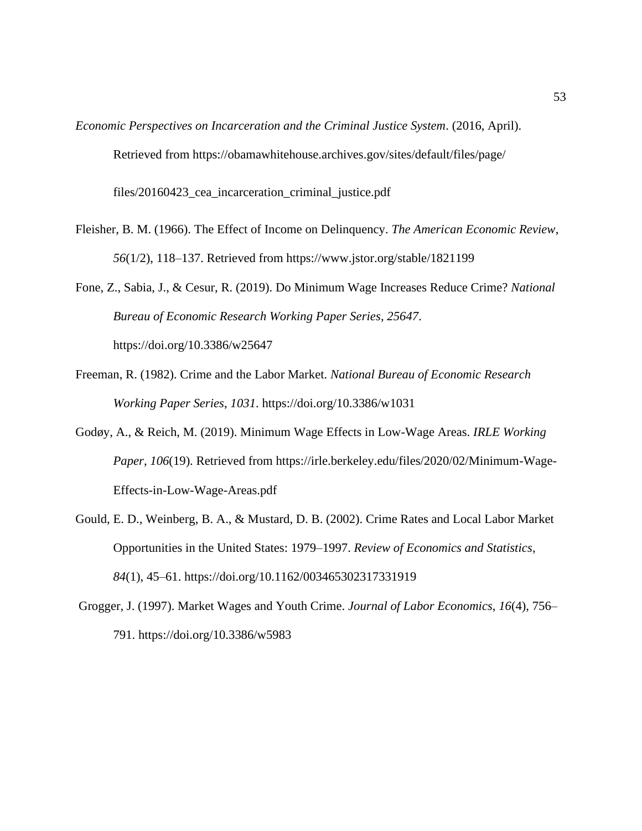*Economic Perspectives on Incarceration and the Criminal Justice System*. (2016, April). Retrieved from https://obamawhitehouse.archives.gov/sites/default/files/page/ files/20160423\_cea\_incarceration\_criminal\_justice.pdf

- Fleisher, B. M. (1966). The Effect of Income on Delinquency. *The American Economic Review*, *56*(1/2), 118–137. Retrieved from https://www.jstor.org/stable/1821199
- Fone, Z., Sabia, J., & Cesur, R. (2019). Do Minimum Wage Increases Reduce Crime? *National Bureau of Economic Research Working Paper Series*, *25647*. https://doi.org/10.3386/w25647
- Freeman, R. (1982). Crime and the Labor Market. *National Bureau of Economic Research Working Paper Series*, *1031*. https://doi.org/10.3386/w1031
- Godøy, A., & Reich, M. (2019). Minimum Wage Effects in Low-Wage Areas. *IRLE Working Paper*, *106*(19). Retrieved from https://irle.berkeley.edu/files/2020/02/Minimum-Wage-Effects-in-Low-Wage-Areas.pdf
- Gould, E. D., Weinberg, B. A., & Mustard, D. B. (2002). Crime Rates and Local Labor Market Opportunities in the United States: 1979–1997. *Review of Economics and Statistics*, *84*(1), 45–61. https://doi.org/10.1162/003465302317331919
- Grogger, J. (1997). Market Wages and Youth Crime. *Journal of Labor Economics*, *16*(4), 756– 791. https://doi.org/10.3386/w5983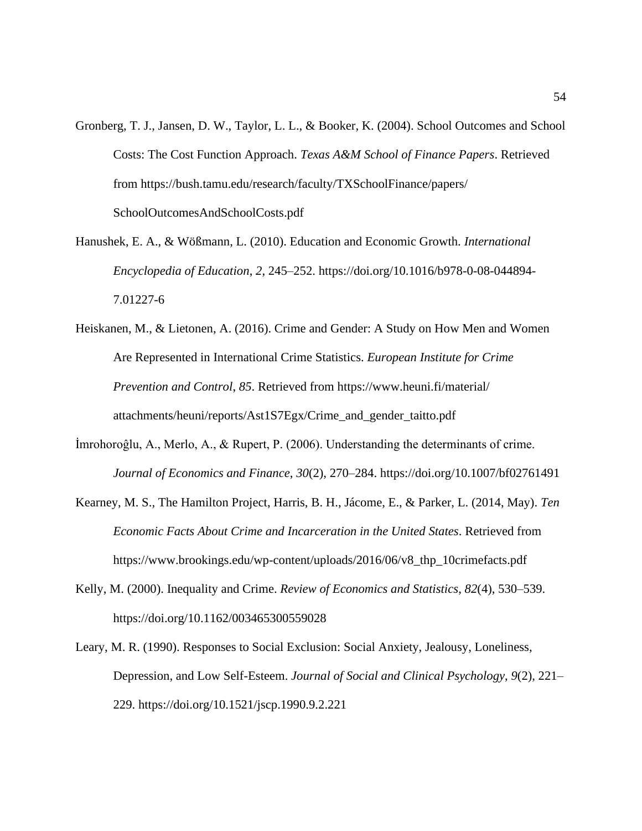- Gronberg, T. J., Jansen, D. W., Taylor, L. L., & Booker, K. (2004). School Outcomes and School Costs: The Cost Function Approach. *Texas A&M School of Finance Papers*. Retrieved from https://bush.tamu.edu/research/faculty/TXSchoolFinance/papers/ SchoolOutcomesAndSchoolCosts.pdf
- Hanushek, E. A., & Wößmann, L. (2010). Education and Economic Growth. *International Encyclopedia of Education*, *2*, 245–252. https://doi.org/10.1016/b978-0-08-044894- 7.01227-6
- Heiskanen, M., & Lietonen, A. (2016). Crime and Gender: A Study on How Men and Women Are Represented in International Crime Statistics. *European Institute for Crime Prevention and Control*, *85*. Retrieved from https://www.heuni.fi/material/ attachments/heuni/reports/Ast1S7Egx/Crime\_and\_gender\_taitto.pdf
- İmrohoroĝlu, A., Merlo, A., & Rupert, P. (2006). Understanding the determinants of crime. *Journal of Economics and Finance*, *30*(2), 270–284. https://doi.org/10.1007/bf02761491
- Kearney, M. S., The Hamilton Project, Harris, B. H., Jácome, E., & Parker, L. (2014, May). *Ten Economic Facts About Crime and Incarceration in the United States*. Retrieved from https://www.brookings.edu/wp-content/uploads/2016/06/v8\_thp\_10crimefacts.pdf
- Kelly, M. (2000). Inequality and Crime. *Review of Economics and Statistics*, *82*(4), 530–539. https://doi.org/10.1162/003465300559028
- Leary, M. R. (1990). Responses to Social Exclusion: Social Anxiety, Jealousy, Loneliness, Depression, and Low Self-Esteem. *Journal of Social and Clinical Psychology*, *9*(2), 221– 229. https://doi.org/10.1521/jscp.1990.9.2.221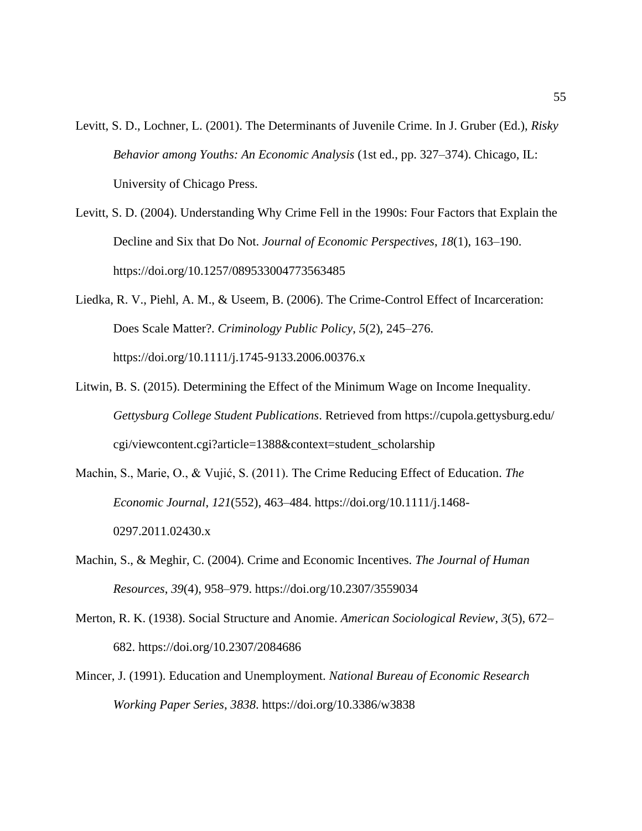- Levitt, S. D., Lochner, L. (2001). The Determinants of Juvenile Crime. In J. Gruber (Ed.), *Risky Behavior among Youths: An Economic Analysis* (1st ed., pp. 327–374). Chicago, IL: University of Chicago Press.
- Levitt, S. D. (2004). Understanding Why Crime Fell in the 1990s: Four Factors that Explain the Decline and Six that Do Not. *Journal of Economic Perspectives*, *18*(1), 163–190. https://doi.org/10.1257/089533004773563485
- Liedka, R. V., Piehl, A. M., & Useem, B. (2006). The Crime-Control Effect of Incarceration: Does Scale Matter?. *Criminology Public Policy*, *5*(2), 245–276. https://doi.org/10.1111/j.1745-9133.2006.00376.x
- Litwin, B. S. (2015). Determining the Effect of the Minimum Wage on Income Inequality. *Gettysburg College Student Publications*. Retrieved from https://cupola.gettysburg.edu/ cgi/viewcontent.cgi?article=1388&context=student\_scholarship
- Machin, S., Marie, O., & Vujić, S. (2011). The Crime Reducing Effect of Education. *The Economic Journal*, *121*(552), 463–484. https://doi.org/10.1111/j.1468- 0297.2011.02430.x
- Machin, S., & Meghir, C. (2004). Crime and Economic Incentives. *The Journal of Human Resources*, *39*(4), 958–979. https://doi.org/10.2307/3559034
- Merton, R. K. (1938). Social Structure and Anomie. *American Sociological Review*, *3*(5), 672– 682. https://doi.org/10.2307/2084686
- Mincer, J. (1991). Education and Unemployment. *National Bureau of Economic Research Working Paper Series*, *3838*. https://doi.org/10.3386/w3838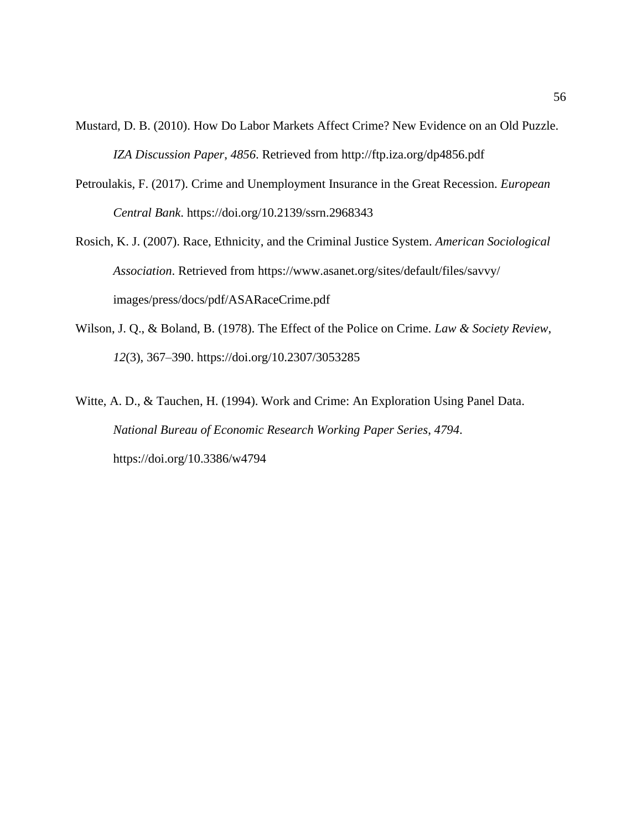- Mustard, D. B. (2010). How Do Labor Markets Affect Crime? New Evidence on an Old Puzzle. *IZA Discussion Paper*, *4856*. Retrieved from http://ftp.iza.org/dp4856.pdf
- Petroulakis, F. (2017). Crime and Unemployment Insurance in the Great Recession. *European Central Bank*. https://doi.org/10.2139/ssrn.2968343
- Rosich, K. J. (2007). Race, Ethnicity, and the Criminal Justice System. *American Sociological Association*. Retrieved from https://www.asanet.org/sites/default/files/savvy/ images/press/docs/pdf/ASARaceCrime.pdf
- Wilson, J. Q., & Boland, B. (1978). The Effect of the Police on Crime. *Law & Society Review*, *12*(3), 367–390. https://doi.org/10.2307/3053285
- Witte, A. D., & Tauchen, H. (1994). Work and Crime: An Exploration Using Panel Data. *National Bureau of Economic Research Working Paper Series*, *4794*. https://doi.org/10.3386/w4794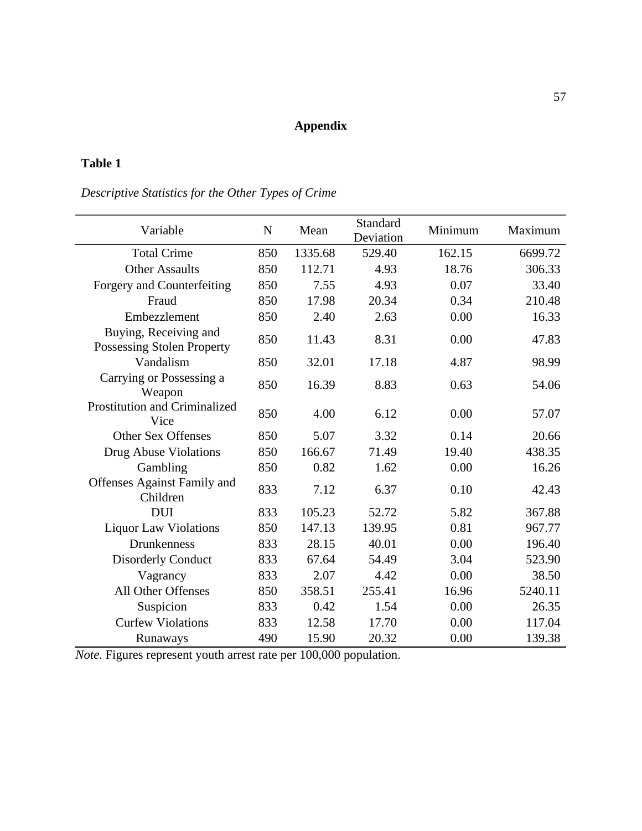# **Appendix**

# **Table 1**

# *Descriptive Statistics for the Other Types of Crime*

| Variable                                            | $\mathbf N$ | Mean    | Standard<br>Deviation | Minimum | Maximum |
|-----------------------------------------------------|-------------|---------|-----------------------|---------|---------|
| <b>Total Crime</b>                                  | 850         | 1335.68 | 529.40                | 162.15  | 6699.72 |
| <b>Other Assaults</b>                               | 850         | 112.71  | 4.93                  | 18.76   | 306.33  |
| Forgery and Counterfeiting                          | 850         | 7.55    | 4.93                  | 0.07    | 33.40   |
| Fraud                                               | 850         | 17.98   | 20.34                 | 0.34    | 210.48  |
| Embezzlement                                        | 850         | 2.40    | 2.63                  | 0.00    | 16.33   |
| Buying, Receiving and<br>Possessing Stolen Property | 850         | 11.43   | 8.31                  | 0.00    | 47.83   |
| Vandalism                                           | 850         | 32.01   | 17.18                 | 4.87    | 98.99   |
| Carrying or Possessing a<br>Weapon                  | 850         | 16.39   | 8.83                  | 0.63    | 54.06   |
| Prostitution and Criminalized<br>Vice               | 850         | 4.00    | 6.12                  | 0.00    | 57.07   |
| <b>Other Sex Offenses</b>                           | 850         | 5.07    | 3.32                  | 0.14    | 20.66   |
| Drug Abuse Violations                               | 850         | 166.67  | 71.49                 | 19.40   | 438.35  |
| Gambling                                            | 850         | 0.82    | 1.62                  | 0.00    | 16.26   |
| Offenses Against Family and<br>Children             | 833         | 7.12    | 6.37                  | 0.10    | 42.43   |
| <b>DUI</b>                                          | 833         | 105.23  | 52.72                 | 5.82    | 367.88  |
| <b>Liquor Law Violations</b>                        | 850         | 147.13  | 139.95                | 0.81    | 967.77  |
| <b>Drunkenness</b>                                  | 833         | 28.15   | 40.01                 | 0.00    | 196.40  |
| <b>Disorderly Conduct</b>                           | 833         | 67.64   | 54.49                 | 3.04    | 523.90  |
| Vagrancy                                            | 833         | 2.07    | 4.42                  | 0.00    | 38.50   |
| All Other Offenses                                  | 850         | 358.51  | 255.41                | 16.96   | 5240.11 |
| Suspicion                                           | 833         | 0.42    | 1.54                  | 0.00    | 26.35   |
| <b>Curfew Violations</b>                            | 833         | 12.58   | 17.70                 | 0.00    | 117.04  |
| Runaways                                            | 490         | 15.90   | 20.32                 | 0.00    | 139.38  |

*Note.* Figures represent youth arrest rate per 100,000 population.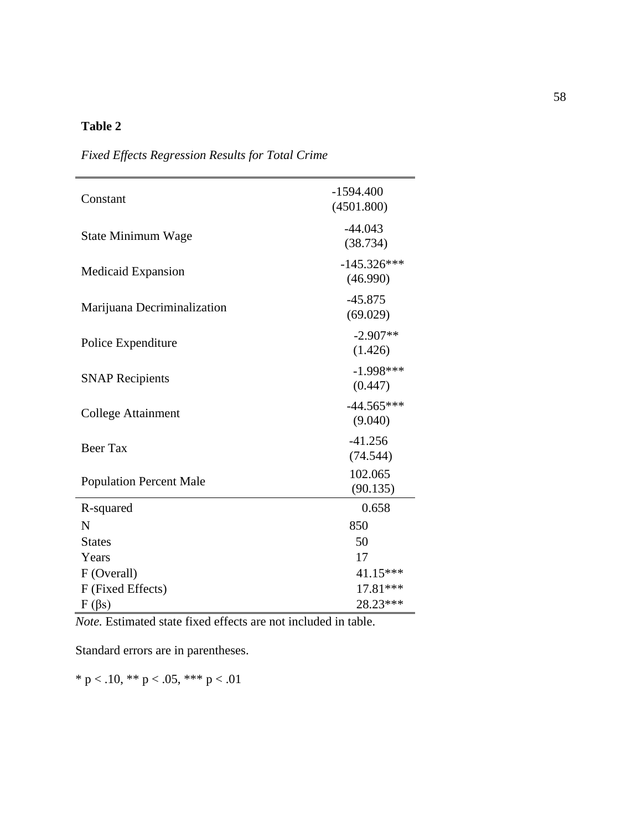| Constant                       | $-1594.400$<br>(4501.800) |
|--------------------------------|---------------------------|
| State Minimum Wage             | $-44.043$<br>(38.734)     |
| Medicaid Expansion             | $-145.326***$<br>(46.990) |
| Marijuana Decriminalization    | $-45.875$<br>(69.029)     |
| Police Expenditure             | $-2.907**$<br>(1.426)     |
| <b>SNAP Recipients</b>         | $-1.998***$<br>(0.447)    |
| <b>College Attainment</b>      | $-44.565***$<br>(9.040)   |
| <b>Beer Tax</b>                | $-41.256$<br>(74.544)     |
| <b>Population Percent Male</b> | 102.065<br>(90.135)       |
| R-squared                      | 0.658                     |
| N                              | 850                       |
| <b>States</b>                  | 50                        |
| Years                          | 17                        |
| F (Overall)                    | 41.15***                  |
| F (Fixed Effects)              | 17.81***                  |
| $F(\beta s)$                   | 28.23***                  |

*Fixed Effects Regression Results for Total Crime*

*Note.* Estimated state fixed effects are not included in table.

Standard errors are in parentheses.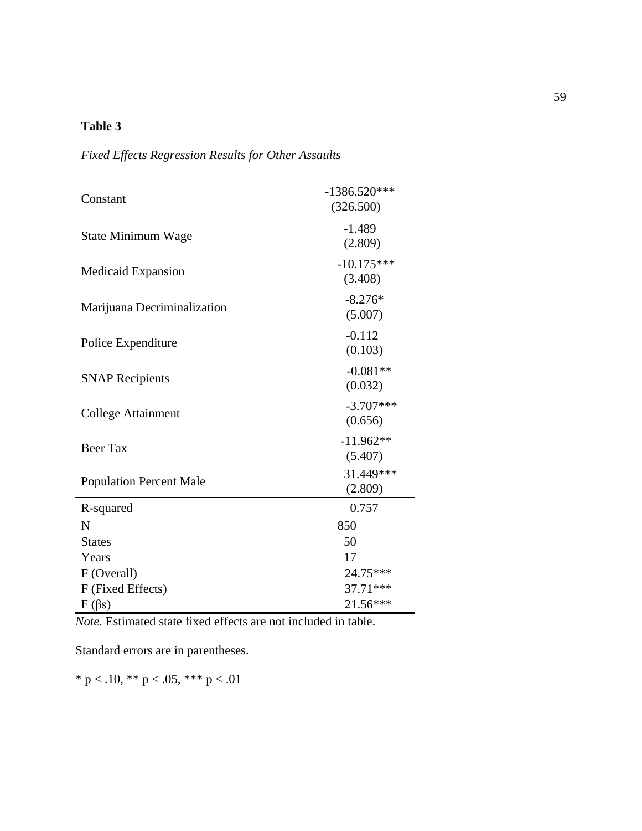| Constant                       | $-1386.520***$<br>(326.500) |
|--------------------------------|-----------------------------|
| State Minimum Wage             | $-1.489$<br>(2.809)         |
| <b>Medicaid Expansion</b>      | $-10.175***$<br>(3.408)     |
| Marijuana Decriminalization    | $-8.276*$<br>(5.007)        |
| Police Expenditure             | $-0.112$<br>(0.103)         |
| <b>SNAP Recipients</b>         | $-0.081**$<br>(0.032)       |
| <b>College Attainment</b>      | $-3.707***$<br>(0.656)      |
| <b>Beer Tax</b>                | $-11.962**$<br>(5.407)      |
| <b>Population Percent Male</b> | 31.449***<br>(2.809)        |
| R-squared                      | 0.757                       |
| N                              | 850                         |
| <b>States</b>                  | 50                          |
| Years                          | 17                          |
| F (Overall)                    | 24.75***                    |
| F (Fixed Effects)              | 37.71***                    |
| $F(\beta s)$                   | 21.56***                    |

*Fixed Effects Regression Results for Other Assaults*

*Note.* Estimated state fixed effects are not included in table.

Standard errors are in parentheses.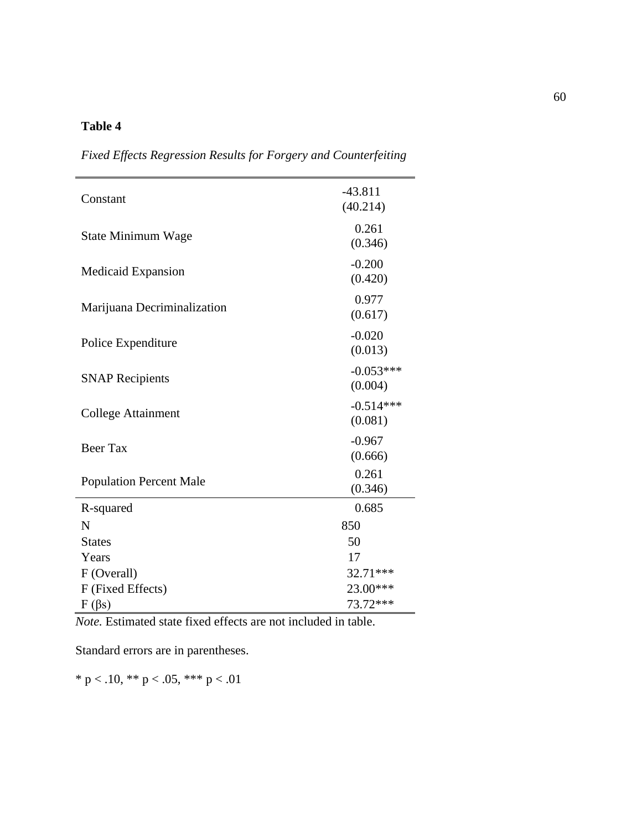| Constant                       | $-43.811$<br>(40.214)  |
|--------------------------------|------------------------|
| <b>State Minimum Wage</b>      | 0.261<br>(0.346)       |
| Medicaid Expansion             | $-0.200$<br>(0.420)    |
| Marijuana Decriminalization    | 0.977<br>(0.617)       |
| Police Expenditure             | $-0.020$<br>(0.013)    |
| <b>SNAP Recipients</b>         | $-0.053***$<br>(0.004) |
| <b>College Attainment</b>      | $-0.514***$<br>(0.081) |
| <b>Beer Tax</b>                | $-0.967$<br>(0.666)    |
| <b>Population Percent Male</b> | 0.261<br>(0.346)       |
| R-squared                      | 0.685                  |
| N                              | 850                    |
| <b>States</b>                  | 50                     |
| Years                          | 17                     |
| F (Overall)                    | 32.71***               |
| F (Fixed Effects)              | 23.00***               |
| $F(\beta s)$                   | 73.72***               |

*Fixed Effects Regression Results for Forgery and Counterfeiting*

*Note.* Estimated state fixed effects are not included in table.

Standard errors are in parentheses.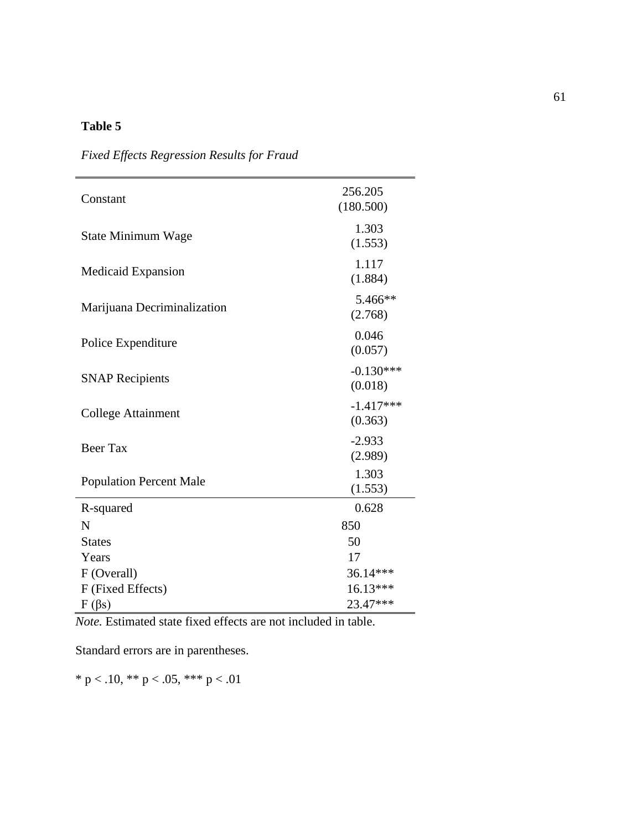| Constant                       | 256.205<br>(180.500)   |
|--------------------------------|------------------------|
| <b>State Minimum Wage</b>      | 1.303<br>(1.553)       |
| <b>Medicaid Expansion</b>      | 1.117<br>(1.884)       |
| Marijuana Decriminalization    | 5.466**<br>(2.768)     |
| Police Expenditure             | 0.046<br>(0.057)       |
| <b>SNAP Recipients</b>         | $-0.130***$<br>(0.018) |
| <b>College Attainment</b>      | $-1.417***$<br>(0.363) |
| <b>Beer Tax</b>                | $-2.933$<br>(2.989)    |
| <b>Population Percent Male</b> | 1.303<br>(1.553)       |
| R-squared                      | 0.628                  |
| N                              | 850                    |
| <b>States</b>                  | 50                     |
| Years                          | 17                     |
| F (Overall)                    | 36.14***               |
| F (Fixed Effects)              | $16.13***$             |
| $F(\beta s)$                   | 23.47***               |

*Fixed Effects Regression Results for Fraud*

*Note.* Estimated state fixed effects are not included in table.

Standard errors are in parentheses.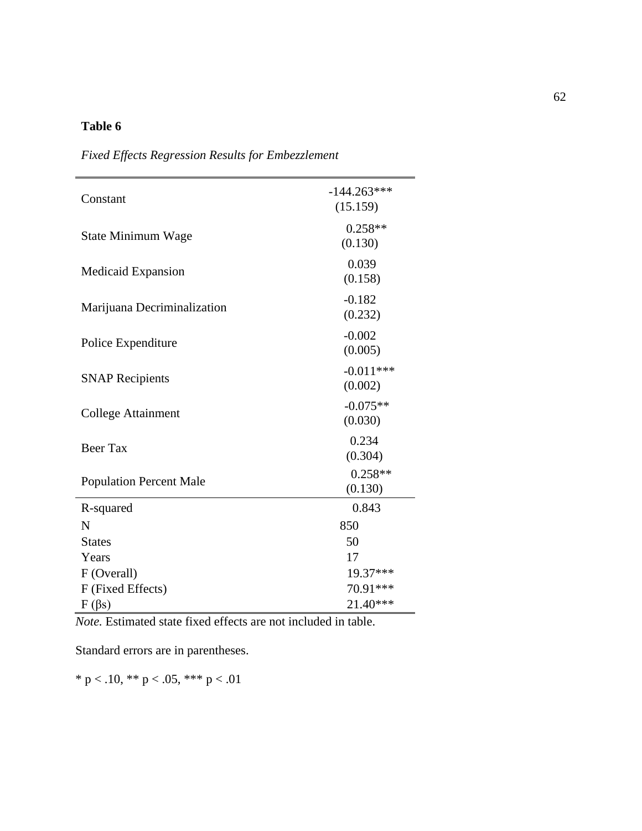| Constant                       | $-144.263***$<br>(15.159) |
|--------------------------------|---------------------------|
| State Minimum Wage             | $0.258**$<br>(0.130)      |
| <b>Medicaid Expansion</b>      | 0.039<br>(0.158)          |
| Marijuana Decriminalization    | $-0.182$<br>(0.232)       |
| Police Expenditure             | $-0.002$<br>(0.005)       |
| <b>SNAP Recipients</b>         | $-0.011***$<br>(0.002)    |
| <b>College Attainment</b>      | $-0.075**$<br>(0.030)     |
| <b>Beer Tax</b>                | 0.234<br>(0.304)          |
| <b>Population Percent Male</b> | $0.258**$<br>(0.130)      |
| R-squared                      | 0.843                     |
| N                              | 850                       |
| <b>States</b>                  | 50                        |
| Years                          | 17                        |
| F (Overall)                    | 19.37***                  |
| F (Fixed Effects)              | 70.91***                  |
| $F(\beta s)$                   | 21.40***                  |

*Fixed Effects Regression Results for Embezzlement*

*Note.* Estimated state fixed effects are not included in table.

Standard errors are in parentheses.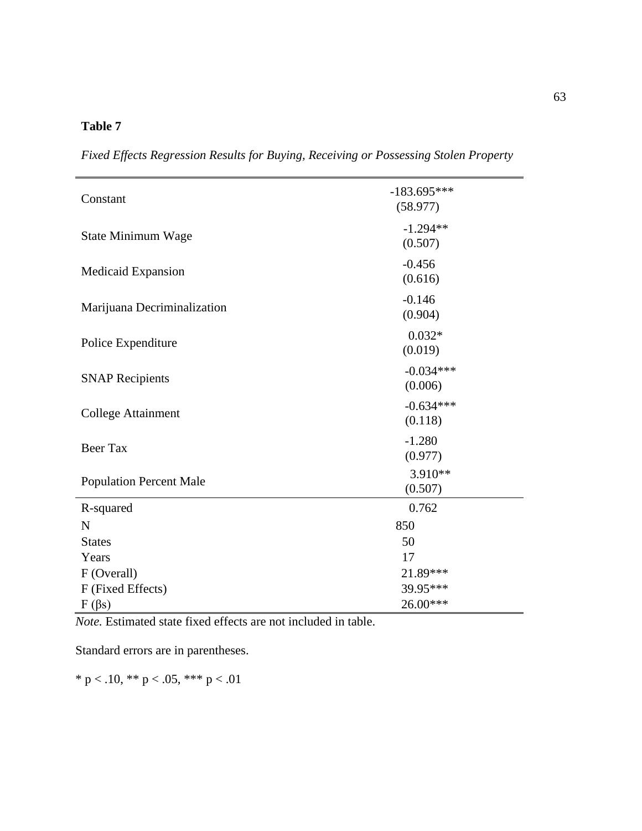*Fixed Effects Regression Results for Buying, Receiving or Possessing Stolen Property*

| Constant                       | $-183.695***$<br>(58.977) |
|--------------------------------|---------------------------|
| State Minimum Wage             | $-1.294**$<br>(0.507)     |
| Medicaid Expansion             | $-0.456$<br>(0.616)       |
| Marijuana Decriminalization    | $-0.146$<br>(0.904)       |
| Police Expenditure             | $0.032*$<br>(0.019)       |
| <b>SNAP Recipients</b>         | $-0.034***$<br>(0.006)    |
| <b>College Attainment</b>      | $-0.634***$<br>(0.118)    |
| <b>Beer Tax</b>                | $-1.280$<br>(0.977)       |
| <b>Population Percent Male</b> | 3.910**<br>(0.507)        |
| R-squared                      | 0.762                     |
| $\mathbf N$                    | 850                       |
| <b>States</b>                  | 50                        |
| Years                          | 17                        |
| F (Overall)                    | 21.89***                  |
| F (Fixed Effects)              | 39.95***                  |
| $F(\beta s)$                   | 26.00***                  |

*Note.* Estimated state fixed effects are not included in table.

Standard errors are in parentheses.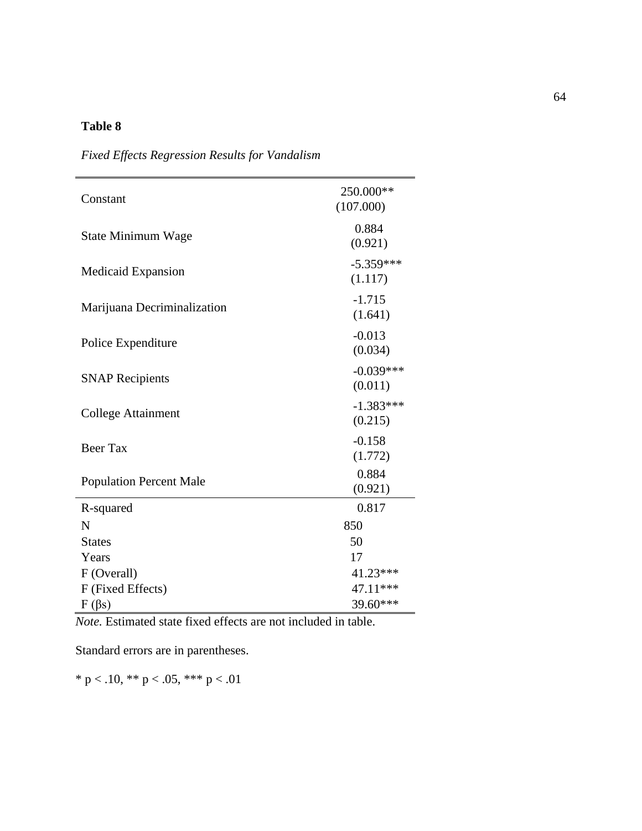| Constant                       | 250.000**<br>(107.000) |
|--------------------------------|------------------------|
| State Minimum Wage             | 0.884<br>(0.921)       |
| <b>Medicaid Expansion</b>      | $-5.359***$<br>(1.117) |
| Marijuana Decriminalization    | $-1.715$<br>(1.641)    |
| Police Expenditure             | $-0.013$<br>(0.034)    |
| <b>SNAP Recipients</b>         | $-0.039***$<br>(0.011) |
| <b>College Attainment</b>      | $-1.383***$<br>(0.215) |
| <b>Beer Tax</b>                | $-0.158$<br>(1.772)    |
| <b>Population Percent Male</b> | 0.884<br>(0.921)       |
| R-squared                      | 0.817                  |
| N                              | 850                    |
| <b>States</b>                  | 50                     |
| Years                          | 17                     |
| F (Overall)                    | 41.23***               |
| F (Fixed Effects)              | 47.11***               |
| $F(\beta s)$                   | 39.60***               |

*Fixed Effects Regression Results for Vandalism*

*Note.* Estimated state fixed effects are not included in table.

Standard errors are in parentheses.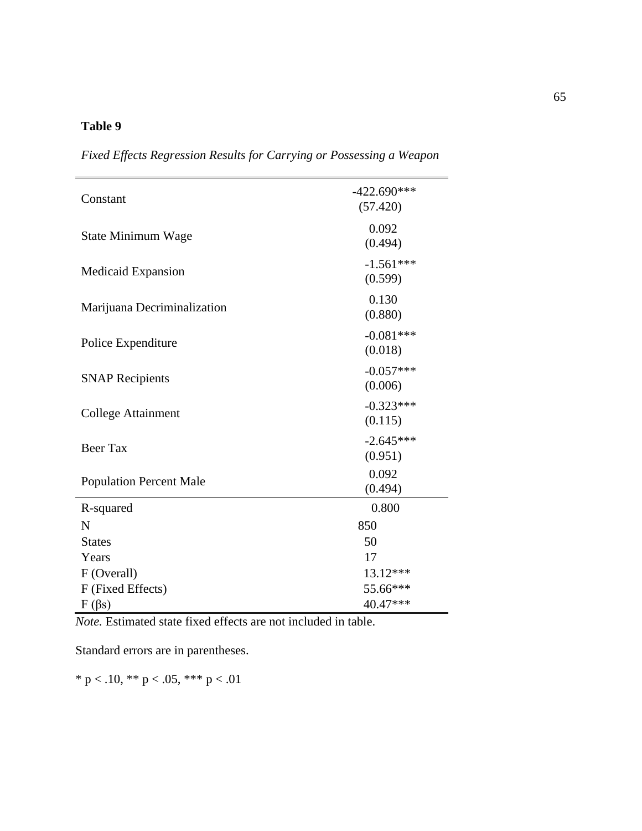| Constant                       | $-422.690***$<br>(57.420) |
|--------------------------------|---------------------------|
| State Minimum Wage             | 0.092<br>(0.494)          |
| Medicaid Expansion             | $-1.561***$<br>(0.599)    |
| Marijuana Decriminalization    | 0.130<br>(0.880)          |
| Police Expenditure             | $-0.081***$<br>(0.018)    |
| <b>SNAP Recipients</b>         | $-0.057***$<br>(0.006)    |
| <b>College Attainment</b>      | $-0.323***$<br>(0.115)    |
| Beer Tax                       | $-2.645***$<br>(0.951)    |
| <b>Population Percent Male</b> | 0.092<br>(0.494)          |
| R-squared                      | 0.800                     |
| N                              | 850                       |
| <b>States</b>                  | 50                        |
| Years                          | 17                        |
| F (Overall)                    | 13.12***                  |
| F (Fixed Effects)              | 55.66***                  |
| $F(\beta s)$                   | 40.47***                  |

*Fixed Effects Regression Results for Carrying or Possessing a Weapon*

*Note.* Estimated state fixed effects are not included in table.

Standard errors are in parentheses.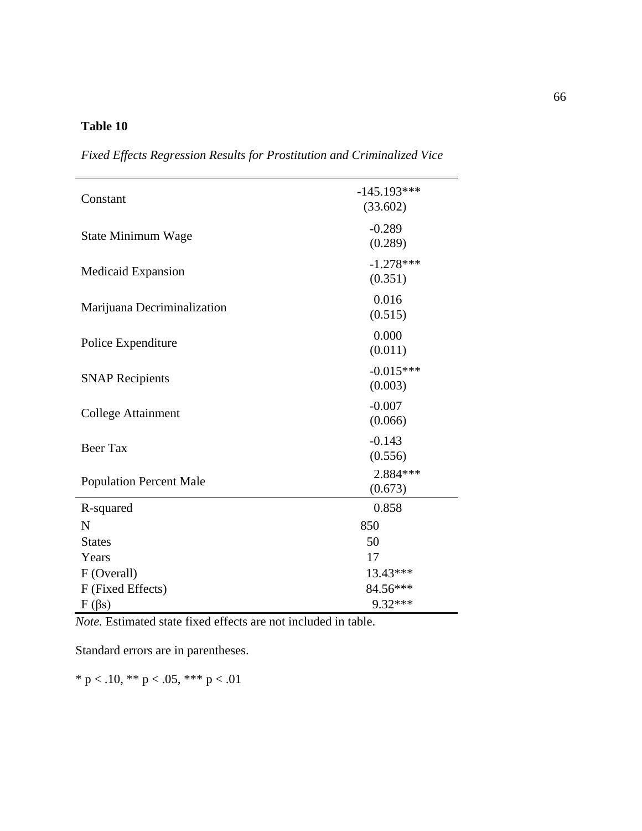| Constant                       | $-145.193***$<br>(33.602) |
|--------------------------------|---------------------------|
| State Minimum Wage             | $-0.289$<br>(0.289)       |
| Medicaid Expansion             | $-1.278***$<br>(0.351)    |
| Marijuana Decriminalization    | 0.016<br>(0.515)          |
| Police Expenditure             | 0.000<br>(0.011)          |
| <b>SNAP Recipients</b>         | $-0.015***$<br>(0.003)    |
| <b>College Attainment</b>      | $-0.007$<br>(0.066)       |
| Beer Tax                       | $-0.143$<br>(0.556)       |
| <b>Population Percent Male</b> | 2.884 ***<br>(0.673)      |
| R-squared                      | 0.858                     |
| N                              | 850                       |
| <b>States</b>                  | 50                        |
| Years                          | 17                        |
| F (Overall)                    | 13.43***                  |
| F (Fixed Effects)              | 84.56***                  |
| $F(\beta s)$                   | 9.32***                   |

*Fixed Effects Regression Results for Prostitution and Criminalized Vice*

*Note.* Estimated state fixed effects are not included in table.

Standard errors are in parentheses.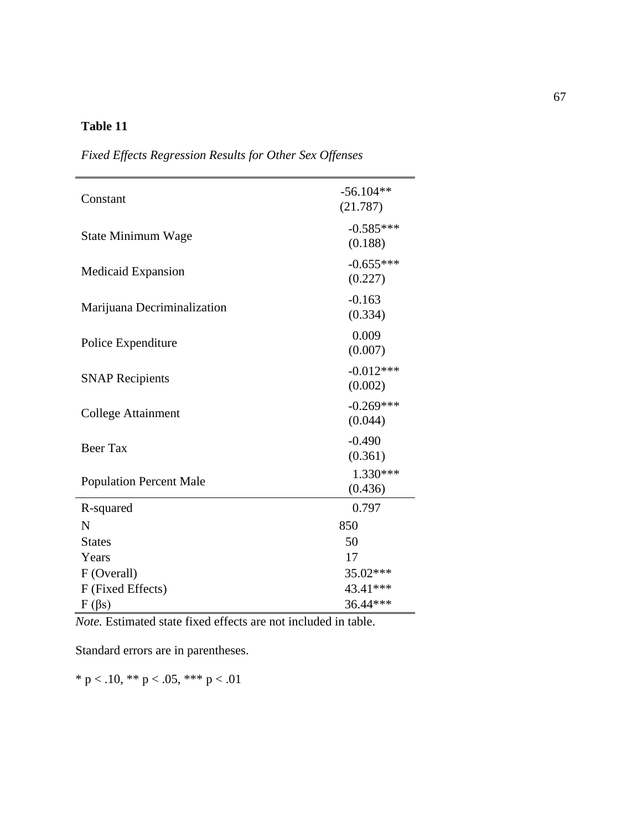| Constant                       | $-56.104**$<br>(21.787) |
|--------------------------------|-------------------------|
| <b>State Minimum Wage</b>      | $-0.585***$<br>(0.188)  |
| <b>Medicaid Expansion</b>      | $-0.655***$<br>(0.227)  |
| Marijuana Decriminalization    | $-0.163$<br>(0.334)     |
| Police Expenditure             | 0.009<br>(0.007)        |
| <b>SNAP Recipients</b>         | $-0.012***$<br>(0.002)  |
| <b>College Attainment</b>      | $-0.269***$<br>(0.044)  |
| <b>Beer Tax</b>                | $-0.490$<br>(0.361)     |
| <b>Population Percent Male</b> | $1.330***$<br>(0.436)   |
| R-squared                      | 0.797                   |
| N                              | 850                     |
| <b>States</b>                  | 50                      |
| Years                          | 17                      |
| F (Overall)                    | 35.02***                |
| F (Fixed Effects)              | 43.41***                |
| $F(\beta s)$                   | 36.44***                |

*Fixed Effects Regression Results for Other Sex Offenses*

*Note.* Estimated state fixed effects are not included in table.

Standard errors are in parentheses.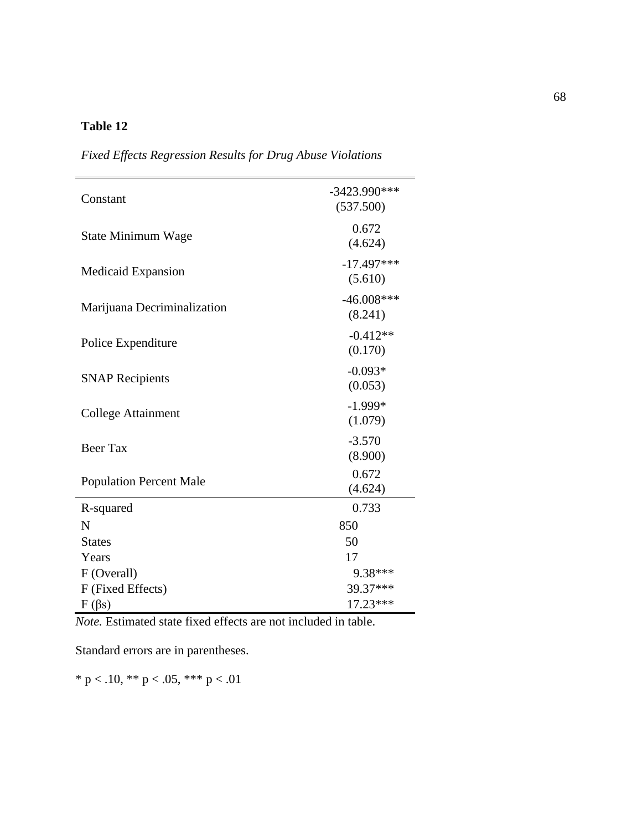| Constant                       | $-3423.990***$<br>(537.500) |
|--------------------------------|-----------------------------|
| <b>State Minimum Wage</b>      | 0.672<br>(4.624)            |
| <b>Medicaid Expansion</b>      | $-17.497***$<br>(5.610)     |
| Marijuana Decriminalization    | $-46.008***$<br>(8.241)     |
| Police Expenditure             | $-0.412**$<br>(0.170)       |
| <b>SNAP Recipients</b>         | $-0.093*$<br>(0.053)        |
| College Attainment             | $-1.999*$<br>(1.079)        |
| Beer Tax                       | $-3.570$<br>(8.900)         |
| <b>Population Percent Male</b> | 0.672<br>(4.624)            |
| R-squared                      | 0.733                       |
| N                              | 850                         |
| <b>States</b>                  | 50                          |
| Years                          | 17                          |
| F (Overall)                    | 9.38***                     |
| F (Fixed Effects)              | 39.37***                    |
| $F(\beta s)$                   | 17.23***                    |

*Fixed Effects Regression Results for Drug Abuse Violations*

*Note.* Estimated state fixed effects are not included in table.

Standard errors are in parentheses.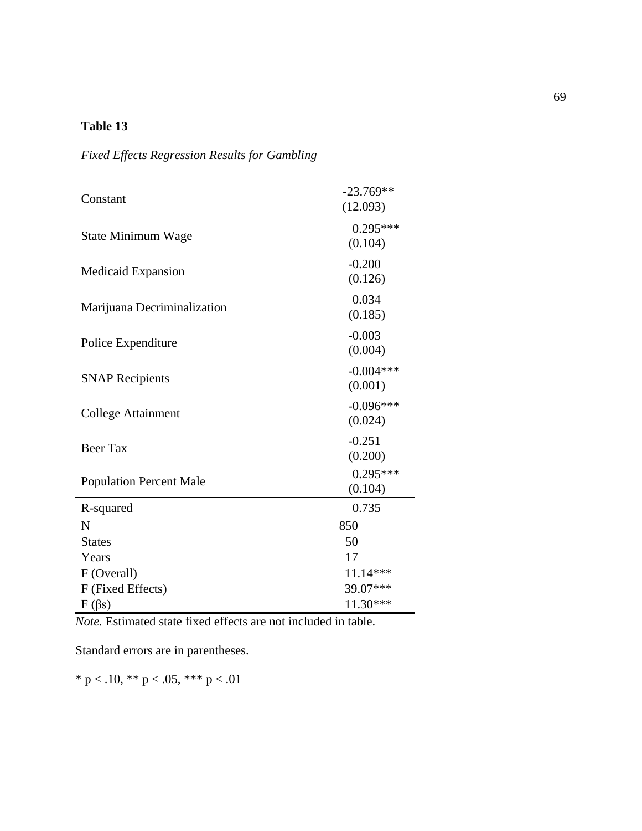| Constant                       | $-23.769**$<br>(12.093) |
|--------------------------------|-------------------------|
| State Minimum Wage             | $0.295***$<br>(0.104)   |
| Medicaid Expansion             | $-0.200$<br>(0.126)     |
| Marijuana Decriminalization    | 0.034<br>(0.185)        |
| Police Expenditure             | $-0.003$<br>(0.004)     |
| <b>SNAP Recipients</b>         | $-0.004***$<br>(0.001)  |
| <b>College Attainment</b>      | $-0.096***$<br>(0.024)  |
| <b>Beer Tax</b>                | $-0.251$<br>(0.200)     |
| <b>Population Percent Male</b> | $0.295***$<br>(0.104)   |
| R-squared                      | 0.735                   |
| N                              | 850                     |
| <b>States</b>                  | 50                      |
| Years                          | 17                      |
| F (Overall)                    | 11.14***                |
| F (Fixed Effects)              | 39.07***                |
| $F(\beta s)$                   | 11.30***                |

*Fixed Effects Regression Results for Gambling*

*Note.* Estimated state fixed effects are not included in table.

Standard errors are in parentheses.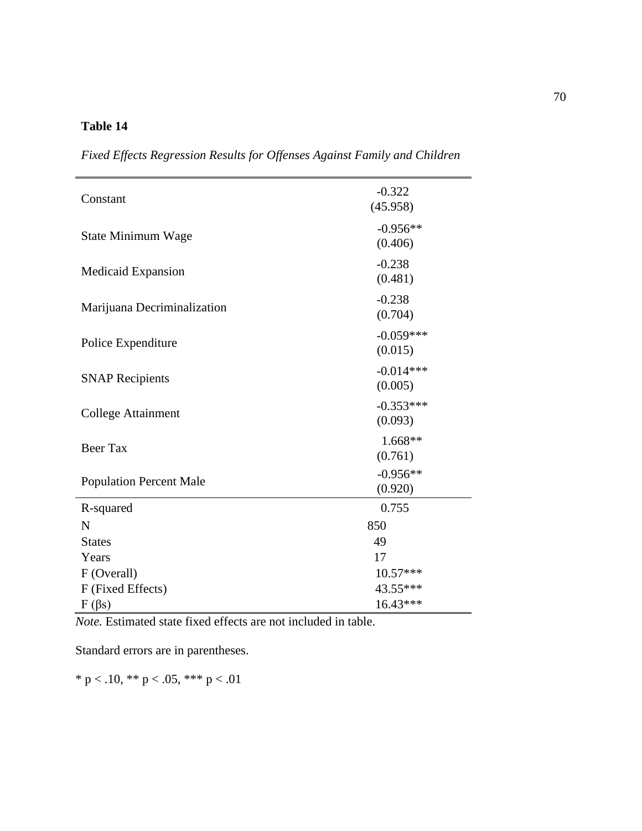$\frac{-0.322}{0.45.058}$ (45.958) State Minimum Wage  $-0.956**$ (0.406) Medicaid Expansion  $-0.238$ (0.481) Marijuana Decriminalization  $-0.238$ (0.704) Police Expenditure  $-0.059***$ (0.015) SNAP Recipients  $-0.014***$ (0.005) College Attainment  $-0.353***$ <br>  $(0.002)$ (0.093) Beer Tax  $\frac{1.668**}{(0.751)}$ (0.761) Population Percent Male  $-0.956**$ (0.920) R-squared 0.755  $N \approx 850$ States 49 Years 17 F (Overall) 10.57\*\*\*  $F$  (Fixed Effects) 43.55\*\*\*  $F(\beta s)$  16.43\*\*\*

*Fixed Effects Regression Results for Offenses Against Family and Children*

*Note.* Estimated state fixed effects are not included in table.

Standard errors are in parentheses.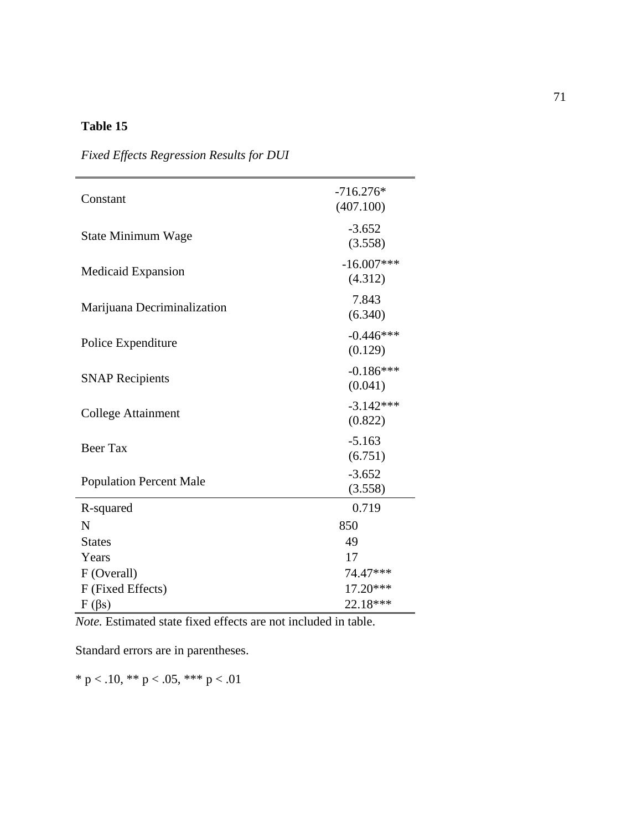| Constant                       | $-716.276*$<br>(407.100) |
|--------------------------------|--------------------------|
| <b>State Minimum Wage</b>      | $-3.652$<br>(3.558)      |
| <b>Medicaid Expansion</b>      | $-16.007***$<br>(4.312)  |
| Marijuana Decriminalization    | 7.843<br>(6.340)         |
| Police Expenditure             | $-0.446***$<br>(0.129)   |
| <b>SNAP Recipients</b>         | $-0.186***$<br>(0.041)   |
| <b>College Attainment</b>      | $-3.142***$<br>(0.822)   |
| <b>Beer Tax</b>                | $-5.163$<br>(6.751)      |
| <b>Population Percent Male</b> | $-3.652$<br>(3.558)      |
| R-squared                      | 0.719                    |
| N                              | 850                      |
| <b>States</b>                  | 49                       |
| Years                          | 17                       |
| F (Overall)                    | 74.47***                 |
| F (Fixed Effects)              | 17.20***                 |
| $F(\beta s)$                   | 22.18***                 |

*Fixed Effects Regression Results for DUI*

*Note.* Estimated state fixed effects are not included in table.

Standard errors are in parentheses.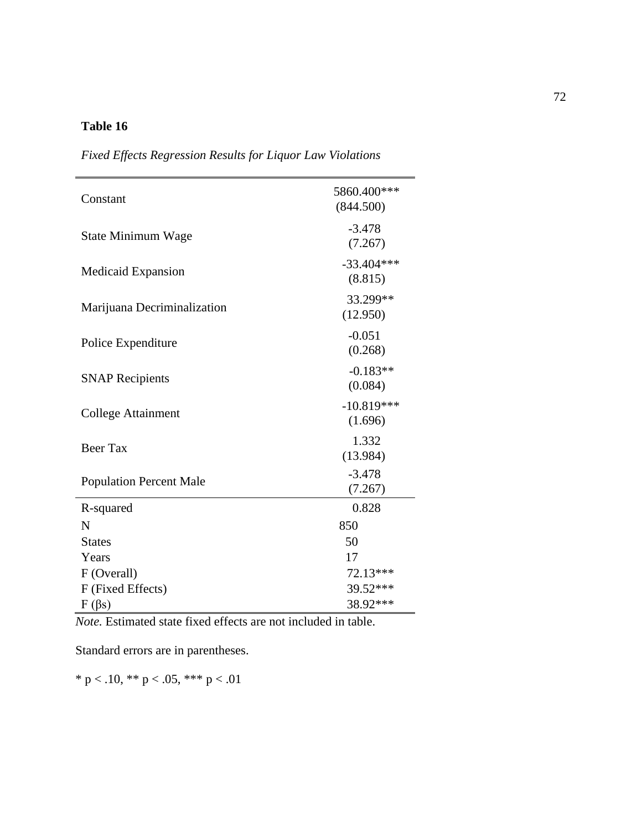| Constant                       | 5860.400***<br>(844.500) |
|--------------------------------|--------------------------|
| State Minimum Wage             | $-3.478$<br>(7.267)      |
| <b>Medicaid Expansion</b>      | $-33.404***$<br>(8.815)  |
| Marijuana Decriminalization    | 33.299**<br>(12.950)     |
| Police Expenditure             | $-0.051$<br>(0.268)      |
| <b>SNAP Recipients</b>         | $-0.183**$<br>(0.084)    |
| <b>College Attainment</b>      | $-10.819***$<br>(1.696)  |
| <b>Beer Tax</b>                | 1.332<br>(13.984)        |
| <b>Population Percent Male</b> | $-3.478$<br>(7.267)      |
| R-squared                      | 0.828                    |
| N                              | 850                      |
| <b>States</b>                  | 50                       |
| Years                          | 17                       |
| F (Overall)                    | 72.13***                 |
| F (Fixed Effects)              | 39.52***                 |
| $F(\beta s)$                   | 38.92***                 |

*Fixed Effects Regression Results for Liquor Law Violations*

*Note.* Estimated state fixed effects are not included in table.

Standard errors are in parentheses.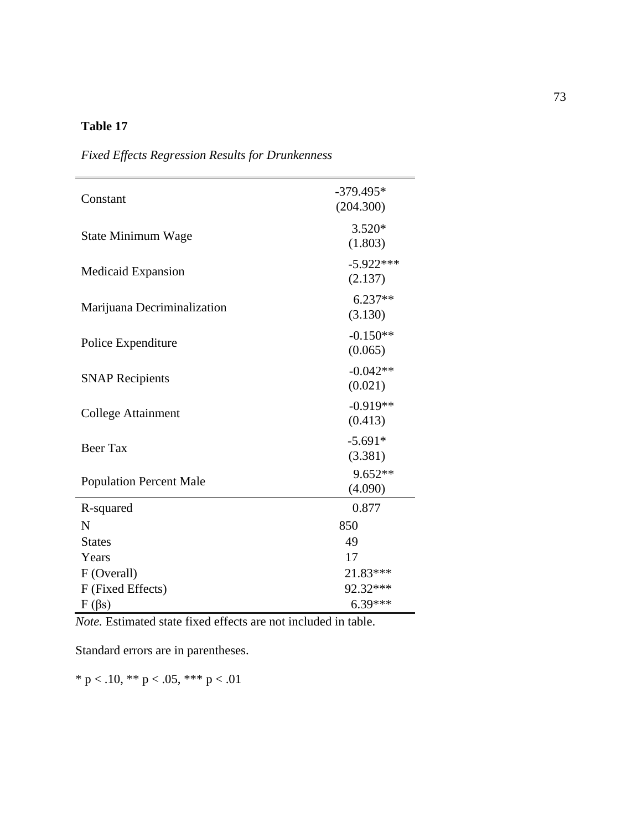| Constant                       | $-379.495*$<br>(204.300) |
|--------------------------------|--------------------------|
| State Minimum Wage             | $3.520*$<br>(1.803)      |
| Medicaid Expansion             | $-5.922***$<br>(2.137)   |
| Marijuana Decriminalization    | $6.237**$<br>(3.130)     |
| Police Expenditure             | $-0.150**$<br>(0.065)    |
| <b>SNAP Recipients</b>         | $-0.042**$<br>(0.021)    |
| <b>College Attainment</b>      | $-0.919**$<br>(0.413)    |
| <b>Beer Tax</b>                | $-5.691*$<br>(3.381)     |
| <b>Population Percent Male</b> | 9.652**<br>(4.090)       |
| R-squared                      | 0.877                    |
| N                              | 850                      |
| <b>States</b>                  | 49                       |
| Years                          | 17                       |
| F (Overall)                    | 21.83***                 |
| F (Fixed Effects)              | 92.32***                 |
| $F(\beta s)$                   | $6.39***$                |

*Fixed Effects Regression Results for Drunkenness*

*Note.* Estimated state fixed effects are not included in table.

Standard errors are in parentheses.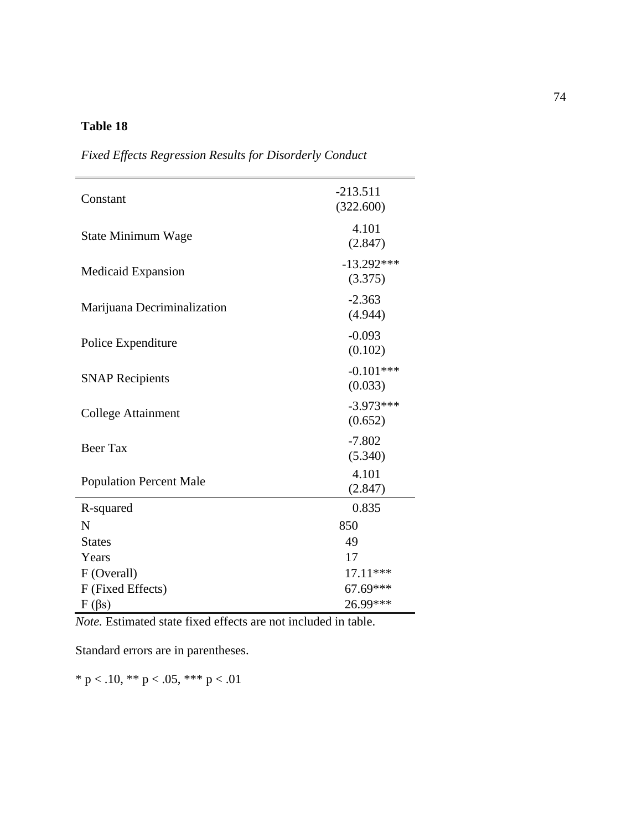| Constant                       | $-213.511$<br>(322.600) |
|--------------------------------|-------------------------|
| State Minimum Wage             | 4.101<br>(2.847)        |
| <b>Medicaid Expansion</b>      | $-13.292***$<br>(3.375) |
| Marijuana Decriminalization    | $-2.363$<br>(4.944)     |
| Police Expenditure             | $-0.093$<br>(0.102)     |
| <b>SNAP Recipients</b>         | $-0.101***$<br>(0.033)  |
| <b>College Attainment</b>      | $-3.973***$<br>(0.652)  |
| <b>Beer Tax</b>                | $-7.802$<br>(5.340)     |
| <b>Population Percent Male</b> | 4.101<br>(2.847)        |
| R-squared                      | 0.835                   |
| N                              | 850                     |
| <b>States</b>                  | 49                      |
| Years                          | 17                      |
| F (Overall)                    | 17.11***                |
| F (Fixed Effects)              | 67.69***                |
| $F(\beta s)$                   | 26.99***                |

*Fixed Effects Regression Results for Disorderly Conduct*

*Note.* Estimated state fixed effects are not included in table.

Standard errors are in parentheses.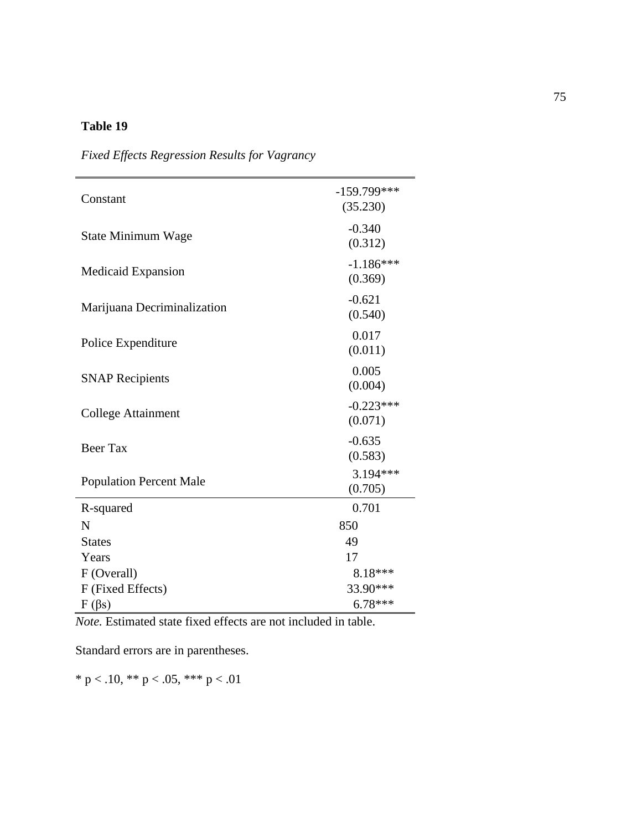| Constant                       | $-159.799***$<br>(35.230) |
|--------------------------------|---------------------------|
| State Minimum Wage             | $-0.340$<br>(0.312)       |
| <b>Medicaid Expansion</b>      | $-1.186***$<br>(0.369)    |
| Marijuana Decriminalization    | $-0.621$<br>(0.540)       |
| Police Expenditure             | 0.017<br>(0.011)          |
| <b>SNAP Recipients</b>         | 0.005<br>(0.004)          |
| <b>College Attainment</b>      | $-0.223***$<br>(0.071)    |
| <b>Beer Tax</b>                | $-0.635$<br>(0.583)       |
| <b>Population Percent Male</b> | 3.194***<br>(0.705)       |
| R-squared                      | 0.701                     |
| N                              | 850                       |
| <b>States</b>                  | 49                        |
| Years                          | 17                        |
| F (Overall)                    | 8.18***                   |
| F (Fixed Effects)              | 33.90***                  |
| $F(\beta s)$                   | $6.78***$                 |

*Fixed Effects Regression Results for Vagrancy*

*Note.* Estimated state fixed effects are not included in table.

Standard errors are in parentheses.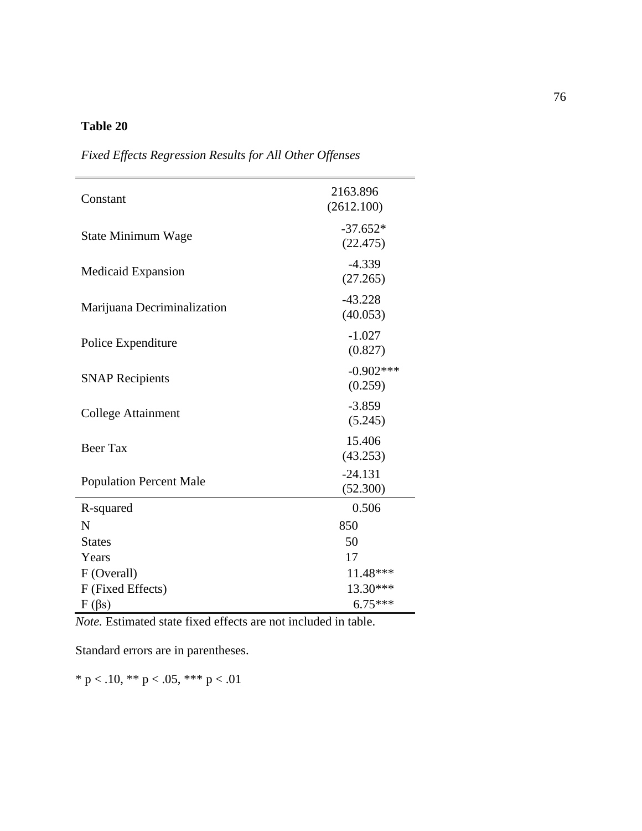| Constant                       | 2163.896<br>(2612.100) |
|--------------------------------|------------------------|
| State Minimum Wage             | $-37.652*$<br>(22.475) |
| <b>Medicaid Expansion</b>      | $-4.339$<br>(27.265)   |
| Marijuana Decriminalization    | $-43.228$<br>(40.053)  |
| Police Expenditure             | $-1.027$<br>(0.827)    |
| <b>SNAP Recipients</b>         | $-0.902***$<br>(0.259) |
| <b>College Attainment</b>      | $-3.859$<br>(5.245)    |
| <b>Beer Tax</b>                | 15.406<br>(43.253)     |
| <b>Population Percent Male</b> | $-24.131$<br>(52.300)  |
| R-squared                      | 0.506                  |
| N                              | 850                    |
| <b>States</b>                  | 50                     |
| Years                          | 17                     |
| F (Overall)                    | 11.48***               |
| F (Fixed Effects)              | 13.30***               |
| $F(\beta s)$                   | $6.75***$              |

*Fixed Effects Regression Results for All Other Offenses*

*Note.* Estimated state fixed effects are not included in table.

Standard errors are in parentheses.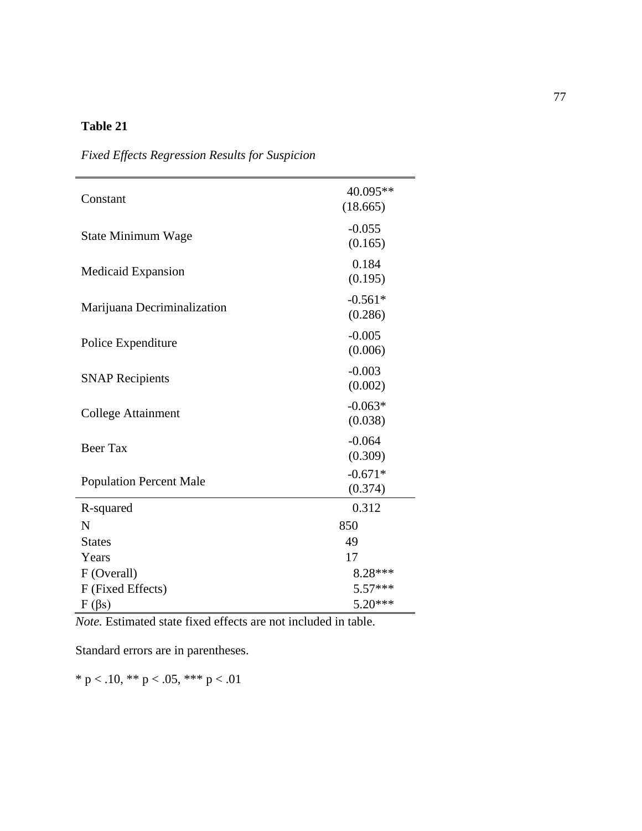| Constant                       | 40.095**<br>(18.665) |
|--------------------------------|----------------------|
| State Minimum Wage             | $-0.055$<br>(0.165)  |
| <b>Medicaid Expansion</b>      | 0.184<br>(0.195)     |
| Marijuana Decriminalization    | $-0.561*$<br>(0.286) |
| Police Expenditure             | $-0.005$<br>(0.006)  |
| <b>SNAP Recipients</b>         | $-0.003$<br>(0.002)  |
| <b>College Attainment</b>      | $-0.063*$<br>(0.038) |
| <b>Beer Tax</b>                | $-0.064$<br>(0.309)  |
| <b>Population Percent Male</b> | $-0.671*$<br>(0.374) |
| R-squared                      | 0.312                |
| N                              | 850                  |
| <b>States</b>                  | 49                   |
| Years                          | 17                   |
| F (Overall)                    | 8.28***              |
| F (Fixed Effects)              | $5.57***$            |
| $F(\beta s)$                   | $5.20***$            |

*Fixed Effects Regression Results for Suspicion*

*Note.* Estimated state fixed effects are not included in table.

Standard errors are in parentheses.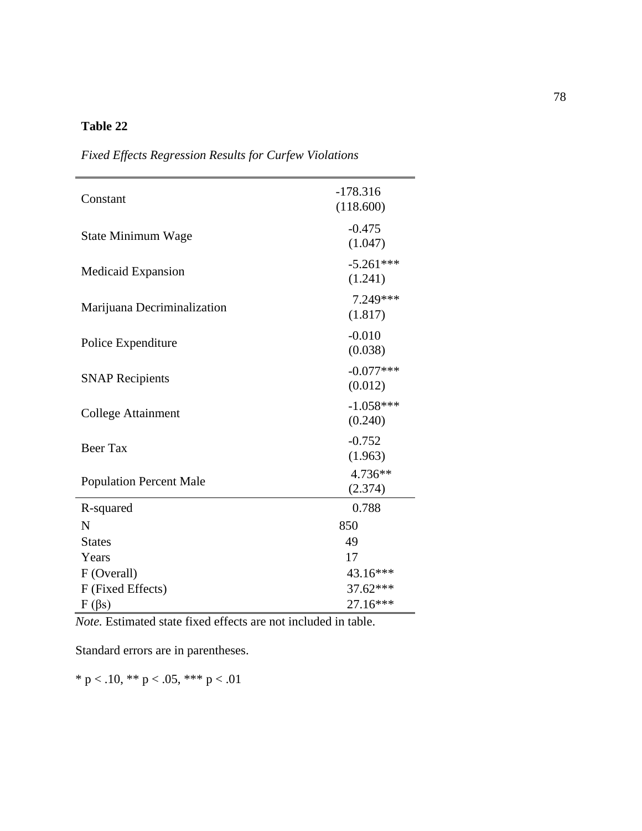| Constant                       | $-178.316$<br>(118.600) |
|--------------------------------|-------------------------|
| State Minimum Wage             | $-0.475$<br>(1.047)     |
| <b>Medicaid Expansion</b>      | $-5.261***$<br>(1.241)  |
| Marijuana Decriminalization    | 7.249 ***<br>(1.817)    |
| Police Expenditure             | $-0.010$<br>(0.038)     |
| <b>SNAP Recipients</b>         | $-0.077***$<br>(0.012)  |
| <b>College Attainment</b>      | $-1.058***$<br>(0.240)  |
| <b>Beer Tax</b>                | $-0.752$<br>(1.963)     |
| <b>Population Percent Male</b> | 4.736**<br>(2.374)      |
| R-squared                      | 0.788                   |
| N                              | 850                     |
| <b>States</b>                  | 49                      |
| Years                          | 17                      |
| F (Overall)                    | 43.16***                |
| F (Fixed Effects)              | 37.62***                |
| $F(\beta s)$                   | 27.16***                |

*Fixed Effects Regression Results for Curfew Violations*

*Note.* Estimated state fixed effects are not included in table.

Standard errors are in parentheses.